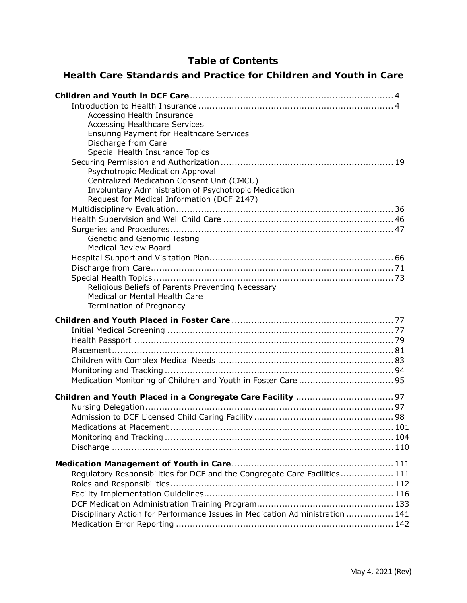# **Table of Contents**

# **Health Care Standards and Practice for Children and Youth in Care**

| Accessing Health Insurance                                                                          |
|-----------------------------------------------------------------------------------------------------|
| <b>Accessing Healthcare Services</b><br><b>Ensuring Payment for Healthcare Services</b>             |
| Discharge from Care                                                                                 |
| Special Health Insurance Topics                                                                     |
|                                                                                                     |
| Psychotropic Medication Approval                                                                    |
| Centralized Medication Consent Unit (CMCU)                                                          |
| Involuntary Administration of Psychotropic Medication<br>Request for Medical Information (DCF 2147) |
|                                                                                                     |
|                                                                                                     |
|                                                                                                     |
| Genetic and Genomic Testing                                                                         |
| <b>Medical Review Board</b>                                                                         |
|                                                                                                     |
|                                                                                                     |
| Religious Beliefs of Parents Preventing Necessary                                                   |
| Medical or Mental Health Care                                                                       |
| Termination of Pregnancy                                                                            |
|                                                                                                     |
|                                                                                                     |
|                                                                                                     |
|                                                                                                     |
|                                                                                                     |
|                                                                                                     |
|                                                                                                     |
|                                                                                                     |
|                                                                                                     |
|                                                                                                     |
|                                                                                                     |
|                                                                                                     |
|                                                                                                     |
|                                                                                                     |
| Regulatory Responsibilities for DCF and the Congregate Care Facilities 111                          |
|                                                                                                     |
|                                                                                                     |
|                                                                                                     |
| Disciplinary Action for Performance Issues in Medication Administration  141                        |
|                                                                                                     |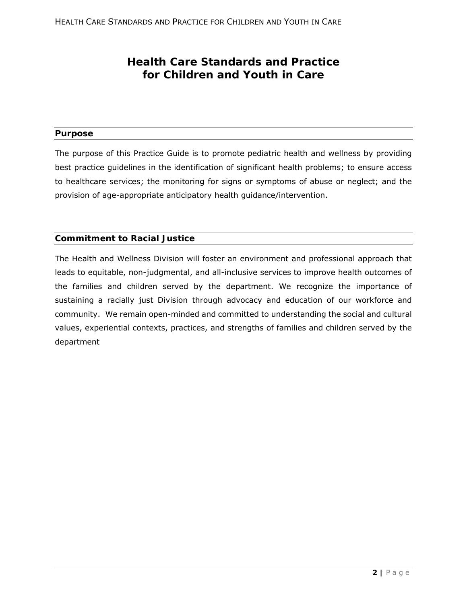# **Health Care Standards and Practice for Children and Youth in Care**

### **Purpose**

The purpose of this Practice Guide is to promote pediatric health and wellness by providing best practice guidelines in the identification of significant health problems; to ensure access to healthcare services; the monitoring for signs or symptoms of abuse or neglect; and the provision of age-appropriate anticipatory health guidance/intervention.

### **Commitment to Racial Justice**

The Health and Wellness Division will foster an environment and professional approach that leads to equitable, non-judgmental, and all-inclusive services to improve health outcomes of the families and children served by the department. We recognize the importance of sustaining a racially just Division through advocacy and education of our workforce and community. We remain open-minded and committed to understanding the social and cultural values, experiential contexts, practices, and strengths of families and children served by the department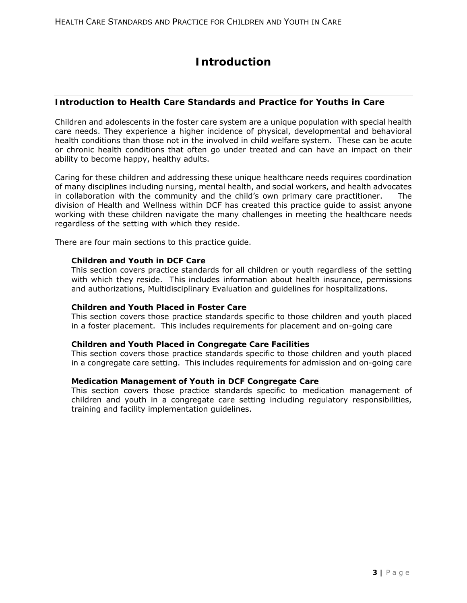# **Introduction**

## **Introduction to Health Care Standards and Practice for Youths in Care**

Children and adolescents in the foster care system are a unique population with special health care needs. They experience a higher incidence of physical, developmental and behavioral health conditions than those not in the involved in child welfare system. These can be acute or chronic health conditions that often go under treated and can have an impact on their ability to become happy, healthy adults.

Caring for these children and addressing these unique healthcare needs requires coordination of many disciplines including nursing, mental health, and social workers, and health advocates in collaboration with the community and the child's own primary care practitioner. The division of Health and Wellness within DCF has created this practice guide to assist anyone working with these children navigate the many challenges in meeting the healthcare needs regardless of the setting with which they reside.

There are four main sections to this practice guide.

#### **Children and Youth in DCF Care**

This section covers practice standards for all children or youth regardless of the setting with which they reside. This includes information about health insurance, permissions and authorizations, Multidisciplinary Evaluation and guidelines for hospitalizations.

#### **Children and Youth Placed in Foster Care**

This section covers those practice standards specific to those children and youth placed in a foster placement. This includes requirements for placement and on-going care

#### **Children and Youth Placed in Congregate Care Facilities**

This section covers those practice standards specific to those children and youth placed in a congregate care setting. This includes requirements for admission and on-going care

#### **Medication Management of Youth in DCF Congregate Care**

This section covers those practice standards specific to medication management of children and youth in a congregate care setting including regulatory responsibilities, training and facility implementation guidelines.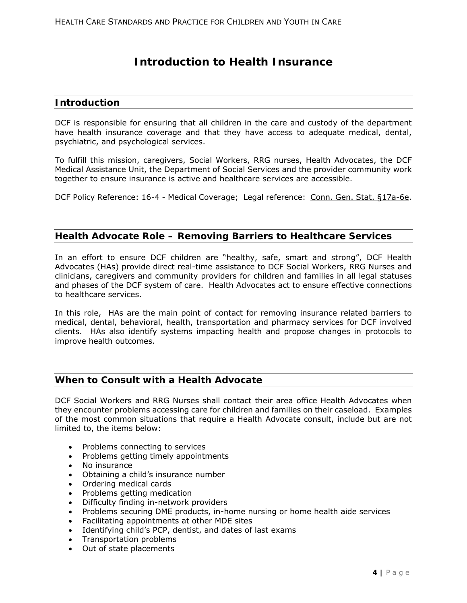# **Introduction to Health Insurance**

## **Introduction**

DCF is responsible for ensuring that all children in the care and custody of the department have health insurance coverage and that they have access to adequate medical, dental, psychiatric, and psychological services.

To fulfill this mission, caregivers, Social Workers, RRG nurses, Health Advocates, the DCF Medical Assistance Unit, the Department of Social Services and the provider community work together to ensure insurance is active and healthcare services are accessible.

DCF Policy Reference: 16-4 - Medical Coverage; Legal reference: Conn. Gen. Stat. §17a-6e.

## **Health Advocate Role – Removing Barriers to Healthcare Services**

In an effort to ensure DCF children are "healthy, safe, smart and strong", DCF Health Advocates (HAs) provide direct real-time assistance to DCF Social Workers, RRG Nurses and clinicians, caregivers and community providers for children and families in all legal statuses and phases of the DCF system of care. Health Advocates act to ensure effective connections to healthcare services.

In this role, HAs are the main point of contact for removing insurance related barriers to medical, dental, behavioral, health, transportation and pharmacy services for DCF involved clients. HAs also identify systems impacting health and propose changes in protocols to improve health outcomes.

## **When to Consult with a Health Advocate**

DCF Social Workers and RRG Nurses shall contact their area office Health Advocates when they encounter problems accessing care for children and families on their caseload. Examples of the most common situations that require a Health Advocate consult, include but are not limited to, the items below:

- Problems connecting to services
- Problems getting timely appointments
- No insurance
- Obtaining a child's insurance number
- Ordering medical cards
- Problems getting medication
- Difficulty finding in-network providers
- Problems securing DME products, in-home nursing or home health aide services
- Facilitating appointments at other MDE sites
- Identifying child's PCP, dentist, and dates of last exams
- Transportation problems
- Out of state placements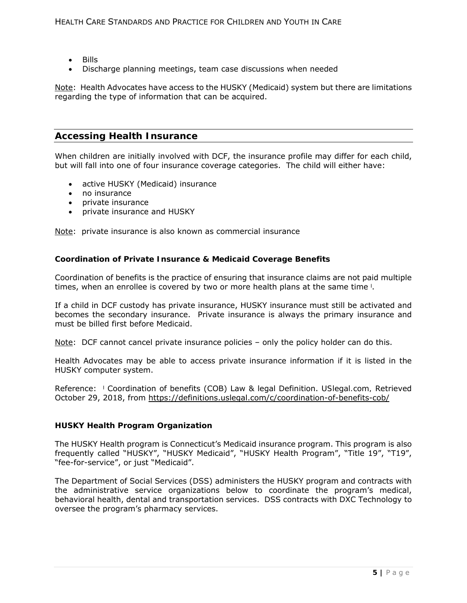- Bills
- Discharge planning meetings, team case discussions when needed

Note: Health Advocates have access to the HUSKY (Medicaid) system but there are limitations regarding the type of information that can be acquired.

## **Accessing Health Insurance**

When children are initially involved with DCF, the insurance profile may differ for each child, but will fall into one of four insurance coverage categories. The child will either have:

- active HUSKY (Medicaid) insurance
- no insurance
- private insurance
- private insurance and HUSKY

Note: private insurance is also known as commercial insurance

#### **Coordination of Private Insurance & Medicaid Coverage Benefits**

Coordination of benefits is the practice of ensuring that insurance claims are not paid multiple times, when an enrollee is covered by two or more health plans at the same time <sup>1</sup>.

If a child in DCF custody has private insurance, HUSKY insurance must still be activated and becomes the secondary insurance. Private insurance is always the primary insurance and must be billed first before Medicaid.

Note: DCF cannot cancel private insurance policies – only the policy holder can do this.

Health Advocates may be able to access private insurance information if it is listed in the HUSKY computer system.

Reference: ˡ Coordination of benefits (COB) Law & legal Definition. *USlegal.com,* Retrieved October 29, 2018, from https://definitions.uslegal.com/c/coordination-of-benefits-cob/

#### **HUSKY Health Program Organization**

The HUSKY Health program is Connecticut's Medicaid insurance program. This program is also frequently called "HUSKY", "HUSKY Medicaid", "HUSKY Health Program", "Title 19", "T19", "fee-for-service", or just "Medicaid".

The Department of Social Services (DSS) administers the HUSKY program and contracts with the administrative service organizations below to coordinate the program's medical, behavioral health, dental and transportation services. DSS contracts with DXC Technology to oversee the program's pharmacy services.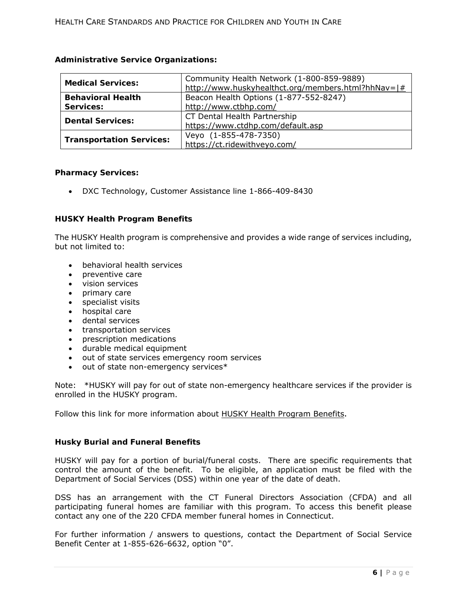### **Administrative Service Organizations:**

| <b>Medical Services:</b>        | Community Health Network (1-800-859-9889)<br>http://www.huskyhealthct.org/members.html?hhNav= # |
|---------------------------------|-------------------------------------------------------------------------------------------------|
| <b>Behavioral Health</b>        | Beacon Health Options (1-877-552-8247)                                                          |
| Services:                       | http://www.ctbhp.com/                                                                           |
| <b>Dental Services:</b>         | CT Dental Health Partnership                                                                    |
|                                 | https://www.ctdhp.com/default.asp                                                               |
|                                 | Veyo (1-855-478-7350)                                                                           |
| <b>Transportation Services:</b> | https://ct.ridewithveyo.com/                                                                    |

#### **Pharmacy Services:**

DXC Technology, Customer Assistance line 1-866-409-8430

#### **HUSKY Health Program Benefits**

The HUSKY Health program is comprehensive and provides a wide range of services including, but not limited to:

- behavioral health services
- preventive care
- vision services
- primary care
- specialist visits
- hospital care
- dental services
- transportation services
- prescription medications
- durable medical equipment
- out of state services emergency room services
- $\bullet$  out of state non-emergency services\*

Note: \*HUSKY will pay for out of state non-emergency healthcare services if the provider is enrolled in the HUSKY program.

Follow this link for more information about HUSKY Health Program Benefits.

#### **Husky Burial and Funeral Benefits**

HUSKY will pay for a portion of burial/funeral costs. There are specific requirements that control the amount of the benefit. To be eligible, an application must be filed with the Department of Social Services (DSS) within one year of the date of death.

DSS has an arrangement with the CT Funeral Directors Association (CFDA) and all participating funeral homes are familiar with this program. To access this benefit please contact any one of the 220 CFDA member funeral homes in Connecticut.

For further information / answers to questions, contact the Department of Social Service Benefit Center at 1-855-626-6632, option "0".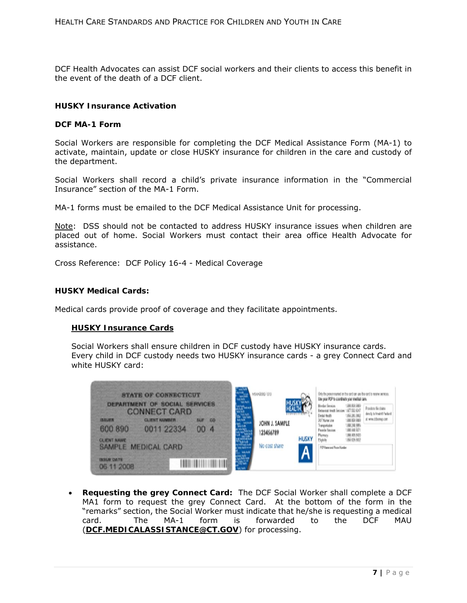DCF Health Advocates can assist DCF social workers and their clients to access this benefit in the event of the death of a DCF client.

#### **HUSKY Insurance Activation**

#### **DCF MA-1 Form**

Social Workers are responsible for completing the DCF Medical Assistance Form (MA-1) to activate, maintain, update or close HUSKY insurance for children in the care and custody of the department.

Social Workers shall record a child's private insurance information in the "Commercial Insurance" section of the MA-1 Form.

MA-1 forms must be emailed to the DCF Medical Assistance Unit for processing.

Note: DSS should not be contacted to address HUSKY insurance issues when children are placed out of home. Social Workers must contact their area office Health Advocate for assistance.

Cross Reference: DCF Policy 16-4 - Medical Coverage

#### **HUSKY Medical Cards:**

Medical cards provide proof of coverage and they facilitate appointments.

#### **HUSKY Insurance Cards**

Social Workers shall ensure children in DCF custody have HUSKY insurance cards. Every child in DCF custody needs two HUSKY insurance cards - a grey Connect Card and white HUSKY card:

|                                                | <b>STATE OF CONNECTICUT</b><br><b>DEPARTMENT OF SOCIAL SERVICES</b> |    | 544000310                   |              |                                                                                    |  |
|------------------------------------------------|---------------------------------------------------------------------|----|-----------------------------|--------------|------------------------------------------------------------------------------------|--|
| <b>IBJURN</b><br>600 890<br><b>CLIENT NAME</b> | <b>CONNECT CARD</b><br><b>CLIENT KUMNER</b><br>0011 22334           | CO | JOHN J. SAMPLE<br>123456789 | <b>HUSKY</b> | 34 P Name Line<br>vergentulare<br><b>Forada Turus</b><br>Plemacy<br><b>Tighlig</b> |  |
| <b>ISSUE DATE</b><br>06 11 2008                | SAMPLE MEDICAL CARD                                                 |    | No cost share               | Λ            | 70 Yunn and From Hander                                                            |  |

 **Requesting the grey Connect Card:** The DCF Social Worker shall complete a DCF MA1 form to request the grey Connect Card. At the bottom of the form in the "remarks" section, the Social Worker must indicate that he/she is requesting a medical card. The MA-1 form is forwarded to the DCF MAU (**DCF.MEDICALASSISTANCE@CT.GOV**) for processing.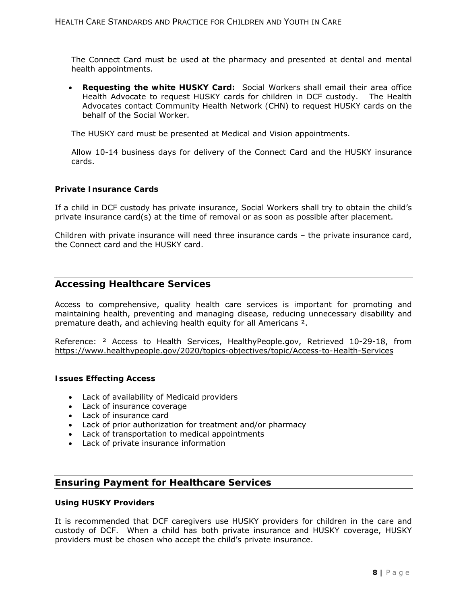The Connect Card must be used at the pharmacy and presented at dental and mental health appointments.

 **Requesting the white HUSKY Card:** Social Workers shall email their area office Health Advocate to request HUSKY cards for children in DCF custody. The Health Advocates contact Community Health Network (CHN) to request HUSKY cards on the behalf of the Social Worker.

The HUSKY card must be presented at Medical and Vision appointments.

Allow 10-14 business days for delivery of the Connect Card and the HUSKY insurance cards.

#### **Private Insurance Cards**

If a child in DCF custody has private insurance, Social Workers shall try to obtain the child's private insurance card(s) at the time of removal or as soon as possible after placement.

Children with private insurance will need three insurance cards – the private insurance card, the Connect card and the HUSKY card.

### **Accessing Healthcare Services**

Access to comprehensive, quality health care services is important for promoting and maintaining health, preventing and managing disease, reducing unnecessary disability and premature death, and achieving health equity for all Americans ².

Reference: ² Access to Health Services, HealthyPeople.gov, Retrieved 10-29-18, from https://www.healthypeople.gov/2020/topics-objectives/topic/Access-to-Health-Services

#### **Issues Effecting Access**

- Lack of availability of Medicaid providers
- Lack of insurance coverage
- Lack of insurance card
- Lack of prior authorization for treatment and/or pharmacy
- Lack of transportation to medical appointments
- Lack of private insurance information

## **Ensuring Payment for Healthcare Services**

#### **Using HUSKY Providers**

It is recommended that DCF caregivers use HUSKY providers for children in the care and custody of DCF. When a child has both private insurance and HUSKY coverage, HUSKY providers must be chosen who accept the child's private insurance.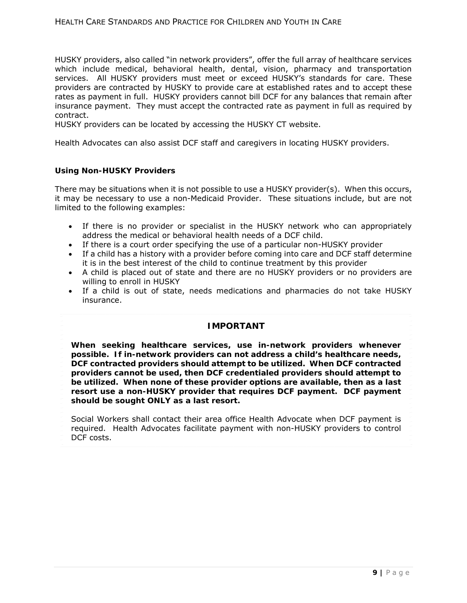#### HEALTH CARE STANDARDS AND PRACTICE FOR CHILDREN AND YOUTH IN CARE

HUSKY providers, also called "in network providers", offer the full array of healthcare services which include medical, behavioral health, dental, vision, pharmacy and transportation services. All HUSKY providers must meet or exceed HUSKY's standards for care. These providers are contracted by HUSKY to provide care at established rates and to accept these rates as payment in full. HUSKY providers cannot bill DCF for any balances that remain after insurance payment. They must accept the contracted rate as payment in full as required by contract.

HUSKY providers can be located by accessing the HUSKY CT website.

Health Advocates can also assist DCF staff and caregivers in locating HUSKY providers.

#### **Using Non-HUSKY Providers**

There may be situations when it is not possible to use a HUSKY provider(s). When this occurs, it may be necessary to use a non-Medicaid Provider. These situations include, but are not limited to the following examples:

- If there is no provider or specialist in the HUSKY network who can appropriately address the medical or behavioral health needs of a DCF child.
- If there is a court order specifying the use of a particular non-HUSKY provider
- If a child has a history with a provider before coming into care and DCF staff determine it is in the best interest of the child to continue treatment by this provider
- A child is placed out of state and there are no HUSKY providers or no providers are willing to enroll in HUSKY
- If a child is out of state, needs medications and pharmacies do not take HUSKY insurance.

#### **IMPORTANT**

**When seeking healthcare services, use in-network providers whenever possible. If in-network providers can not address a child's healthcare needs, DCF contracted providers should attempt to be utilized. When DCF contracted providers cannot be used, then DCF credentialed providers should attempt to be utilized. When none of these provider options are available, then as a last resort use a non-HUSKY provider that requires DCF payment. DCF payment should be sought ONLY as a last resort.** 

Social Workers shall contact their area office Health Advocate when DCF payment is required. Health Advocates facilitate payment with non-HUSKY providers to control DCF costs.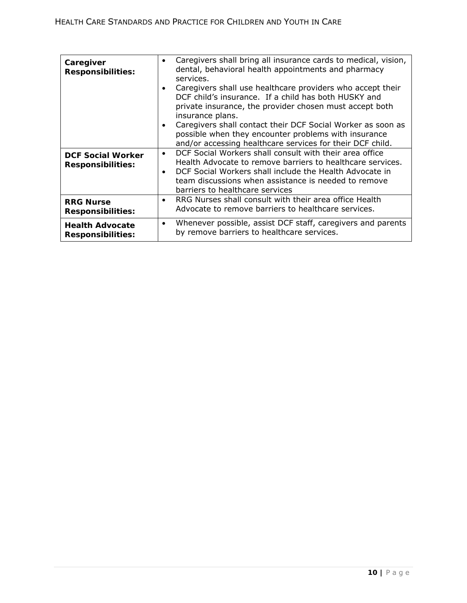| Caregiver<br><b>Responsibilities:</b>                | Caregivers shall bring all insurance cards to medical, vision,<br>$\bullet$<br>dental, behavioral health appointments and pharmacy<br>services.<br>Caregivers shall use healthcare providers who accept their<br>$\bullet$<br>DCF child's insurance. If a child has both HUSKY and<br>private insurance, the provider chosen must accept both<br>insurance plans.<br>Caregivers shall contact their DCF Social Worker as soon as<br>$\bullet$<br>possible when they encounter problems with insurance<br>and/or accessing healthcare services for their DCF child. |
|------------------------------------------------------|--------------------------------------------------------------------------------------------------------------------------------------------------------------------------------------------------------------------------------------------------------------------------------------------------------------------------------------------------------------------------------------------------------------------------------------------------------------------------------------------------------------------------------------------------------------------|
| <b>DCF Social Worker</b><br><b>Responsibilities:</b> | DCF Social Workers shall consult with their area office<br>Health Advocate to remove barriers to healthcare services.<br>DCF Social Workers shall include the Health Advocate in<br>$\bullet$<br>team discussions when assistance is needed to remove<br>barriers to healthcare services                                                                                                                                                                                                                                                                           |
| <b>RRG Nurse</b><br><b>Responsibilities:</b>         | RRG Nurses shall consult with their area office Health<br>$\bullet$<br>Advocate to remove barriers to healthcare services.                                                                                                                                                                                                                                                                                                                                                                                                                                         |
| <b>Health Advocate</b><br><b>Responsibilities:</b>   | Whenever possible, assist DCF staff, caregivers and parents<br>$\bullet$<br>by remove barriers to healthcare services.                                                                                                                                                                                                                                                                                                                                                                                                                                             |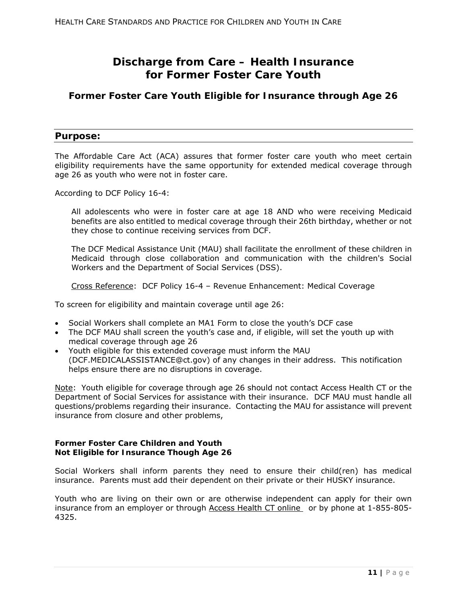# **Discharge from Care – Health Insurance for Former Foster Care Youth**

# **Former Foster Care Youth Eligible for Insurance through Age 26**

## **Purpose:**

The Affordable Care Act (ACA) assures that former foster care youth who meet certain eligibility requirements have the same opportunity for extended medical coverage through age 26 as youth who were not in foster care.

According to DCF Policy 16-4:

All adolescents who were in foster care at age 18 AND who were receiving Medicaid benefits are also entitled to medical coverage through their 26th birthday, whether or not they chose to continue receiving services from DCF.

The DCF Medical Assistance Unit (MAU) shall facilitate the enrollment of these children in Medicaid through close collaboration and communication with the children's Social Workers and the Department of Social Services (DSS).

Cross Reference: DCF Policy 16-4 – Revenue Enhancement: Medical Coverage

To screen for eligibility and maintain coverage until age 26:

- Social Workers shall complete an MA1 Form to close the youth's DCF case
- The DCF MAU shall screen the youth's case and, if eligible, will set the youth up with medical coverage through age 26
- Youth eligible for this extended coverage must inform the MAU (DCF.MEDICALASSISTANCE@ct.gov) of any changes in their address. This notification helps ensure there are no disruptions in coverage.

Note: Youth eligible for coverage through age 26 should not contact Access Health CT or the Department of Social Services for assistance with their insurance. DCF MAU must handle all questions/problems regarding their insurance. Contacting the MAU for assistance will prevent insurance from closure and other problems,

#### **Former Foster Care Children and Youth Not Eligible for Insurance Though Age 26**

Social Workers shall inform parents they need to ensure their child(ren) has medical insurance. Parents must add their dependent on their private or their HUSKY insurance.

Youth who are living on their own or are otherwise independent can apply for their own insurance from an employer or through Access Health CT online or by phone at 1-855-805- 4325.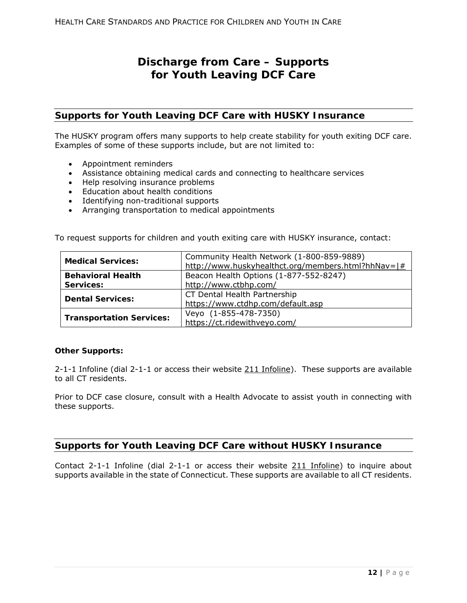# **Discharge from Care – Supports for Youth Leaving DCF Care**

## **Supports for Youth Leaving DCF Care with HUSKY Insurance**

The HUSKY program offers many supports to help create stability for youth exiting DCF care. Examples of some of these supports include, but are not limited to:

- Appointment reminders
- Assistance obtaining medical cards and connecting to healthcare services
- Help resolving insurance problems
- Education about health conditions
- Identifying non-traditional supports
- Arranging transportation to medical appointments

To request supports for children and youth exiting care with HUSKY insurance, contact:

| <b>Medical Services:</b>        | Community Health Network (1-800-859-9889)          |  |
|---------------------------------|----------------------------------------------------|--|
|                                 | http://www.huskyhealthct.org/members.html?hhNav=1# |  |
| <b>Behavioral Health</b>        | Beacon Health Options (1-877-552-8247)             |  |
| Services:                       | http://www.ctbhp.com/                              |  |
| <b>Dental Services:</b>         | CT Dental Health Partnership                       |  |
|                                 | https://www.ctdhp.com/default.asp                  |  |
|                                 | Veyo (1-855-478-7350)                              |  |
| <b>Transportation Services:</b> | https://ct.ridewithveyo.com/                       |  |

#### **Other Supports:**

2-1-1 Infoline (dial 2-1-1 or access their website 211 Infoline). These supports are available to all CT residents.

Prior to DCF case closure, consult with a Health Advocate to assist youth in connecting with these supports.

# **Supports for Youth Leaving DCF Care without HUSKY Insurance**

Contact 2-1-1 Infoline (dial 2-1-1 or access their website 211 Infoline) to inquire about supports available in the state of Connecticut. These supports are available to all CT residents.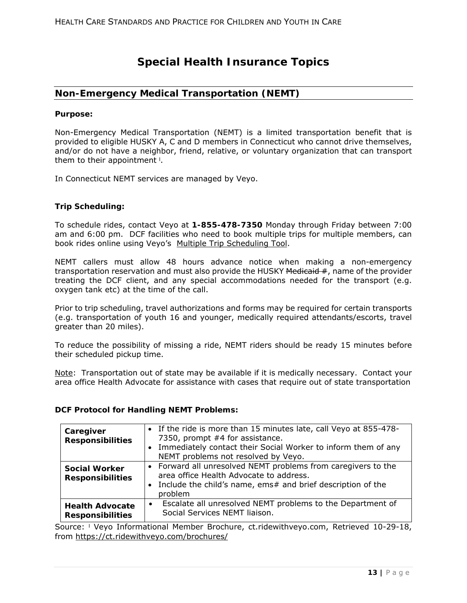# **Special Health Insurance Topics**

## **Non-Emergency Medical Transportation (NEMT)**

#### **Purpose:**

Non-Emergency Medical Transportation (NEMT) is a limited transportation benefit that is provided to eligible HUSKY A, C and D members in Connecticut who cannot drive themselves, and/or do not have a neighbor, friend, relative, or voluntary organization that can transport them to their appointment <sup>1</sup>.

In Connecticut NEMT services are managed by Veyo.

#### **Trip Scheduling:**

To schedule rides, contact Veyo at **1-855-478-7350** Monday through Friday between 7:00 am and 6:00 pm. DCF facilities who need to book multiple trips for multiple members, can book rides online using Veyo's Multiple Trip Scheduling Tool.

NEMT callers must allow 48 hours advance notice when making a non-emergency transportation reservation and must also provide the HUSKY Medicaid #, name of the provider treating the DCF client, and any special accommodations needed for the transport (e.g. oxygen tank etc) at the time of the call.

Prior to trip scheduling, travel authorizations and forms may be required for certain transports (e.g. transportation of youth 16 and younger, medically required attendants/escorts, travel greater than 20 miles).

To reduce the possibility of missing a ride, NEMT riders should be ready 15 minutes before their scheduled pickup time.

Note: Transportation out of state may be available if it is medically necessary. Contact your area office Health Advocate for assistance with cases that require out of state transportation

#### **DCF Protocol for Handling NEMT Problems:**

| Caregiver<br><b>Responsibilities</b>              | • If the ride is more than 15 minutes late, call Veyo at 855-478-<br>7350, prompt #4 for assistance.<br>Immediately contact their Social Worker to inform them of any<br>$\bullet$<br>NEMT problems not resolved by Veyo. |
|---------------------------------------------------|---------------------------------------------------------------------------------------------------------------------------------------------------------------------------------------------------------------------------|
| <b>Social Worker</b><br><b>Responsibilities</b>   | • Forward all unresolved NEMT problems from caregivers to the<br>area office Health Advocate to address.<br>Include the child's name, ems# and brief description of the<br>$\bullet$<br>problem                           |
| <b>Health Advocate</b><br><b>Responsibilities</b> | Escalate all unresolved NEMT problems to the Department of<br>$\bullet$<br>Social Services NEMT liaison.                                                                                                                  |

Source: ˡ Veyo Informational Member Brochure, ct.ridewithveyo.com, Retrieved 10-29-18, from https://ct.ridewithveyo.com/brochures/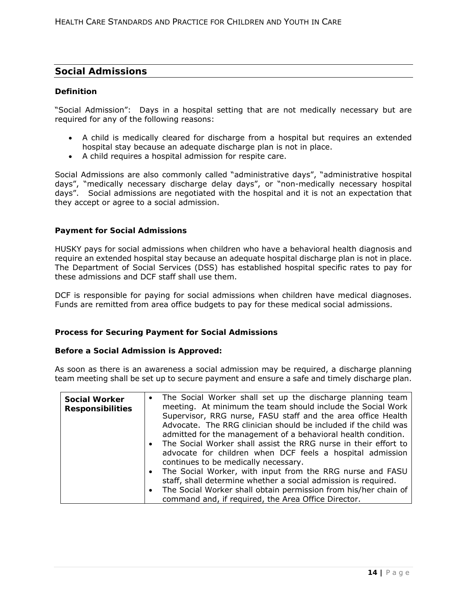## **Social Admissions**

#### **Definition**

"Social Admission": Days in a hospital setting that are not medically necessary but are required for any of the following reasons:

- A child is medically cleared for discharge from a hospital but requires an extended hospital stay because an adequate discharge plan is not in place.
- A child requires a hospital admission for respite care.

Social Admissions are also commonly called "administrative days", "administrative hospital days", "medically necessary discharge delay days", or "non-medically necessary hospital days". Social admissions are negotiated with the hospital and it is not an expectation that they accept or agree to a social admission.

#### **Payment for Social Admissions**

HUSKY pays for social admissions when children who have a behavioral health diagnosis and require an extended hospital stay because an adequate hospital discharge plan is not in place. The Department of Social Services (DSS) has established hospital specific rates to pay for these admissions and DCF staff shall use them.

DCF is responsible for paying for social admissions when children have medical diagnoses. Funds are remitted from area office budgets to pay for these medical social admissions.

#### **Process for Securing Payment for Social Admissions**

#### **Before a Social Admission is Approved:**

As soon as there is an awareness a social admission may be required, a discharge planning team meeting shall be set up to secure payment and ensure a safe and timely discharge plan.

| <b>Social Worker</b><br><b>Responsibilities</b> | The Social Worker shall set up the discharge planning team<br>$\bullet$<br>meeting. At minimum the team should include the Social Work |
|-------------------------------------------------|----------------------------------------------------------------------------------------------------------------------------------------|
|                                                 | Supervisor, RRG nurse, FASU staff and the area office Health                                                                           |
|                                                 | Advocate. The RRG clinician should be included if the child was                                                                        |
|                                                 | admitted for the management of a behavioral health condition.                                                                          |
|                                                 | • The Social Worker shall assist the RRG nurse in their effort to                                                                      |
|                                                 | advocate for children when DCF feels a hospital admission                                                                              |
|                                                 | continues to be medically necessary.                                                                                                   |
|                                                 | • The Social Worker, with input from the RRG nurse and FASU                                                                            |
|                                                 | staff, shall determine whether a social admission is required.                                                                         |
|                                                 | The Social Worker shall obtain permission from his/her chain of<br>$\bullet$                                                           |
|                                                 | command and, if required, the Area Office Director.                                                                                    |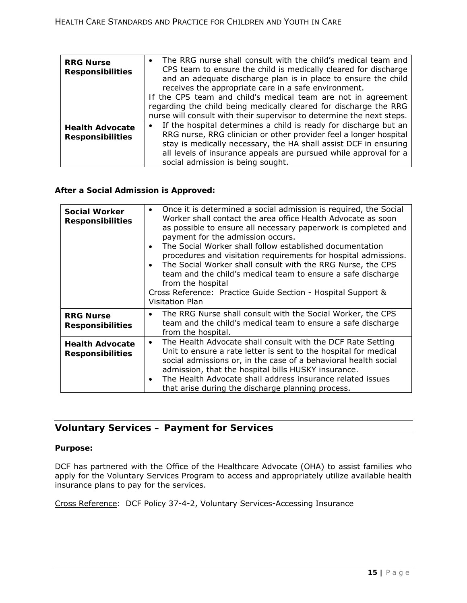| <b>RRG Nurse</b><br><b>Responsibilities</b>       | • The RRG nurse shall consult with the child's medical team and<br>CPS team to ensure the child is medically cleared for discharge<br>and an adequate discharge plan is in place to ensure the child<br>receives the appropriate care in a safe environment.<br>If the CPS team and child's medical team are not in agreement<br>regarding the child being medically cleared for discharge the RRG |
|---------------------------------------------------|----------------------------------------------------------------------------------------------------------------------------------------------------------------------------------------------------------------------------------------------------------------------------------------------------------------------------------------------------------------------------------------------------|
| <b>Health Advocate</b><br><b>Responsibilities</b> | nurse will consult with their supervisor to determine the next steps.<br>If the hospital determines a child is ready for discharge but an<br>٠<br>RRG nurse, RRG clinician or other provider feel a longer hospital<br>stay is medically necessary, the HA shall assist DCF in ensuring<br>all levels of insurance appeals are pursued while approval for a<br>social admission is being sought.   |

### **After a Social Admission is Approved:**

| <b>Social Worker</b><br><b>Responsibilities</b>   | Once it is determined a social admission is required, the Social<br>$\bullet$<br>Worker shall contact the area office Health Advocate as soon<br>as possible to ensure all necessary paperwork is completed and<br>payment for the admission occurs.<br>The Social Worker shall follow established documentation<br>$\bullet$<br>procedures and visitation requirements for hospital admissions.<br>The Social Worker shall consult with the RRG Nurse, the CPS<br>$\bullet$<br>team and the child's medical team to ensure a safe discharge<br>from the hospital<br>Cross Reference: Practice Guide Section - Hospital Support &<br>Visitation Plan |
|---------------------------------------------------|------------------------------------------------------------------------------------------------------------------------------------------------------------------------------------------------------------------------------------------------------------------------------------------------------------------------------------------------------------------------------------------------------------------------------------------------------------------------------------------------------------------------------------------------------------------------------------------------------------------------------------------------------|
| <b>RRG Nurse</b><br><b>Responsibilities</b>       | The RRG Nurse shall consult with the Social Worker, the CPS<br>٠<br>team and the child's medical team to ensure a safe discharge<br>from the hospital.                                                                                                                                                                                                                                                                                                                                                                                                                                                                                               |
| <b>Health Advocate</b><br><b>Responsibilities</b> | The Health Advocate shall consult with the DCF Rate Setting<br>$\bullet$<br>Unit to ensure a rate letter is sent to the hospital for medical<br>social admissions or, in the case of a behavioral health social<br>admission, that the hospital bills HUSKY insurance.<br>The Health Advocate shall address insurance related issues<br>$\bullet$<br>that arise during the discharge planning process.                                                                                                                                                                                                                                               |

# **Voluntary Services – Payment for Services**

#### **Purpose:**

DCF has partnered with the Office of the Healthcare Advocate (OHA) to assist families who apply for the Voluntary Services Program to access and appropriately utilize available health insurance plans to pay for the services.

Cross Reference: DCF Policy 37-4-2, Voluntary Services-Accessing Insurance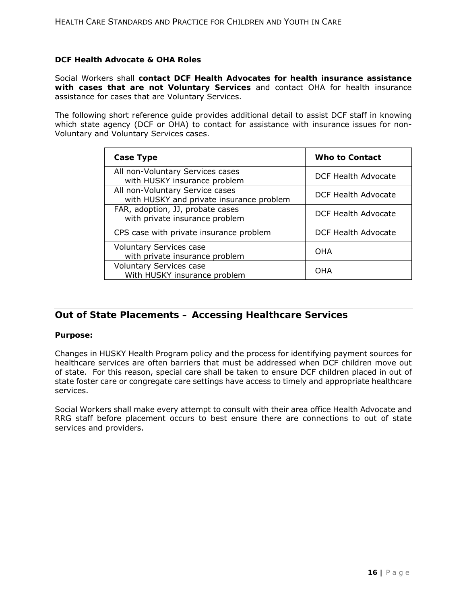#### **DCF Health Advocate & OHA Roles**

Social Workers shall **contact DCF Health Advocates for health insurance assistance with cases that are not Voluntary Services** and contact OHA for health insurance assistance for cases that are Voluntary Services.

The following short reference guide provides additional detail to assist DCF staff in knowing which state agency (DCF or OHA) to contact for assistance with insurance issues for non-Voluntary and Voluntary Services cases.

| <b>Case Type</b>                                                            | Who to Contact             |
|-----------------------------------------------------------------------------|----------------------------|
| All non-Voluntary Services cases<br>with HUSKY insurance problem            | DCF Health Advocate        |
| All non-Voluntary Service cases<br>with HUSKY and private insurance problem | DCF Health Advocate        |
| FAR, adoption, JJ, probate cases<br>with private insurance problem          | <b>DCF Health Advocate</b> |
| CPS case with private insurance problem                                     | DCF Health Advocate        |
| <b>Voluntary Services case</b><br>with private insurance problem            | OHA                        |
| <b>Voluntary Services case</b><br>With HUSKY insurance problem              | OHA                        |

# **Out of State Placements – Accessing Healthcare Services**

#### **Purpose:**

Changes in HUSKY Health Program policy and the process for identifying payment sources for healthcare services are often barriers that must be addressed when DCF children move out of state. For this reason, special care shall be taken to ensure DCF children placed in out of state foster care or congregate care settings have access to timely and appropriate healthcare services.

Social Workers shall make every attempt to consult with their area office Health Advocate and RRG staff before placement occurs to best ensure there are connections to out of state services and providers.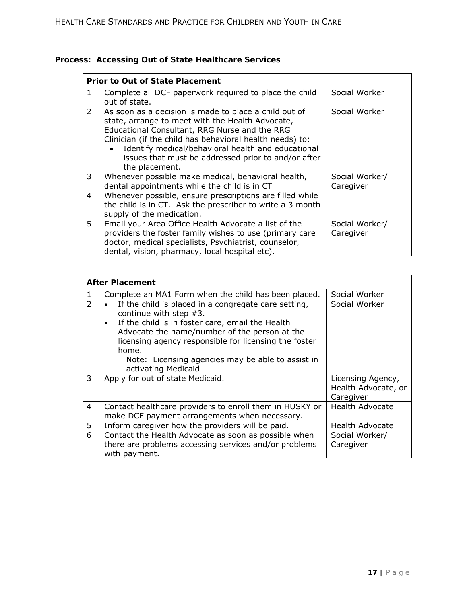|  |  | Process: Accessing Out of State Healthcare Services |  |
|--|--|-----------------------------------------------------|--|
|--|--|-----------------------------------------------------|--|

|                | <b>Prior to Out of State Placement</b>                                                                                                                                                                                                                                                                                                                |                             |
|----------------|-------------------------------------------------------------------------------------------------------------------------------------------------------------------------------------------------------------------------------------------------------------------------------------------------------------------------------------------------------|-----------------------------|
| 1              | Complete all DCF paperwork required to place the child<br>out of state.                                                                                                                                                                                                                                                                               | Social Worker               |
| $\overline{2}$ | As soon as a decision is made to place a child out of<br>state, arrange to meet with the Health Advocate,<br>Educational Consultant, RRG Nurse and the RRG<br>Clinician (if the child has behavioral health needs) to:<br>Identify medical/behavioral health and educational<br>issues that must be addressed prior to and/or after<br>the placement. | Social Worker               |
| 3              | Whenever possible make medical, behavioral health,<br>dental appointments while the child is in CT                                                                                                                                                                                                                                                    | Social Worker/<br>Caregiver |
| 4              | Whenever possible, ensure prescriptions are filled while<br>the child is in CT. Ask the prescriber to write a 3 month<br>supply of the medication.                                                                                                                                                                                                    |                             |
| 5.             | Email your Area Office Health Advocate a list of the<br>providers the foster family wishes to use (primary care<br>doctor, medical specialists, Psychiatrist, counselor,<br>dental, vision, pharmacy, local hospital etc).                                                                                                                            | Social Worker/<br>Caregiver |

| <b>After Placement</b> |                                                                                                                                                                                                                                                                                                                                                   |                                                       |  |  |
|------------------------|---------------------------------------------------------------------------------------------------------------------------------------------------------------------------------------------------------------------------------------------------------------------------------------------------------------------------------------------------|-------------------------------------------------------|--|--|
| 1                      | Complete an MA1 Form when the child has been placed.                                                                                                                                                                                                                                                                                              | Social Worker                                         |  |  |
| 2                      | If the child is placed in a congregate care setting,<br>continue with step $#3$ .<br>If the child is in foster care, email the Health<br>$\bullet$<br>Advocate the name/number of the person at the<br>licensing agency responsible for licensing the foster<br>home.<br>Note: Licensing agencies may be able to assist in<br>activating Medicaid | Social Worker                                         |  |  |
| 3                      | Apply for out of state Medicaid.                                                                                                                                                                                                                                                                                                                  | Licensing Agency,<br>Health Advocate, or<br>Caregiver |  |  |
| 4                      | Contact healthcare providers to enroll them in HUSKY or<br>make DCF payment arrangements when necessary.                                                                                                                                                                                                                                          | <b>Health Advocate</b>                                |  |  |
| 5                      | Inform caregiver how the providers will be paid.                                                                                                                                                                                                                                                                                                  | Health Advocate                                       |  |  |
| 6                      | Contact the Health Advocate as soon as possible when<br>there are problems accessing services and/or problems<br>with payment.                                                                                                                                                                                                                    | Social Worker/<br>Caregiver                           |  |  |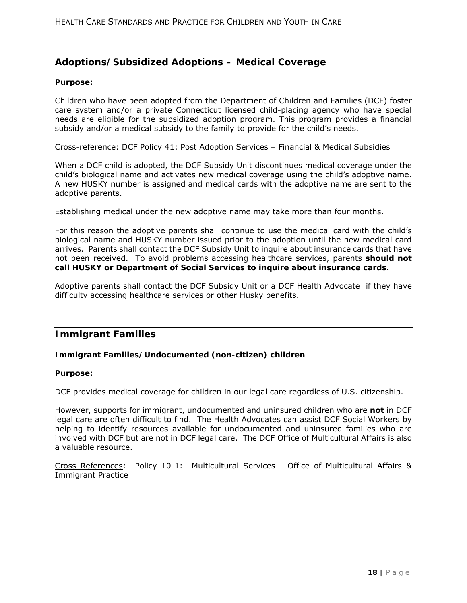# **Adoptions/Subsidized Adoptions – Medical Coverage**

#### **Purpose:**

Children who have been adopted from the Department of Children and Families (DCF) foster care system and/or a private Connecticut licensed child-placing agency who have special needs are eligible for the subsidized adoption program. This program provides a financial subsidy and/or a medical subsidy to the family to provide for the child's needs.

Cross-reference: DCF Policy 41: Post Adoption Services – Financial & Medical Subsidies

When a DCF child is adopted, the DCF Subsidy Unit discontinues medical coverage under the child's biological name and activates new medical coverage using the child's adoptive name. A new HUSKY number is assigned and medical cards with the adoptive name are sent to the adoptive parents.

Establishing medical under the new adoptive name may take more than four months.

For this reason the adoptive parents shall continue to use the medical card with the child's biological name and HUSKY number issued prior to the adoption until the new medical card arrives. Parents shall contact the DCF Subsidy Unit to inquire about insurance cards that have not been received. To avoid problems accessing healthcare services, parents **should not call HUSKY or Department of Social Services to inquire about insurance cards.** 

Adoptive parents shall contact the DCF Subsidy Unit or a DCF Health Advocate if they have difficulty accessing healthcare services or other Husky benefits.

#### **Immigrant Families**

#### **Immigrant Families/Undocumented (non-citizen) children**

#### **Purpose:**

DCF provides medical coverage for children in our legal care regardless of U.S. citizenship.

However, supports for immigrant, undocumented and uninsured children who are **not** in DCF legal care are often difficult to find. The Health Advocates can assist DCF Social Workers by helping to identify resources available for undocumented and uninsured families who are involved with DCF but are not in DCF legal care. The DCF Office of Multicultural Affairs is also a valuable resource.

Cross References: Policy 10-1: Multicultural Services - Office of Multicultural Affairs & Immigrant Practice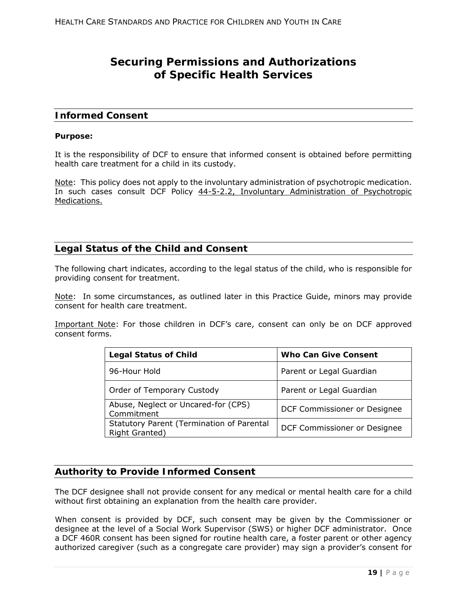# **Securing Permissions and Authorizations of Specific Health Services**

### **Informed Consent**

#### **Purpose:**

It is the responsibility of DCF to ensure that informed consent is obtained before permitting health care treatment for a child in its custody.

Note: This policy does not apply to the involuntary administration of psychotropic medication. In such cases consult DCF Policy 44-5-2.2, Involuntary Administration of Psychotropic Medications.

# **Legal Status of the Child and Consent**

The following chart indicates, according to the legal status of the child, who is responsible for providing consent for treatment.

Note: In some circumstances, as outlined later in this Practice Guide, minors may provide consent for health care treatment.

Important Note: For those children in DCF's care, consent can only be on DCF approved consent forms.

| <b>Legal Status of Child</b>                                | <b>Who Can Give Consent</b>  |
|-------------------------------------------------------------|------------------------------|
| 96-Hour Hold                                                | Parent or Legal Guardian     |
| Order of Temporary Custody                                  | Parent or Legal Guardian     |
| Abuse, Neglect or Uncared-for (CPS)<br>Commitment           | DCF Commissioner or Designee |
| Statutory Parent (Termination of Parental<br>Right Granted) | DCF Commissioner or Designee |

# **Authority to Provide Informed Consent**

The DCF designee shall not provide consent for any medical or mental health care for a child without first obtaining an explanation from the health care provider.

When consent is provided by DCF, such consent may be given by the Commissioner or designee at the level of a Social Work Supervisor (SWS) or higher DCF administrator. Once a DCF 460R consent has been signed for routine health care, a foster parent or other agency authorized caregiver (such as a congregate care provider) may sign a provider's consent for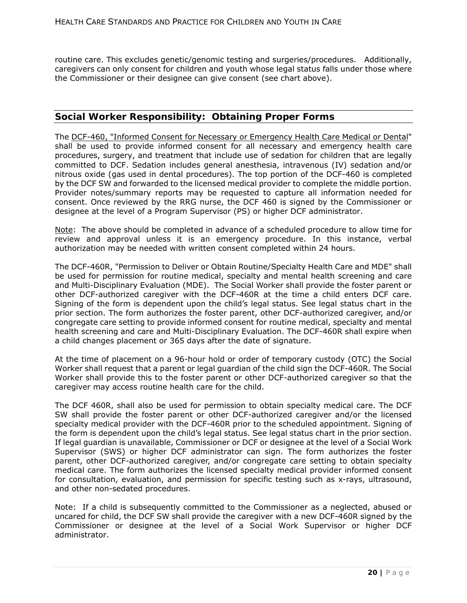routine care. This excludes genetic/genomic testing and surgeries/procedures. Additionally, caregivers can only consent for children and youth whose legal status falls under those where the Commissioner or their designee can give consent (see chart above).

# **Social Worker Responsibility: Obtaining Proper Forms**

The DCF-460, "Informed Consent for Necessary or Emergency Health Care Medical or Dental" shall be used to provide informed consent for all necessary and emergency health care procedures, surgery, and treatment that include use of sedation for children that are legally committed to DCF. Sedation includes general anesthesia, intravenous (IV) sedation and/or nitrous oxide (gas used in dental procedures). The top portion of the DCF-460 is completed by the DCF SW and forwarded to the licensed medical provider to complete the middle portion. Provider notes/summary reports may be requested to capture all information needed for consent. Once reviewed by the RRG nurse, the DCF 460 is signed by the Commissioner or designee at the level of a Program Supervisor (PS) or higher DCF administrator.

Note: The above should be completed in advance of a scheduled procedure to allow time for review and approval unless it is an emergency procedure. In this instance, verbal authorization may be needed with written consent completed within 24 hours.

The DCF-460R, "Permission to Deliver or Obtain Routine/Specialty Health Care and MDE" shall be used for permission for routine medical, specialty and mental health screening and care and Multi-Disciplinary Evaluation (MDE). The Social Worker shall provide the foster parent or other DCF-authorized caregiver with the DCF-460R at the time a child enters DCF care. Signing of the form is dependent upon the child's legal status. See legal status chart in the prior section. The form authorizes the foster parent, other DCF-authorized caregiver, and/or congregate care setting to provide informed consent for routine medical, specialty and mental health screening and care and Multi-Disciplinary Evaluation. The DCF-460R shall expire when a child changes placement or 365 days after the date of signature.

At the time of placement on a 96-hour hold or order of temporary custody (OTC) the Social Worker shall request that a parent or legal guardian of the child sign the DCF-460R. The Social Worker shall provide this to the foster parent or other DCF-authorized caregiver so that the caregiver may access routine health care for the child.

The DCF 460R, shall also be used for permission to obtain specialty medical care. The DCF SW shall provide the foster parent or other DCF-authorized caregiver and/or the licensed specialty medical provider with the DCF-460R prior to the scheduled appointment. Signing of the form is dependent upon the child's legal status. See legal status chart in the prior section. If legal guardian is unavailable, Commissioner or DCF or designee at the level of a Social Work Supervisor (SWS) or higher DCF administrator can sign. The form authorizes the foster parent, other DCF-authorized caregiver, and/or congregate care setting to obtain specialty medical care. The form authorizes the licensed specialty medical provider informed consent for consultation, evaluation, and permission for specific testing such as x-rays, ultrasound, and other non-sedated procedures.

Note: If a child is subsequently committed to the Commissioner as a neglected, abused or uncared for child, the DCF SW shall provide the caregiver with a new DCF-460R signed by the Commissioner or designee at the level of a Social Work Supervisor or higher DCF administrator.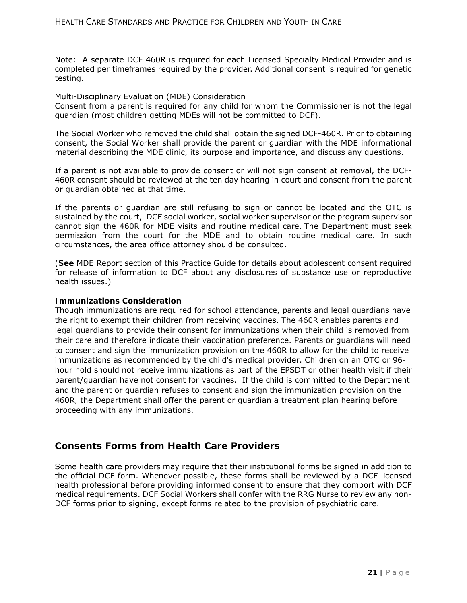Note: A separate DCF 460R is required for each Licensed Specialty Medical Provider and is completed per timeframes required by the provider. Additional consent is required for genetic testing.

Multi-Disciplinary Evaluation (MDE) Consideration

Consent from a parent is required for any child for whom the Commissioner is not the legal guardian (most children getting MDEs will not be committed to DCF).

The Social Worker who removed the child shall obtain the signed DCF-460R. Prior to obtaining consent, the Social Worker shall provide the parent or guardian with the MDE informational material describing the MDE clinic, its purpose and importance, and discuss any questions.

If a parent is not available to provide consent or will not sign consent at removal, the DCF-460R consent should be reviewed at the ten day hearing in court and consent from the parent or guardian obtained at that time.

If the parents or guardian are still refusing to sign or cannot be located and the OTC is sustained by the court, DCF social worker, social worker supervisor or the program supervisor cannot sign the 460R for MDE visits and routine medical care. The Department must seek permission from the court for the MDE and to obtain routine medical care. In such circumstances, the area office attorney should be consulted.

(**See** MDE Report section of this Practice Guide for details about adolescent consent required for release of information to DCF about any disclosures of substance use or reproductive health issues.)

#### **Immunizations Consideration**

Though immunizations are required for school attendance, parents and legal guardians have the right to exempt their children from receiving vaccines. The 460R enables parents and legal guardians to provide their consent for immunizations when their child is removed from their care and therefore indicate their vaccination preference. Parents or guardians will need to consent and sign the immunization provision on the 460R to allow for the child to receive immunizations as recommended by the child's medical provider. Children on an OTC or 96 hour hold should not receive immunizations as part of the EPSDT or other health visit if their parent/guardian have not consent for vaccines. If the child is committed to the Department and the parent or guardian refuses to consent and sign the immunization provision on the 460R, the Department shall offer the parent or guardian a treatment plan hearing before proceeding with any immunizations.

## **Consents Forms from Health Care Providers**

Some health care providers may require that their institutional forms be signed in addition to the official DCF form. Whenever possible, these forms shall be reviewed by a DCF licensed health professional before providing informed consent to ensure that they comport with DCF medical requirements. DCF Social Workers shall confer with the RRG Nurse to review any non-DCF forms prior to signing, except forms related to the provision of psychiatric care.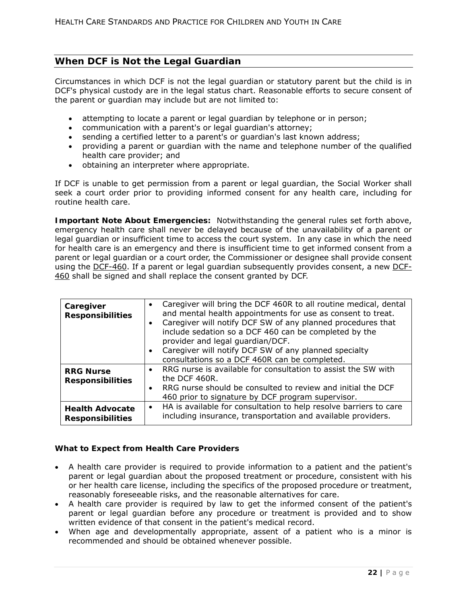# **When DCF is Not the Legal Guardian**

Circumstances in which DCF is not the legal guardian or statutory parent but the child is in DCF's physical custody are in the legal status chart. Reasonable efforts to secure consent of the parent or guardian may include but are not limited to:

- attempting to locate a parent or legal guardian by telephone or in person;
- communication with a parent's or legal guardian's attorney;
- sending a certified letter to a parent's or guardian's last known address;
- providing a parent or guardian with the name and telephone number of the qualified health care provider; and
- obtaining an interpreter where appropriate.

If DCF is unable to get permission from a parent or legal guardian, the Social Worker shall seek a court order prior to providing informed consent for any health care, including for routine health care.

**Important Note About Emergencies:** Notwithstanding the general rules set forth above, emergency health care shall never be delayed because of the unavailability of a parent or legal guardian or insufficient time to access the court system. In any case in which the need for health care is an emergency and there is insufficient time to get informed consent from a parent or legal guardian or a court order, the Commissioner or designee shall provide consent using the DCF-460. If a parent or legal guardian subsequently provides consent, a new DCF-460 shall be signed and shall replace the consent granted by DCF.

| Caregiver<br><b>Responsibilities</b>              | • Caregiver will bring the DCF 460R to all routine medical, dental<br>and mental health appointments for use as consent to treat.<br>Caregiver will notify DCF SW of any planned procedures that<br>$\bullet$<br>include sedation so a DCF 460 can be completed by the<br>provider and legal guardian/DCF.<br>• Caregiver will notify DCF SW of any planned specialty<br>consultations so a DCF 460R can be completed. |  |
|---------------------------------------------------|------------------------------------------------------------------------------------------------------------------------------------------------------------------------------------------------------------------------------------------------------------------------------------------------------------------------------------------------------------------------------------------------------------------------|--|
| <b>RRG Nurse</b><br><b>Responsibilities</b>       | • RRG nurse is available for consultation to assist the SW with<br>the DCF 460R.<br>• RRG nurse should be consulted to review and initial the DCF<br>460 prior to signature by DCF program supervisor.                                                                                                                                                                                                                 |  |
| <b>Health Advocate</b><br><b>Responsibilities</b> | HA is available for consultation to help resolve barriers to care<br>$\bullet$<br>including insurance, transportation and available providers.                                                                                                                                                                                                                                                                         |  |

#### **What to Expect from Health Care Providers**

- A health care provider is required to provide information to a patient and the patient's parent or legal guardian about the proposed treatment or procedure, consistent with his or her health care license, including the specifics of the proposed procedure or treatment, reasonably foreseeable risks, and the reasonable alternatives for care.
- A health care provider is required by law to get the informed consent of the patient's parent or legal guardian before any procedure or treatment is provided and to show written evidence of that consent in the patient's medical record.
- When age and developmentally appropriate, assent of a patient who is a minor is recommended and should be obtained whenever possible.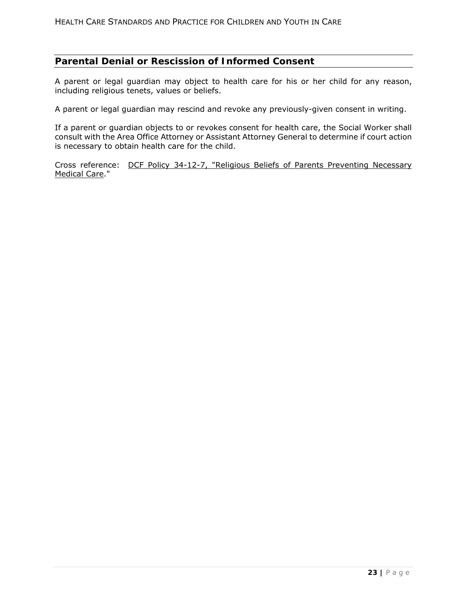# **Parental Denial or Rescission of Informed Consent**

A parent or legal guardian may object to health care for his or her child for any reason, including religious tenets, values or beliefs.

A parent or legal guardian may rescind and revoke any previously-given consent in writing.

If a parent or guardian objects to or revokes consent for health care, the Social Worker shall consult with the Area Office Attorney or Assistant Attorney General to determine if court action is necessary to obtain health care for the child.

Cross reference: DCF Policy 34-12-7, "Religious Beliefs of Parents Preventing Necessary Medical Care."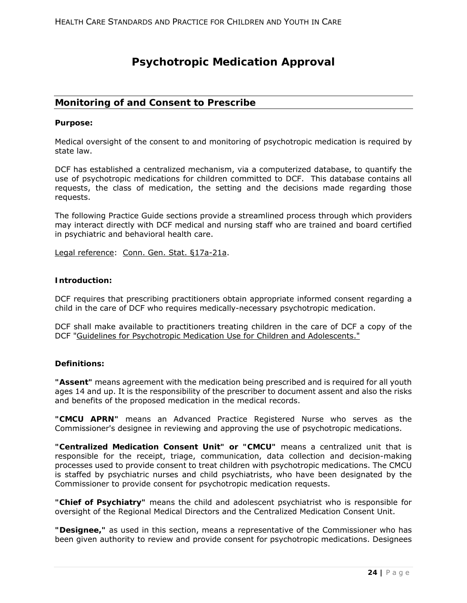# **Psychotropic Medication Approval**

## **Monitoring of and Consent to Prescribe**

#### **Purpose:**

Medical oversight of the consent to and monitoring of psychotropic medication is required by state law.

DCF has established a centralized mechanism, via a computerized database, to quantify the use of psychotropic medications for children committed to DCF. This database contains all requests, the class of medication, the setting and the decisions made regarding those requests.

The following Practice Guide sections provide a streamlined process through which providers may interact directly with DCF medical and nursing staff who are trained and board certified in psychiatric and behavioral health care.

Legal reference: Conn. Gen. Stat. §17a-21a.

#### **Introduction:**

DCF requires that prescribing practitioners obtain appropriate informed consent regarding a child in the care of DCF who requires medically-necessary psychotropic medication.

DCF shall make available to practitioners treating children in the care of DCF a copy of the DCF "Guidelines for Psychotropic Medication Use for Children and Adolescents."

#### **Definitions:**

**"Assent"** means agreement with the medication being prescribed and is required for all youth ages 14 and up. It is the responsibility of the prescriber to document assent and also the risks and benefits of the proposed medication in the medical records.

**"CMCU APRN"** means an Advanced Practice Registered Nurse who serves as the Commissioner's designee in reviewing and approving the use of psychotropic medications.

**"Centralized Medication Consent Unit" or "CMCU"** means a centralized unit that is responsible for the receipt, triage, communication, data collection and decision-making processes used to provide consent to treat children with psychotropic medications. The CMCU is staffed by psychiatric nurses and child psychiatrists, who have been designated by the Commissioner to provide consent for psychotropic medication requests.

**"Chief of Psychiatry"** means the child and adolescent psychiatrist who is responsible for oversight of the Regional Medical Directors and the Centralized Medication Consent Unit.

**"Designee,"** as used in this section, means a representative of the Commissioner who has been given authority to review and provide consent for psychotropic medications. Designees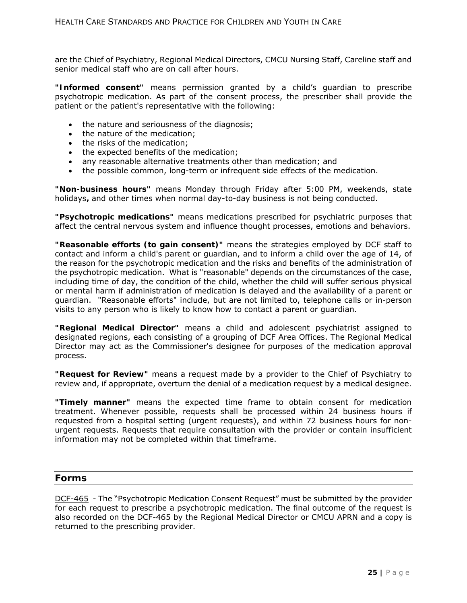are the Chief of Psychiatry, Regional Medical Directors, CMCU Nursing Staff, Careline staff and senior medical staff who are on call after hours.

**"Informed consent"** means permission granted by a child's guardian to prescribe psychotropic medication. As part of the consent process, the prescriber shall provide the patient or the patient's representative with the following:

- the nature and seriousness of the diagnosis;
- the nature of the medication;
- the risks of the medication;
- the expected benefits of the medication;
- any reasonable alternative treatments other than medication; and
- the possible common, long-term or infrequent side effects of the medication.

**"Non-business hours"** means Monday through Friday after 5:00 PM, weekends, state holidays**,** and other times when normal day-to-day business is not being conducted.

**"Psychotropic medications"** means medications prescribed for psychiatric purposes that affect the central nervous system and influence thought processes, emotions and behaviors.

**"Reasonable efforts (to gain consent)"** means the strategies employed by DCF staff to contact and inform a child's parent or guardian, and to inform a child over the age of 14, of the reason for the psychotropic medication and the risks and benefits of the administration of the psychotropic medication. What is "reasonable" depends on the circumstances of the case, including time of day, the condition of the child, whether the child will suffer serious physical or mental harm if administration of medication is delayed and the availability of a parent or guardian. "Reasonable efforts" include, but are not limited to, telephone calls or in-person visits to any person who is likely to know how to contact a parent or guardian.

**"Regional Medical Director"** means a child and adolescent psychiatrist assigned to designated regions, each consisting of a grouping of DCF Area Offices. The Regional Medical Director may act as the Commissioner's designee for purposes of the medication approval process.

**"Request for Review"** means a request made by a provider to the Chief of Psychiatry to review and, if appropriate, overturn the denial of a medication request by a medical designee.

**"Timely manner"** means the expected time frame to obtain consent for medication treatment. Whenever possible, requests shall be processed within 24 business hours if requested from a hospital setting (urgent requests), and within 72 business hours for nonurgent requests. Requests that require consultation with the provider or contain insufficient information may not be completed within that timeframe.

#### **Forms**

DCF-465 - The "Psychotropic Medication Consent Request" must be submitted by the provider for each request to prescribe a psychotropic medication. The final outcome of the request is also recorded on the DCF-465 by the Regional Medical Director or CMCU APRN and a copy is returned to the prescribing provider.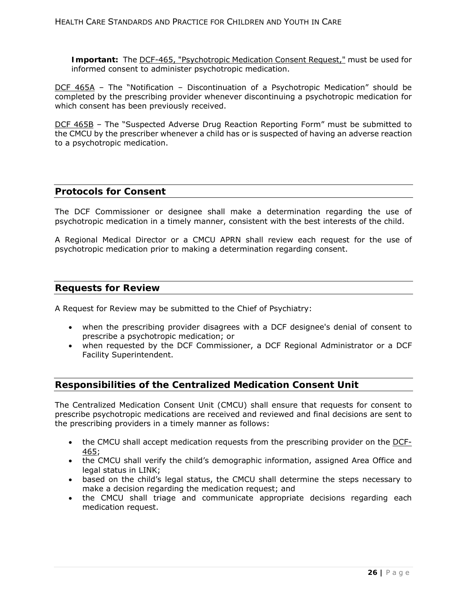**Important:** The DCF-465, "Psychotropic Medication Consent Request," must be used for informed consent to administer psychotropic medication.

DCF 465A – The "Notification – Discontinuation of a Psychotropic Medication" should be completed by the prescribing provider whenever discontinuing a psychotropic medication for which consent has been previously received.

DCF 465B – The "Suspected Adverse Drug Reaction Reporting Form" must be submitted to the CMCU by the prescriber whenever a child has or is suspected of having an adverse reaction to a psychotropic medication.

### **Protocols for Consent**

The DCF Commissioner or designee shall make a determination regarding the use of psychotropic medication in a timely manner, consistent with the best interests of the child.

A Regional Medical Director or a CMCU APRN shall review each request for the use of psychotropic medication prior to making a determination regarding consent.

### **Requests for Review**

A Request for Review may be submitted to the Chief of Psychiatry:

- when the prescribing provider disagrees with a DCF designee's denial of consent to prescribe a psychotropic medication; or
- when requested by the DCF Commissioner, a DCF Regional Administrator or a DCF Facility Superintendent.

# **Responsibilities of the Centralized Medication Consent Unit**

The Centralized Medication Consent Unit (CMCU) shall ensure that requests for consent to prescribe psychotropic medications are received and reviewed and final decisions are sent to the prescribing providers in a timely manner as follows:

- the CMCU shall accept medication requests from the prescribing provider on the DCF-465;
- the CMCU shall verify the child's demographic information, assigned Area Office and legal status in LINK;
- based on the child's legal status, the CMCU shall determine the steps necessary to make a decision regarding the medication request; and
- the CMCU shall triage and communicate appropriate decisions regarding each medication request.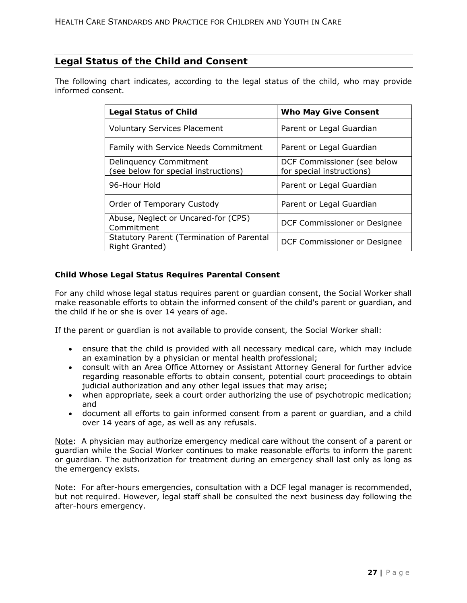# **Legal Status of the Child and Consent**

The following chart indicates, according to the legal status of the child, who may provide informed consent.

| <b>Legal Status of Child</b>                                  | <b>Who May Give Consent</b>                              |
|---------------------------------------------------------------|----------------------------------------------------------|
| <b>Voluntary Services Placement</b>                           | Parent or Legal Guardian                                 |
| Family with Service Needs Commitment                          | Parent or Legal Guardian                                 |
| Delinquency Commitment<br>see below for special instructions) | DCF Commissioner (see below<br>for special instructions) |
| 96-Hour Hold                                                  | Parent or Legal Guardian                                 |
| Order of Temporary Custody                                    | Parent or Legal Guardian                                 |
| Abuse, Neglect or Uncared-for (CPS)<br>Commitment             | DCF Commissioner or Designee                             |
| Statutory Parent (Termination of Parental<br>Right Granted)   | DCF Commissioner or Designee                             |

#### **Child Whose Legal Status Requires Parental Consent**

For any child whose legal status requires parent or guardian consent, the Social Worker shall make reasonable efforts to obtain the informed consent of the child's parent or guardian, and the child if he or she is over 14 years of age.

If the parent or guardian is not available to provide consent, the Social Worker shall:

- ensure that the child is provided with all necessary medical care, which may include an examination by a physician or mental health professional;
- consult with an Area Office Attorney or Assistant Attorney General for further advice regarding reasonable efforts to obtain consent, potential court proceedings to obtain judicial authorization and any other legal issues that may arise;
- when appropriate, seek a court order authorizing the use of psychotropic medication; and
- document all efforts to gain informed consent from a parent or guardian, and a child over 14 years of age, as well as any refusals.

Note: A physician may authorize emergency medical care without the consent of a parent or guardian while the Social Worker continues to make reasonable efforts to inform the parent or guardian. The authorization for treatment during an emergency shall last only as long as the emergency exists.

Note: For after-hours emergencies, consultation with a DCF legal manager is recommended, but not required. However, legal staff shall be consulted the next business day following the after-hours emergency.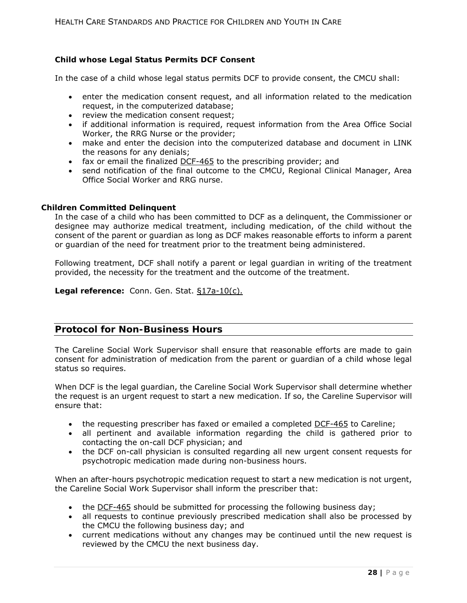## **Child whose Legal Status Permits DCF Consent**

In the case of a child whose legal status permits DCF to provide consent, the CMCU shall:

- enter the medication consent request, and all information related to the medication request, in the computerized database;
- review the medication consent request;
- if additional information is required, request information from the Area Office Social Worker, the RRG Nurse or the provider;
- make and enter the decision into the computerized database and document in LINK the reasons for any denials;
- fax or email the finalized DCF-465 to the prescribing provider; and
- send notification of the final outcome to the CMCU, Regional Clinical Manager, Area Office Social Worker and RRG nurse.

#### **Children Committed Delinquent**

In the case of a child who has been committed to DCF as a delinquent, the Commissioner or designee may authorize medical treatment, including medication, of the child without the consent of the parent or guardian as long as DCF makes reasonable efforts to inform a parent or guardian of the need for treatment prior to the treatment being administered.

Following treatment, DCF shall notify a parent or legal guardian in writing of the treatment provided, the necessity for the treatment and the outcome of the treatment.

**Legal reference:** Conn. Gen. Stat. §17a-10(c).

## **Protocol for Non-Business Hours**

The Careline Social Work Supervisor shall ensure that reasonable efforts are made to gain consent for administration of medication from the parent or guardian of a child whose legal status so requires.

When DCF is the legal guardian, the Careline Social Work Supervisor shall determine whether the request is an urgent request to start a new medication. If so, the Careline Supervisor will ensure that:

- the requesting prescriber has faxed or emailed a completed DCF-465 to Careline;
- all pertinent and available information regarding the child is gathered prior to contacting the on-call DCF physician; and
- the DCF on-call physician is consulted regarding all new urgent consent requests for psychotropic medication made during non-business hours.

When an after-hours psychotropic medication request to start a new medication is not urgent, the Careline Social Work Supervisor shall inform the prescriber that:

- the DCF-465 should be submitted for processing the following business day;
- all requests to continue previously prescribed medication shall also be processed by the CMCU the following business day; and
- current medications without any changes may be continued until the new request is reviewed by the CMCU the next business day.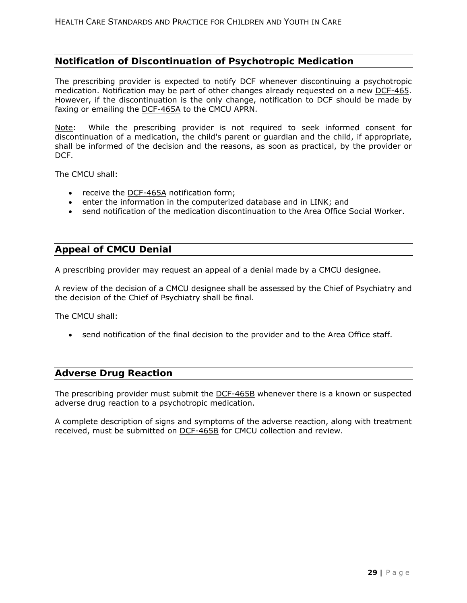## **Notification of Discontinuation of Psychotropic Medication**

The prescribing provider is expected to notify DCF whenever discontinuing a psychotropic medication. Notification may be part of other changes already requested on a new DCF-465. However, if the discontinuation is the only change, notification to DCF should be made by faxing or emailing the **DCF-465A** to the CMCU APRN.

Note: While the prescribing provider is not required to seek informed consent for discontinuation of a medication, the child's parent or guardian and the child, if appropriate, shall be informed of the decision and the reasons, as soon as practical, by the provider or DCF.

The CMCU shall:

- receive the DCF-465A notification form;
- enter the information in the computerized database and in LINK; and
- send notification of the medication discontinuation to the Area Office Social Worker.

# **Appeal of CMCU Denial**

A prescribing provider may request an appeal of a denial made by a CMCU designee.

A review of the decision of a CMCU designee shall be assessed by the Chief of Psychiatry and the decision of the Chief of Psychiatry shall be final.

The CMCU shall:

send notification of the final decision to the provider and to the Area Office staff.

#### **Adverse Drug Reaction**

The prescribing provider must submit the DCF-465B whenever there is a known or suspected adverse drug reaction to a psychotropic medication.

A complete description of signs and symptoms of the adverse reaction, along with treatment received, must be submitted on DCF-465B for CMCU collection and review.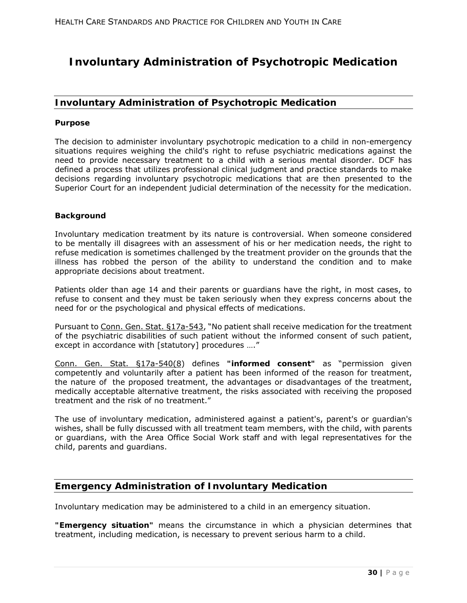# **Involuntary Administration of Psychotropic Medication**

# **Involuntary Administration of Psychotropic Medication**

#### **Purpose**

The decision to administer involuntary psychotropic medication to a child in non-emergency situations requires weighing the child's right to refuse psychiatric medications against the need to provide necessary treatment to a child with a serious mental disorder. DCF has defined a process that utilizes professional clinical judgment and practice standards to make decisions regarding involuntary psychotropic medications that are then presented to the Superior Court for an independent judicial determination of the necessity for the medication.

#### **Background**

Involuntary medication treatment by its nature is controversial. When someone considered to be mentally ill disagrees with an assessment of his or her medication needs, the right to refuse medication is sometimes challenged by the treatment provider on the grounds that the illness has robbed the person of the ability to understand the condition and to make appropriate decisions about treatment.

Patients older than age 14 and their parents or guardians have the right, in most cases, to refuse to consent and they must be taken seriously when they express concerns about the need for or the psychological and physical effects of medications.

Pursuant to Conn. Gen. Stat. §17a-543, "No patient shall receive medication for the treatment of the psychiatric disabilities of such patient without the informed consent of such patient, except in accordance with [statutory] procedures ...."

Conn. Gen. Stat. §17a-540(8) defines **"informed consent"** as "permission given competently and voluntarily after a patient has been informed of the reason for treatment, the nature of the proposed treatment, the advantages or disadvantages of the treatment, medically acceptable alternative treatment, the risks associated with receiving the proposed treatment and the risk of no treatment."

The use of involuntary medication, administered against a patient's, parent's or guardian's wishes, shall be fully discussed with all treatment team members, with the child, with parents or guardians, with the Area Office Social Work staff and with legal representatives for the child, parents and guardians.

# **Emergency Administration of Involuntary Medication**

Involuntary medication may be administered to a child in an emergency situation.

**"Emergency situation"** means the circumstance in which a physician determines that treatment, including medication, is necessary to prevent serious harm to a child.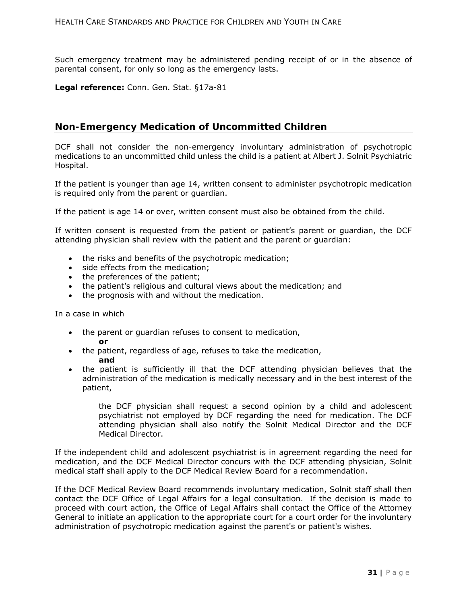Such emergency treatment may be administered pending receipt of or in the absence of parental consent, for only so long as the emergency lasts.

#### **Legal reference:** Conn. Gen. Stat. §17a-81

## **Non-Emergency Medication of Uncommitted Children**

DCF shall not consider the non-emergency involuntary administration of psychotropic medications to an uncommitted child unless the child is a patient at Albert J. Solnit Psychiatric Hospital.

If the patient is younger than age 14, written consent to administer psychotropic medication is required only from the parent or guardian.

If the patient is age 14 or over, written consent must also be obtained from the child.

If written consent is requested from the patient or patient's parent or guardian, the DCF attending physician shall review with the patient and the parent or guardian:

- the risks and benefits of the psychotropic medication;
- side effects from the medication;
- the preferences of the patient;
- the patient's religious and cultural views about the medication; and
- the prognosis with and without the medication.

In a case in which

- the parent or guardian refuses to consent to medication, **or**
- the patient, regardless of age, refuses to take the medication, **and**
- the patient is sufficiently ill that the DCF attending physician believes that the administration of the medication is medically necessary and in the best interest of the patient,

the DCF physician shall request a second opinion by a child and adolescent psychiatrist not employed by DCF regarding the need for medication. The DCF attending physician shall also notify the Solnit Medical Director and the DCF Medical Director.

If the independent child and adolescent psychiatrist is in agreement regarding the need for medication, and the DCF Medical Director concurs with the DCF attending physician, Solnit medical staff shall apply to the DCF Medical Review Board for a recommendation.

If the DCF Medical Review Board recommends involuntary medication, Solnit staff shall then contact the DCF Office of Legal Affairs for a legal consultation. If the decision is made to proceed with court action, the Office of Legal Affairs shall contact the Office of the Attorney General to initiate an application to the appropriate court for a court order for the involuntary administration of psychotropic medication against the parent's or patient's wishes.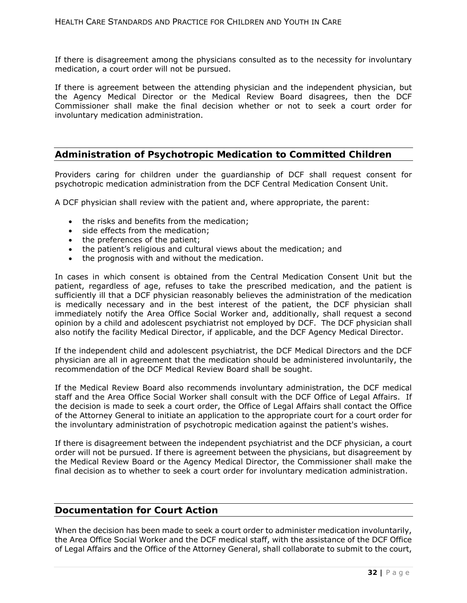If there is disagreement among the physicians consulted as to the necessity for involuntary medication, a court order will not be pursued.

If there is agreement between the attending physician and the independent physician, but the Agency Medical Director or the Medical Review Board disagrees, then the DCF Commissioner shall make the final decision whether or not to seek a court order for involuntary medication administration.

## **Administration of Psychotropic Medication to Committed Children**

Providers caring for children under the guardianship of DCF shall request consent for psychotropic medication administration from the DCF Central Medication Consent Unit.

A DCF physician shall review with the patient and, where appropriate, the parent:

- the risks and benefits from the medication;
- side effects from the medication;
- the preferences of the patient;
- the patient's religious and cultural views about the medication; and
- the prognosis with and without the medication.

In cases in which consent is obtained from the Central Medication Consent Unit but the patient, regardless of age, refuses to take the prescribed medication, and the patient is sufficiently ill that a DCF physician reasonably believes the administration of the medication is medically necessary and in the best interest of the patient, the DCF physician shall immediately notify the Area Office Social Worker and, additionally, shall request a second opinion by a child and adolescent psychiatrist not employed by DCF. The DCF physician shall also notify the facility Medical Director, if applicable, and the DCF Agency Medical Director.

If the independent child and adolescent psychiatrist, the DCF Medical Directors and the DCF physician are all in agreement that the medication should be administered involuntarily, the recommendation of the DCF Medical Review Board shall be sought.

If the Medical Review Board also recommends involuntary administration, the DCF medical staff and the Area Office Social Worker shall consult with the DCF Office of Legal Affairs. If the decision is made to seek a court order, the Office of Legal Affairs shall contact the Office of the Attorney General to initiate an application to the appropriate court for a court order for the involuntary administration of psychotropic medication against the patient's wishes.

If there is disagreement between the independent psychiatrist and the DCF physician, a court order will not be pursued. If there is agreement between the physicians, but disagreement by the Medical Review Board or the Agency Medical Director, the Commissioner shall make the final decision as to whether to seek a court order for involuntary medication administration.

#### **Documentation for Court Action**

When the decision has been made to seek a court order to administer medication involuntarily, the Area Office Social Worker and the DCF medical staff, with the assistance of the DCF Office of Legal Affairs and the Office of the Attorney General, shall collaborate to submit to the court,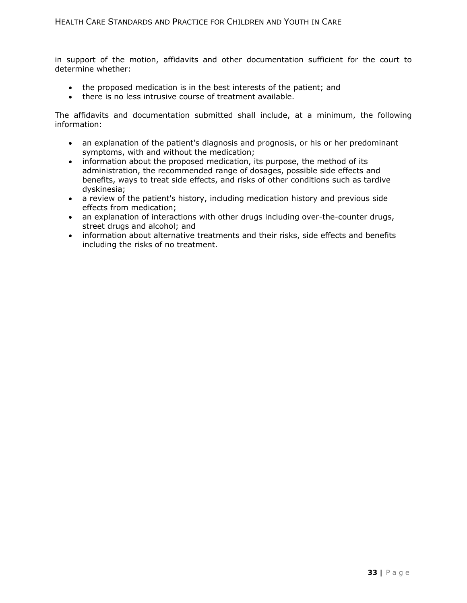in support of the motion, affidavits and other documentation sufficient for the court to determine whether:

- the proposed medication is in the best interests of the patient; and
- there is no less intrusive course of treatment available.

The affidavits and documentation submitted shall include, at a minimum, the following information:

- an explanation of the patient's diagnosis and prognosis, or his or her predominant symptoms, with and without the medication;
- information about the proposed medication, its purpose, the method of its administration, the recommended range of dosages, possible side effects and benefits, ways to treat side effects, and risks of other conditions such as tardive dyskinesia;
- a review of the patient's history, including medication history and previous side effects from medication;
- an explanation of interactions with other drugs including over-the-counter drugs, street drugs and alcohol; and
- information about alternative treatments and their risks, side effects and benefits including the risks of no treatment.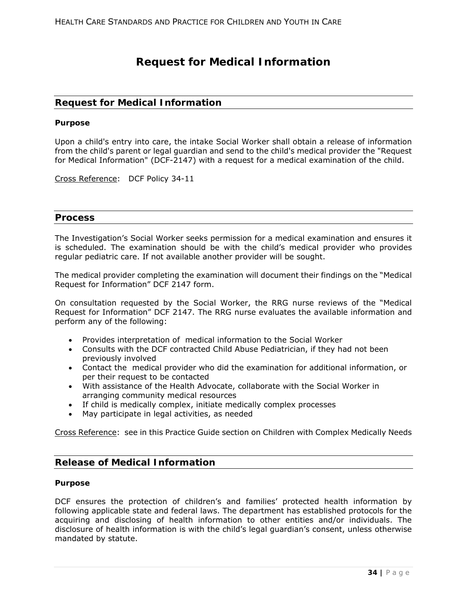# **Request for Medical Information**

## **Request for Medical Information**

#### **Purpose**

Upon a child's entry into care, the intake Social Worker shall obtain a release of information from the child's parent or legal guardian and send to the child's medical provider the "Request for Medical Information" (DCF-2147) with a request for a medical examination of the child.

Cross Reference: DCF Policy 34-11

### **Process**

The Investigation's Social Worker seeks permission for a medical examination and ensures it is scheduled. The examination should be with the child's medical provider who provides regular pediatric care. If not available another provider will be sought.

The medical provider completing the examination will document their findings on the "Medical Request for Information" DCF 2147 form.

On consultation requested by the Social Worker, the RRG nurse reviews of the "Medical Request for Information" DCF 2147. The RRG nurse evaluates the available information and perform any of the following:

- Provides interpretation of medical information to the Social Worker
- Consults with the DCF contracted Child Abuse Pediatrician, if they had not been previously involved
- Contact the medical provider who did the examination for additional information, or per their request to be contacted
- With assistance of the Health Advocate, collaborate with the Social Worker in arranging community medical resources
- If child is medically complex, initiate medically complex processes
- May participate in legal activities, as needed

Cross Reference: see in this Practice Guide section on Children with Complex Medically Needs

## **Release of Medical Information**

#### **Purpose**

DCF ensures the protection of children's and families' protected health information by following applicable state and federal laws. The department has established protocols for the acquiring and disclosing of health information to other entities and/or individuals. The disclosure of health information is with the child's legal guardian's consent, unless otherwise mandated by statute.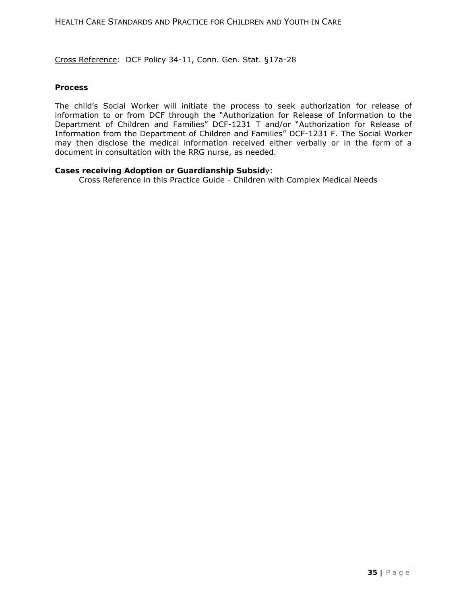Cross Reference: DCF Policy 34-11, Conn. Gen. Stat. §17a-28

#### **Process**

The child's Social Worker will initiate the process to seek authorization for release of information to or from DCF through the "Authorization for Release of Information to the Department of Children and Families" DCF-1231 T and/or "Authorization for Release of Information from the Department of Children and Families" DCF-1231 F. The Social Worker may then disclose the medical information received either verbally or in the form of a document in consultation with the RRG nurse, as needed.

#### **Cases receiving Adoption or Guardianship Subsid**y:

Cross Reference in this Practice Guide - Children with Complex Medical Needs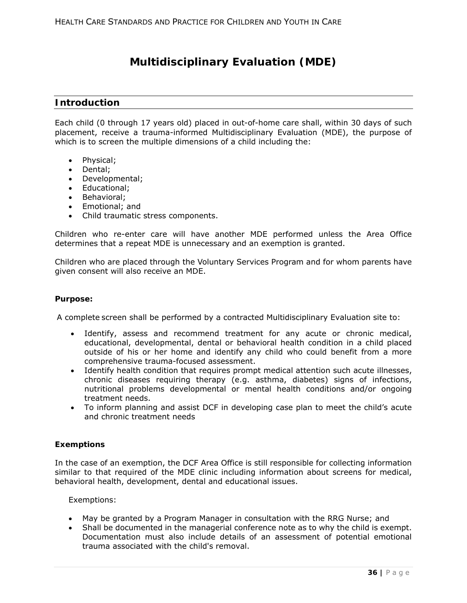# **Multidisciplinary Evaluation (MDE)**

## **Introduction**

Each child (0 through 17 years old) placed in out-of-home care shall, within 30 days of such placement, receive a trauma-informed Multidisciplinary Evaluation (MDE), the purpose of which is to screen the multiple dimensions of a child including the:

- Physical;
- Dental;
- Developmental;
- Educational;
- Behavioral;
- Emotional; and
- Child traumatic stress components.

Children who re-enter care will have another MDE performed unless the Area Office determines that a repeat MDE is unnecessary and an exemption is granted.

Children who are placed through the Voluntary Services Program and for whom parents have given consent will also receive an MDE.

#### **Purpose:**

A complete screen shall be performed by a contracted Multidisciplinary Evaluation site to:

- Identify, assess and recommend treatment for any acute or chronic medical, educational, developmental, dental or behavioral health condition in a child placed outside of his or her home and identify any child who could benefit from a more comprehensive trauma-focused assessment.
- Identify health condition that requires prompt medical attention such acute illnesses, chronic diseases requiring therapy (e.g. asthma, diabetes) signs of infections, nutritional problems developmental or mental health conditions and/or ongoing treatment needs.
- To inform planning and assist DCF in developing case plan to meet the child's acute and chronic treatment needs

#### **Exemptions**

In the case of an exemption, the DCF Area Office is still responsible for collecting information similar to that required of the MDE clinic including information about screens for medical, behavioral health, development, dental and educational issues.

Exemptions:

- May be granted by a Program Manager in consultation with the RRG Nurse; and
- Shall be documented in the managerial conference note as to why the child is exempt. Documentation must also include details of an assessment of potential emotional trauma associated with the child's removal.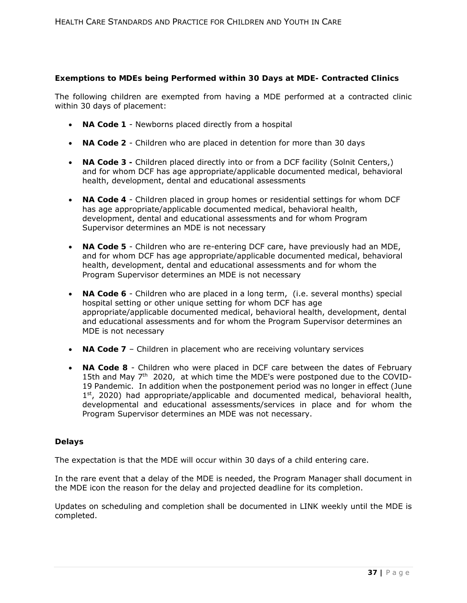## **Exemptions to MDEs being Performed within 30 Days at MDE- Contracted Clinics**

The following children are exempted from having a MDE performed at a contracted clinic within 30 days of placement:

- **NA Code 1** Newborns placed directly from a hospital
- **NA Code 2** Children who are placed in detention for more than 30 days
- **NA Code 3** Children placed directly into or from a DCF facility (Solnit Centers,) and for whom DCF has age appropriate/applicable documented medical, behavioral health, development, dental and educational assessments
- **NA Code 4** Children placed in group homes or residential settings for whom DCF has age appropriate/applicable documented medical, behavioral health, development, dental and educational assessments and for whom Program Supervisor determines an MDE is not necessary
- **NA Code 5** Children who are re-entering DCF care, have previously had an MDE, and for whom DCF has age appropriate/applicable documented medical, behavioral health, development, dental and educational assessments and for whom the Program Supervisor determines an MDE is not necessary
- **NA Code 6** Children who are placed in a long term, (i.e. several months) special hospital setting or other unique setting for whom DCF has age appropriate/applicable documented medical, behavioral health, development, dental and educational assessments and for whom the Program Supervisor determines an MDE is not necessary
- **NA Code 7** Children in placement who are receiving voluntary services
- **NA Code 8**  Children who were placed in DCF care between the dates of February 15th and May 7<sup>th</sup> 2020, at which time the MDE's were postponed due to the COVID-19 Pandemic. In addition when the postponement period was no longer in effect (June  $1<sup>st</sup>$ , 2020) had appropriate/applicable and documented medical, behavioral health, developmental and educational assessments/services in place and for whom the Program Supervisor determines an MDE was not necessary.

## **Delays**

The expectation is that the MDE will occur within 30 days of a child entering care.

In the rare event that a delay of the MDE is needed, the Program Manager shall document in the MDE icon the reason for the delay and projected deadline for its completion.

Updates on scheduling and completion shall be documented in LINK weekly until the MDE is completed.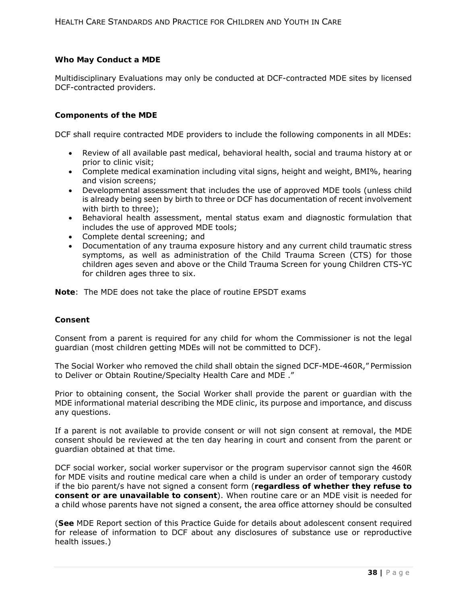### **Who May Conduct a MDE**

Multidisciplinary Evaluations may only be conducted at DCF-contracted MDE sites by licensed DCF-contracted providers.

### **Components of the MDE**

DCF shall require contracted MDE providers to include the following components in all MDEs:

- Review of all available past medical, behavioral health, social and trauma history at or prior to clinic visit;
- Complete medical examination including vital signs, height and weight, BMI%, hearing and vision screens;
- Developmental assessment that includes the use of approved MDE tools (unless child is already being seen by birth to three or DCF has documentation of recent involvement with birth to three);
- Behavioral health assessment, mental status exam and diagnostic formulation that includes the use of approved MDE tools;
- Complete dental screening; and
- Documentation of any trauma exposure history and any current child traumatic stress symptoms, as well as administration of the Child Trauma Screen (CTS) for those children ages seven and above *or the* Child Trauma Screen for young Children CTS-YC for children ages three to six.

**Note**: The MDE does not take the place of routine EPSDT exams

#### **Consent**

Consent from a parent is required for any child for whom the Commissioner is not the legal guardian (most children getting MDEs will not be committed to DCF).

The Social Worker who removed the child shall obtain the signed DCF-MDE-460R," Permission to Deliver or Obtain Routine/Specialty Health Care and MDE ."

Prior to obtaining consent, the Social Worker shall provide the parent or guardian with the MDE informational material describing the MDE clinic, its purpose and importance, and discuss any questions.

If a parent is not available to provide consent or will not sign consent at removal, the MDE consent should be reviewed at the ten day hearing in court and consent from the parent or guardian obtained at that time.

DCF social worker, social worker supervisor or the program supervisor cannot sign the 460R for MDE visits and routine medical care when a child is under an order of temporary custody if the bio parent/s have not signed a consent form (**regardless of whether they refuse to consent or are unavailable to consent**). When routine care or an MDE visit is needed for a child whose parents have not signed a consent, the area office attorney should be consulted

(**See** MDE Report section of this Practice Guide for details about adolescent consent required for release of information to DCF about any disclosures of substance use or reproductive health issues.)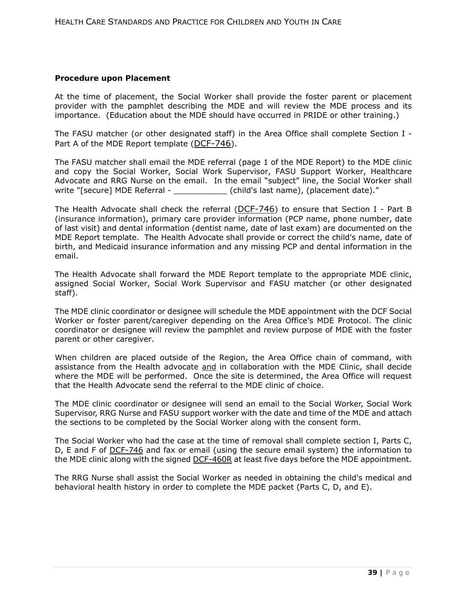### **Procedure upon Placement**

At the time of placement, the Social Worker shall provide the foster parent or placement provider with the pamphlet describing the MDE and will review the MDE process and its importance. (Education about the MDE should have occurred in PRIDE or other training.)

The FASU matcher (or other designated staff) in the Area Office shall complete Section I - Part A of the MDE Report template (DCF-746).

The FASU matcher shall email the MDE referral (page 1 of the MDE Report) to the MDE clinic and copy the Social Worker, Social Work Supervisor, FASU Support Worker, Healthcare Advocate and RRG Nurse on the email. In the email "subject" line, the Social Worker shall write "[secure] MDE Referral -  $\qquad \qquad$  (child's last name), (placement date)."

The Health Advocate shall check the referral  $(DCF-746)$  to ensure that Section I - Part B (insurance information), primary care provider information (PCP name, phone number, date of last visit) and dental information (dentist name, date of last exam) are documented on the MDE Report template. The Health Advocate shall provide or correct the child's name, date of birth, and Medicaid insurance information and any missing PCP and dental information in the email.

The Health Advocate shall forward the MDE Report template to the appropriate MDE clinic, assigned Social Worker, Social Work Supervisor and FASU matcher (or other designated staff).

The MDE clinic coordinator or designee will schedule the MDE appointment with the DCF Social Worker or foster parent/caregiver depending on the Area Office's MDE Protocol. The clinic coordinator or designee will review the pamphlet and review purpose of MDE with the foster parent or other caregiver.

When children are placed outside of the Region, the Area Office chain of command, with assistance from the Health advocate *and* in collaboration with the MDE Clinic, shall decide where the MDE will be performed. Once the site is determined, the Area Office will request that the Health Advocate send the referral to the MDE clinic of choice.

The MDE clinic coordinator or designee will send an email to the Social Worker, Social Work Supervisor, RRG Nurse and FASU support worker with the date and time of the MDE and attach the sections to be completed by the Social Worker along with the consent form.

The Social Worker who had the case at the time of removal shall complete section I, Parts C, D, E and F of DCF-746 and fax or email (using the secure email system) the information to the MDE clinic along with the signed **DCF-460R** at least five days before the MDE appointment.

The RRG Nurse shall assist the Social Worker as needed in obtaining the child's medical and behavioral health history in order to complete the MDE packet (Parts C, D, and E).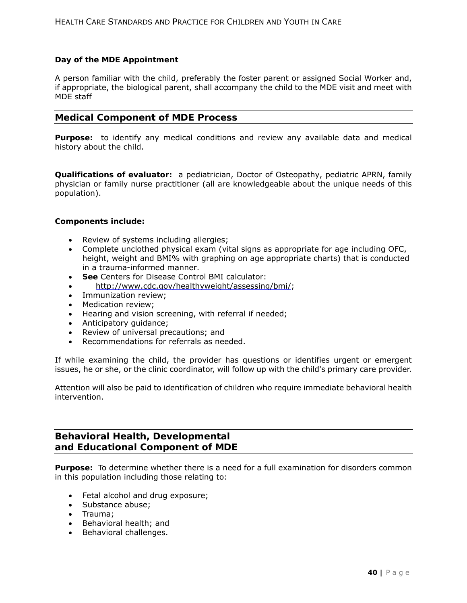## **Day of the MDE Appointment**

A person familiar with the child, preferably the foster parent or assigned Social Worker and, if appropriate, the biological parent, shall accompany the child to the MDE visit and meet with MDE staff

### **Medical Component of MDE Process**

**Purpose:** to identify any medical conditions and review any available data and medical history about the child.

**Qualifications of evaluator:** a pediatrician, Doctor of Osteopathy, pediatric APRN, family physician or family nurse practitioner (all are knowledgeable about the unique needs of this population).

#### **Components include:**

- Review of systems including allergies;
- Complete unclothed physical exam (vital signs as appropriate for age including OFC, height, weight and BMI% with graphing on age appropriate charts) that is conducted in a trauma-informed manner.
- **See** Centers for Disease Control BMI calculator:
- http://www.cdc.gov/healthyweight/assessing/bmi/;
- Immunization review:
- Medication review:
- Hearing and vision screening, with referral if needed;
- Anticipatory guidance;
- Review of universal precautions; and
- Recommendations for referrals as needed.

If while examining the child, the provider has questions or identifies urgent or emergent issues, he or she, or the clinic coordinator, will follow up with the child's primary care provider.

Attention will also be paid to identification of children who require immediate behavioral health intervention.

# **Behavioral Health, Developmental and Educational Component of MDE**

**Purpose:** To determine whether there is a need for a full examination for disorders common in this population including those relating to:

- Fetal alcohol and drug exposure;
- Substance abuse;
- Trauma;
- Behavioral health; and
- Behavioral challenges.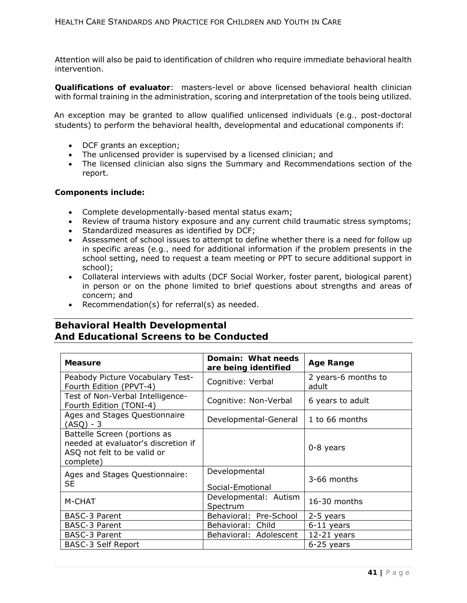Attention will also be paid to identification of children who require immediate behavioral health intervention.

**Qualifications of evaluator**: masters-level or above licensed behavioral health clinician with formal training in the administration, scoring and interpretation of the tools being utilized.

An exception may be granted to allow qualified unlicensed individuals (*e.g.,* post-doctoral students) to perform the behavioral health, developmental and educational components if:

- DCF grants an exception;
- The unlicensed provider is supervised by a licensed clinician; and
- The licensed clinician also signs the Summary and Recommendations section of the report.

## **Components include:**

- Complete developmentally-based mental status exam;
- Review of trauma history exposure and any current child traumatic stress symptoms;
- Standardized measures as identified by DCF;
- Assessment of school issues to attempt to define whether there is a need for follow up in specific areas (*e.g.,* need for additional information if the problem presents in the school setting, need to request a team meeting or PPT to secure additional support in school);
- Collateral interviews with adults (DCF Social Worker, foster parent, biological parent) in person or on the phone limited to brief questions about strengths and areas of concern; and
- Recommendation(s) for referral(s) as needed.

# **Behavioral Health Developmental And Educational Screens to be Conducted**

| <b>Measure</b>                                                                                                  | Domain: What needs<br>are being identified | <b>Age Range</b>             |
|-----------------------------------------------------------------------------------------------------------------|--------------------------------------------|------------------------------|
| Peabody Picture Vocabulary Test-<br>Fourth Edition (PPVT-4)                                                     | Cognitive: Verbal                          | 2 years-6 months to<br>adult |
| Test of Non-Verbal Intelligence-<br>Fourth Edition (TONI-4)                                                     | Cognitive: Non-Verbal                      | 6 years to adult             |
| Ages and Stages Questionnaire<br>(ASQ) - 3                                                                      | Developmental-General                      | 1 to 66 months               |
| Battelle Screen (portions as<br>needed at evaluator's discretion if<br>ASQ not felt to be valid or<br>complete) |                                            | $0-8$ years                  |
| Ages and Stages Questionnaire:<br><b>SE</b>                                                                     | Developmental<br>Social-Emotional          | 3-66 months                  |
| M-CHAT                                                                                                          | Developmental: Autism<br>Spectrum          | 16-30 months                 |
| <b>BASC-3 Parent</b>                                                                                            | Behavioral: Pre-School                     | 2-5 years                    |
| <b>BASC-3 Parent</b>                                                                                            | Behavioral: Child                          | $6-11$ years                 |
| <b>BASC-3 Parent</b>                                                                                            | Behavioral: Adolescent                     | $12-21$ years                |
| <i>BASC-3 Self Report</i>                                                                                       |                                            | 6-25 years                   |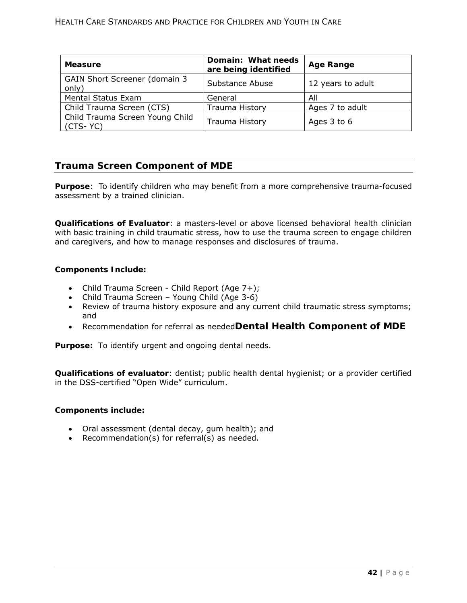| <b>Measure</b>                                 | Domain: What needs<br>are being identified | <b>Age Range</b>  |
|------------------------------------------------|--------------------------------------------|-------------------|
| <b>GAIN Short Screener (domain 3)</b><br>only) | Substance Abuse                            | 12 years to adult |
| Mental Status Exam                             | General                                    | All               |
| Child Trauma Screen (CTS)                      | <b>Trauma History</b>                      | Ages 7 to adult   |
| Child Trauma Screen Young Child<br>$(CTS-YC)$  | <b>Trauma History</b>                      | Ages 3 to 6       |

# **Trauma Screen Component of MDE**

**Purpose**: To identify children who may benefit from a more comprehensive trauma-focused assessment by a trained clinician.

**Qualifications of Evaluator**: a masters-level or above licensed behavioral health clinician with basic training in child traumatic stress, how to use the trauma screen to engage children and caregivers, and how to manage responses and disclosures of trauma.

### **Components Include:**

- Child Trauma Screen Child Report (Age 7+);
- Child Trauma Screen Young Child (Age 3-6)
- Review of trauma history exposure and any current child traumatic stress symptoms; and
- Recommendation for referral as needed**Dental Health Component of MDE**

**Purpose:** To identify urgent and ongoing dental needs.

**Qualifications of evaluator**: dentist; public health dental hygienist; or a provider certified in the DSS-certified "Open Wide" curriculum.

#### **Components include:**

- Oral assessment (dental decay, gum health); and
- Recommendation(s) for referral(s) as needed.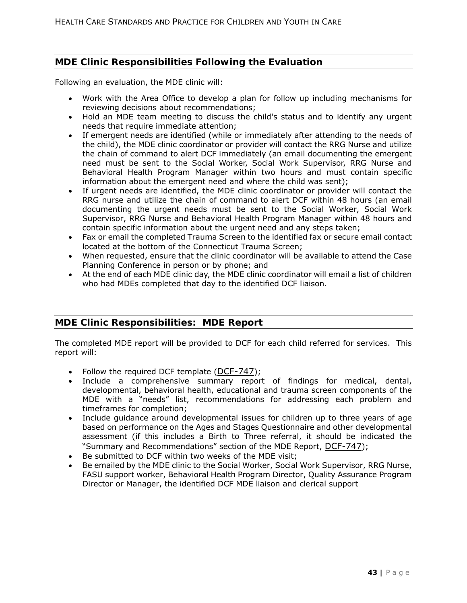# **MDE Clinic Responsibilities Following the Evaluation**

Following an evaluation, the MDE clinic will:

- Work with the Area Office to develop a plan for follow up including mechanisms for reviewing decisions about recommendations;
- Hold an MDE team meeting to discuss the child's status and to identify any urgent needs that require immediate attention;
- If emergent needs are identified (while or immediately after attending to the needs of the child), the MDE clinic coordinator or provider will contact the RRG Nurse and utilize the chain of command to alert DCF immediately (an email documenting the emergent need must be sent to the Social Worker, Social Work Supervisor, RRG Nurse and Behavioral Health Program Manager within two hours and must contain specific information about the emergent need and where the child was sent);
- If urgent needs are identified, the MDE clinic coordinator or provider will contact the RRG nurse and utilize the chain of command to alert DCF within 48 hours (an email documenting the urgent needs must be sent to the Social Worker, Social Work Supervisor, RRG Nurse and Behavioral Health Program Manager within 48 hours and contain specific information about the urgent need and any steps taken;
- Fax or email the completed Trauma Screen to the identified fax or secure email contact located at the bottom of the Connecticut Trauma Screen;
- When requested, ensure that the clinic coordinator will be available to attend the Case Planning Conference in person or by phone; and
- At the end of each MDE clinic day, the MDE clinic coordinator will email a list of children who had MDEs completed that day to the identified DCF liaison.

# **MDE Clinic Responsibilities: MDE Report**

The completed MDE report will be provided to DCF for each child referred for services. This report will:

- Follow the required DCF template (DCF-747);
- Include a comprehensive summary report of findings for medical, dental, developmental, behavioral health, educational and trauma screen components of the MDE with a "needs" list, recommendations for addressing each problem and timeframes for completion;
- Include guidance around developmental issues for children up to three years of age based on performance on the Ages and Stages Questionnaire and other developmental assessment (if this includes a Birth to Three referral, it should be indicated the "Summary and Recommendations" section of the MDE Report, DCF-747);
- Be submitted to DCF within two weeks of the MDE visit;
- Be emailed by the MDE clinic to the Social Worker, Social Work Supervisor, RRG Nurse, FASU support worker, Behavioral Health Program Director, Quality Assurance Program Director or Manager, the identified DCF MDE liaison and clerical support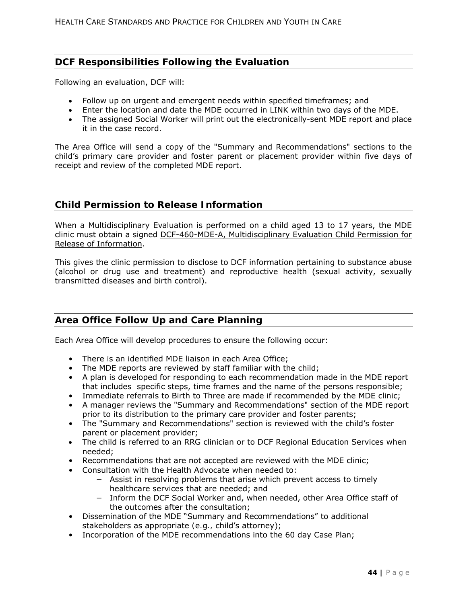# **DCF Responsibilities Following the Evaluation**

Following an evaluation, DCF will:

- Follow up on urgent and emergent needs within specified timeframes; and
- Enter the location and date the MDE occurred in LINK within two days of the MDE.
- The assigned Social Worker will print out the electronically-sent MDE report and place it in the case record.

The Area Office will send a copy of the "Summary and Recommendations" sections to the child's primary care provider and foster parent or placement provider within five days of receipt and review of the completed MDE report.

## **Child Permission to Release Information**

When a Multidisciplinary Evaluation is performed on a child aged 13 to 17 years, the MDE clinic must obtain a signed DCF-460-MDE-A, Multidisciplinary Evaluation Child Permission for Release of Information.

This gives the clinic permission to disclose to DCF information pertaining to substance abuse (alcohol or drug use and treatment) and reproductive health (sexual activity, sexually transmitted diseases and birth control).

# **Area Office Follow Up and Care Planning**

Each Area Office will develop procedures to ensure the following occur:

- There is an identified MDE liaison in each Area Office;
- The MDE reports are reviewed by staff familiar with the child;
- A plan is developed for responding to each recommendation made in the MDE report that includes specific steps, time frames and the name of the persons responsible;
- Immediate referrals to Birth to Three are made if recommended by the MDE clinic;
- A manager reviews the "Summary and Recommendations" section of the MDE report prior to its distribution to the primary care provider and foster parents;
- The "Summary and Recommendations" section is reviewed with the child's foster parent or placement provider;
- The child is referred to an RRG clinician or to DCF Regional Education Services when needed;
- Recommendations that are not accepted are reviewed with the MDE clinic;
- Consultation with the Health Advocate when needed to:
	- − Assist in resolving problems that arise which prevent access to timely healthcare services that are needed; and
	- − Inform the DCF Social Worker and, when needed, other Area Office staff of the outcomes after the consultation;
- Dissemination of the MDE "Summary and Recommendations" to additional stakeholders as appropriate *(e.g.,* child's attorney);
- Incorporation of the MDE recommendations into the 60 day Case Plan;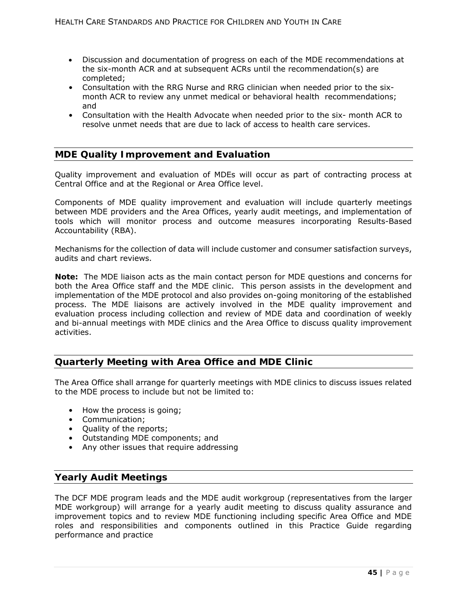- Discussion and documentation of progress on each of the MDE recommendations at the six-month ACR and at subsequent ACRs until the recommendation(s) are completed;
- Consultation with the RRG Nurse and RRG clinician when needed prior to the sixmonth ACR to review any unmet medical or behavioral health recommendations; and
- Consultation with the Health Advocate when needed prior to the six- month ACR to resolve unmet needs that are due to lack of access to health care services.

# **MDE Quality Improvement and Evaluation**

Quality improvement and evaluation of MDEs will occur as part of contracting process at Central Office and at the Regional or Area Office level.

Components of MDE quality improvement and evaluation will include quarterly meetings between MDE providers and the Area Offices, yearly audit meetings, and implementation of tools which will monitor process and outcome measures incorporating Results-Based Accountability (RBA).

Mechanisms for the collection of data will include customer and consumer satisfaction surveys, audits and chart reviews.

**Note:** The MDE liaison acts as the main contact person for MDE questions and concerns for both the Area Office staff and the MDE clinic. This person assists in the development and implementation of the MDE protocol and also provides on-going monitoring of the established process. The MDE liaisons are actively involved in the MDE quality improvement and evaluation process including collection and review of MDE data and coordination of weekly and bi-annual meetings with MDE clinics and the Area Office to discuss quality improvement activities.

# **Quarterly Meeting with Area Office and MDE Clinic**

The Area Office shall arrange for quarterly meetings with MDE clinics to discuss issues related to the MDE process to include but not be limited to:

- How the process is going;
- Communication;
- Quality of the reports;
- Outstanding MDE components; and
- Any other issues that require addressing

# **Yearly Audit Meetings**

The DCF MDE program leads and the MDE audit workgroup (representatives from the larger MDE workgroup) will arrange for a yearly audit meeting to discuss quality assurance and improvement topics and to review MDE functioning including specific Area Office and MDE roles and responsibilities and components outlined in this Practice Guide regarding performance and practice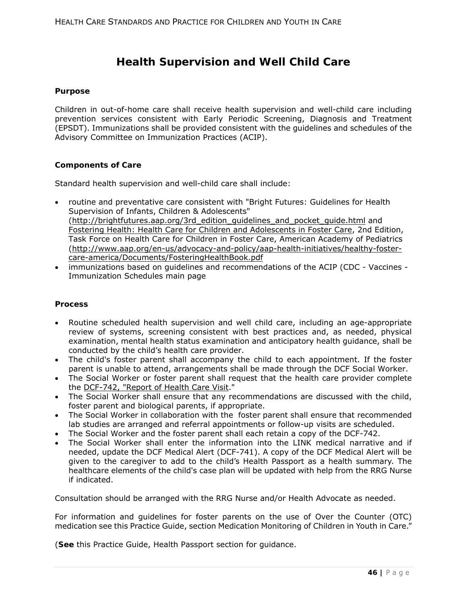# **Health Supervision and Well Child Care**

### **Purpose**

Children in out-of-home care shall receive health supervision and well-child care including prevention services consistent with Early Periodic Screening, Diagnosis and Treatment (EPSDT). Immunizations shall be provided consistent with the guidelines and schedules of the Advisory Committee on Immunization Practices (ACIP).

### **Components of Care**

Standard health supervision and well-child care shall include:

- routine and preventative care consistent with "Bright Futures: Guidelines for Health Supervision of Infants, Children & Adolescents" (http://brightfutures.aap.org/3rd\_edition\_guidelines\_and\_pocket\_guide.html and Fostering Health: Health Care for Children and Adolescents in Foster Care, 2nd Edition, Task Force on Health Care for Children in Foster Care, American Academy of Pediatrics (http://www.aap.org/en-us/advocacy-and-policy/aap-health-initiatives/healthy-fostercare-america/Documents/FosteringHealthBook.pdf
- immunizations based on guidelines and recommendations of the ACIP (CDC Vaccines Immunization Schedules main page

#### **Process**

- Routine scheduled health supervision and well child care, including an age-appropriate review of systems, screening consistent with best practices and, as needed, physical examination, mental health status examination and anticipatory health guidance, shall be conducted by the child's health care provider.
- The child's foster parent shall accompany the child to each appointment. If the foster parent is unable to attend, arrangements shall be made through the DCF Social Worker.
- The Social Worker or foster parent shall request that the health care provider complete the DCF-742, "Report of Health Care Visit."
- The Social Worker shall ensure that any recommendations are discussed with the child, foster parent and biological parents, if appropriate.
- The Social Worker in collaboration with the foster parent shall ensure that recommended lab studies are arranged and referral appointments or follow-up visits are scheduled.
- The Social Worker and the foster parent shall each retain a copy of the DCF-742.
- The Social Worker shall enter the information into the LINK medical narrative and if needed, update the DCF Medical Alert (DCF-741). A copy of the DCF Medical Alert will be given to the caregiver to add to the child's Health Passport as a health summary. The healthcare elements of the child's case plan will be updated with help from the RRG Nurse if indicated.

Consultation should be arranged with the RRG Nurse and/or Health Advocate as needed.

For information and guidelines for foster parents on the use of Over the Counter (OTC) medication see this Practice Guide, section Medication Monitoring of Children in Youth in Care."

(**See** this Practice Guide, Health Passport section for guidance.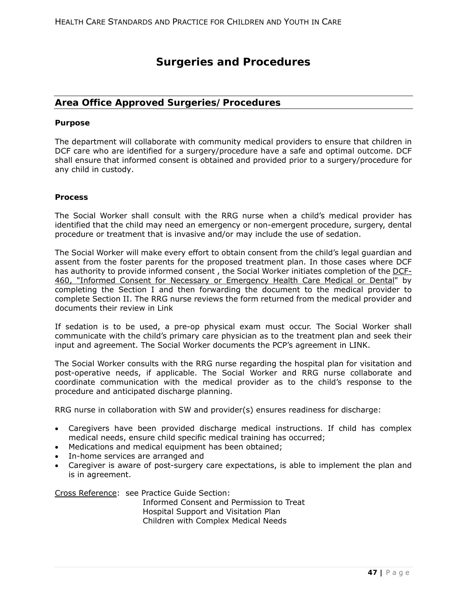# **Surgeries and Procedures**

# **Area Office Approved Surgeries/Procedures**

#### **Purpose**

The department will collaborate with community medical providers to ensure that children in DCF care who are identified for a surgery/procedure have a safe and optimal outcome. DCF shall ensure that informed consent is obtained and provided prior to a surgery/procedure for any child in custody.

### **Process**

The Social Worker shall consult with the RRG nurse when a child's medical provider has identified that the child may need an emergency or non-emergent procedure, surgery, dental procedure or treatment that is invasive and/or may include the use of sedation.

The Social Worker will make every effort to obtain consent from the child's legal guardian and assent from the foster parents for the proposed treatment plan. In those cases where DCF has authority to provide informed consent, the Social Worker initiates completion of the DCF-460, "Informed Consent for Necessary or Emergency Health Care Medical or Dental" by completing the Section I and then forwarding the document to the medical provider to complete Section II. The RRG nurse reviews the form returned from the medical provider and documents their review in Link

If sedation is to be used, a pre-op physical exam must occur. The Social Worker shall communicate with the child's primary care physician as to the treatment plan and seek their input and agreement. The Social Worker documents the PCP's agreement in LINK.

The Social Worker consults with the RRG nurse regarding the hospital plan for visitation and post-operative needs, if applicable. The Social Worker and RRG nurse collaborate and coordinate communication with the medical provider as to the child's response to the procedure and anticipated discharge planning.

RRG nurse in collaboration with SW and provider(s) ensures readiness for discharge:

- Caregivers have been provided discharge medical instructions. If child has complex medical needs, ensure child specific medical training has occurred;
- Medications and medical equipment has been obtained;
- In-home services are arranged and
- Caregiver is aware of post-surgery care expectations, is able to implement the plan and is in agreement.

Cross Reference: see Practice Guide Section:

Informed Consent and Permission to Treat Hospital Support and Visitation Plan Children with Complex Medical Needs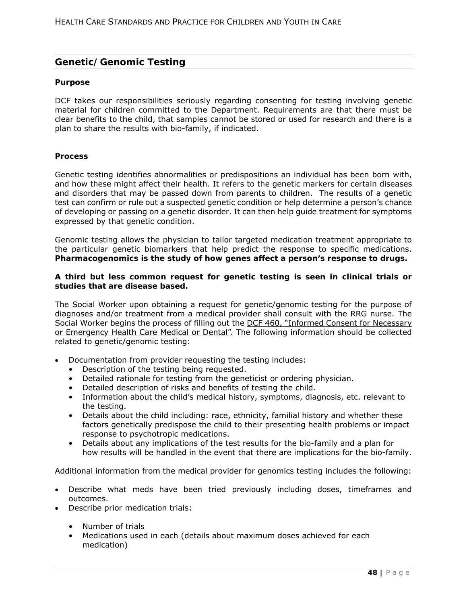# **Genetic/Genomic Testing**

#### **Purpose**

DCF takes our responsibilities seriously regarding consenting for testing involving genetic material for children committed to the Department. Requirements are that there must be clear benefits to the child, that samples cannot be stored or used for research and there is a plan to share the results with bio-family, if indicated.

### **Process**

Genetic testing identifies abnormalities or predispositions an individual has been born with, and how these might affect their health. It refers to the genetic markers for certain diseases and disorders that may be passed down from parents to children. The results of a genetic test can confirm or rule out a suspected genetic condition or help determine a person's chance of developing or passing on a genetic disorder. It can then help guide treatment for symptoms expressed by that genetic condition.

Genomic testing allows the physician to tailor targeted medication treatment appropriate to the particular genetic biomarkers that help predict the response to specific medications. **Pharmacogenomics is the study of how genes affect a person's response to drugs.**

### **A third but less common request for genetic testing is seen in clinical trials or studies that are disease based.**

The Social Worker upon obtaining a request for genetic/genomic testing for the purpose of diagnoses and/or treatment from a medical provider shall consult with the RRG nurse. The Social Worker begins the process of filling out the DCF 460, "Informed Consent for Necessary or Emergency Health Care Medical or Dental". The following information should be collected related to genetic/genomic testing:

- Documentation from provider requesting the testing includes:
	- Description of the testing being requested.
	- Detailed rationale for testing from the geneticist or ordering physician.
	- Detailed description of risks and benefits of testing the child.
	- Information about the child's medical history, symptoms, diagnosis, etc. relevant to the testing.
	- Details about the child including: race, ethnicity, familial history and whether these factors genetically predispose the child to their presenting health problems or impact response to psychotropic medications.
	- Details about any implications of the test results for the bio-family and a plan for how results will be handled in the event that there are implications for the bio-family.

Additional information from the medical provider for genomics testing includes the following:

- Describe what meds have been tried previously including doses, timeframes and outcomes.
- Describe prior medication trials:
	- Number of trials
	- Medications used in each (details about maximum doses achieved for each medication)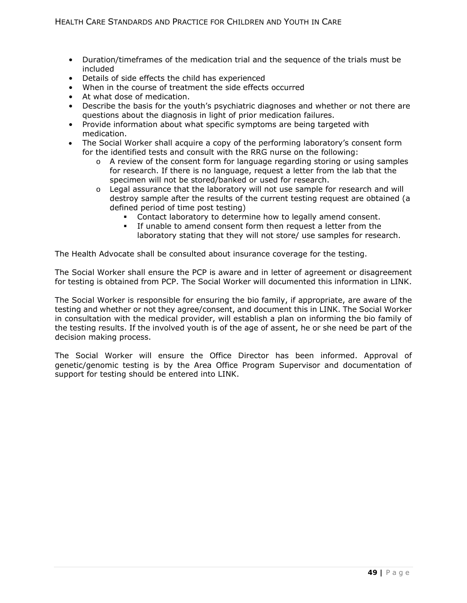- Duration/timeframes of the medication trial and the sequence of the trials must be included
- Details of side effects the child has experienced
- When in the course of treatment the side effects occurred
- At what dose of medication.
- Describe the basis for the youth's psychiatric diagnoses and whether or not there are questions about the diagnosis in light of prior medication failures.
- Provide information about what specific symptoms are being targeted with medication.
- The Social Worker shall acquire a copy of the performing laboratory's consent form for the identified tests and consult with the RRG nurse on the following:
	- $\circ$  A review of the consent form for language regarding storing or using samples for research. If there is no language, request a letter from the lab that the specimen will not be stored/banked or used for research.
	- o Legal assurance that the laboratory will not use sample for research and will destroy sample after the results of the current testing request are obtained (a defined period of time post testing)
		- Contact laboratory to determine how to legally amend consent.
		- If unable to amend consent form then request a letter from the laboratory stating that they will not store/ use samples for research.

The Health Advocate shall be consulted about insurance coverage for the testing.

The Social Worker shall ensure the PCP is aware and in letter of agreement or disagreement for testing is obtained from PCP. The Social Worker will documented this information in LINK.

The Social Worker is responsible for ensuring the bio family, if appropriate, are aware of the testing and whether or not they agree/consent, and document this in LINK. The Social Worker in consultation with the medical provider, will establish a plan on informing the bio family of the testing results. If the involved youth is of the age of assent, he or she need be part of the decision making process.

The Social Worker will ensure the Office Director has been informed. Approval of genetic/genomic testing is by the Area Office Program Supervisor and documentation of support for testing should be entered into LINK.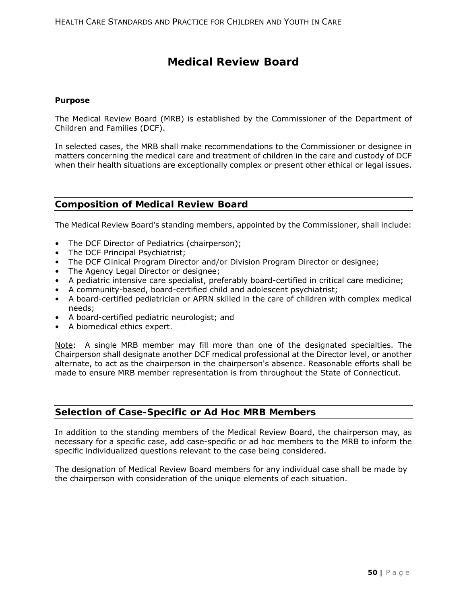# **Medical Review Board**

#### **Purpose**

The Medical Review Board (MRB) is established by the Commissioner of the Department of Children and Families (DCF).

In selected cases, the MRB shall make recommendations to the Commissioner or designee in matters concerning the medical care and treatment of children in the care and custody of DCF when their health situations are exceptionally complex or present other ethical or legal issues.

# **Composition of Medical Review Board**

The Medical Review Board's standing members, appointed by the Commissioner, shall include:

- The DCF Director of Pediatrics (chairperson);
- The DCF Principal Psychiatrist;
- The DCF Clinical Program Director and/or Division Program Director or designee;
- The Agency Legal Director or designee;
- A pediatric intensive care specialist, preferably board-certified in critical care medicine;
- A community-based, board-certified child and adolescent psychiatrist;
- A board-certified pediatrician or APRN skilled in the care of children with complex medical needs;
- A board-certified pediatric neurologist; and
- A biomedical ethics expert.

Note: A single MRB member may fill more than one of the designated specialties. The Chairperson shall designate another DCF medical professional at the Director level, or another alternate, to act as the chairperson in the chairperson's absence. Reasonable efforts shall be made to ensure MRB member representation is from throughout the State of Connecticut.

# **Selection of Case-Specific or Ad Hoc MRB Members**

In addition to the standing members of the Medical Review Board, the chairperson may, as necessary for a specific case, add case-specific or ad hoc members to the MRB to inform the specific individualized questions relevant to the case being considered.

The designation of Medical Review Board members for any individual case shall be made by the chairperson with consideration of the unique elements of each situation.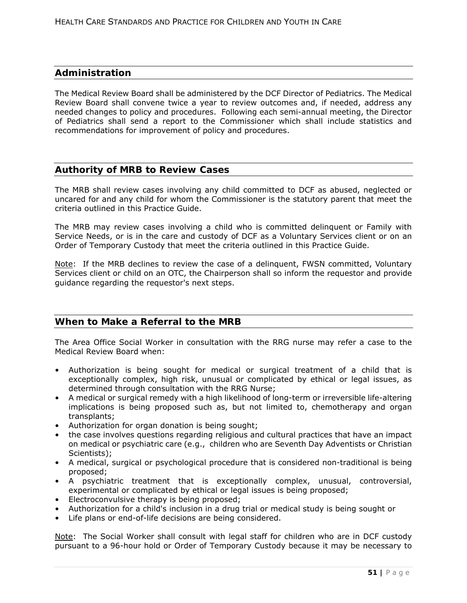# **Administration**

The Medical Review Board shall be administered by the DCF Director of Pediatrics. The Medical Review Board shall convene twice a year to review outcomes and, if needed, address any needed changes to policy and procedures. Following each semi-annual meeting, the Director of Pediatrics shall send a report to the Commissioner which shall include statistics and recommendations for improvement of policy and procedures.

# **Authority of MRB to Review Cases**

The MRB shall review cases involving any child committed to DCF as abused, neglected or uncared for and any child for whom the Commissioner is the statutory parent that meet the criteria outlined in this Practice Guide.

The MRB may review cases involving a child who is committed delinquent or Family with Service Needs, or is in the care and custody of DCF as a Voluntary Services client or on an Order of Temporary Custody that meet the criteria outlined in this Practice Guide.

Note: If the MRB declines to review the case of a delinquent, FWSN committed, Voluntary Services client or child on an OTC, the Chairperson shall so inform the requestor and provide guidance regarding the requestor's next steps.

# **When to Make a Referral to the MRB**

The Area Office Social Worker in consultation with the RRG nurse may refer a case to the Medical Review Board when:

- Authorization is being sought for medical or surgical treatment of a child that is exceptionally complex, high risk, unusual or complicated by ethical or legal issues, as determined through consultation with the RRG Nurse;
- A medical or surgical remedy with a high likelihood of long-term or irreversible life-altering implications is being proposed such as, but not limited to, chemotherapy and organ transplants;
- Authorization for organ donation is being sought;
- the case involves questions regarding religious and cultural practices that have an impact on medical or psychiatric care (e.g., children who are Seventh Day Adventists or Christian Scientists);
- A medical, surgical or psychological procedure that is considered non-traditional is being proposed;
- A psychiatric treatment that is exceptionally complex, unusual, controversial, experimental or complicated by ethical or legal issues is being proposed;
- Electroconvulsive therapy is being proposed;
- Authorization for a child's inclusion in a drug trial or medical study is being sought or
- Life plans or end-of-life decisions are being considered.

Note: The Social Worker shall consult with legal staff for children who are in DCF custody pursuant to a 96-hour hold or Order of Temporary Custody because it may be necessary to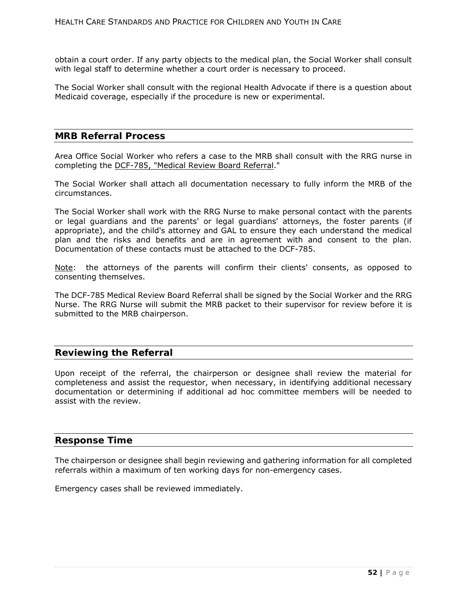obtain a court order. If any party objects to the medical plan, the Social Worker shall consult with legal staff to determine whether a court order is necessary to proceed.

The Social Worker shall consult with the regional Health Advocate if there is a question about Medicaid coverage, especially if the procedure is new or experimental.

## **MRB Referral Process**

Area Office Social Worker who refers a case to the MRB shall consult with the RRG nurse in completing the DCF-785, "Medical Review Board Referral."

The Social Worker shall attach all documentation necessary to fully inform the MRB of the circumstances.

The Social Worker shall work with the RRG Nurse to make personal contact with the parents or legal guardians and the parents' or legal guardians' attorneys, the foster parents (if appropriate), and the child's attorney and GAL to ensure they each understand the medical plan and the risks and benefits and are in agreement with and consent to the plan. Documentation of these contacts must be attached to the DCF-785.

Note: the attorneys of the parents will confirm their clients' consents, as opposed to consenting themselves.

The DCF-785 Medical Review Board Referral shall be signed by the Social Worker and the RRG Nurse. The RRG Nurse will submit the MRB packet to their supervisor for review before it is submitted to the MRB chairperson.

## **Reviewing the Referral**

Upon receipt of the referral, the chairperson or designee shall review the material for completeness and assist the requestor, when necessary, in identifying additional necessary documentation or determining if additional ad hoc committee members will be needed to assist with the review.

## **Response Time**

The chairperson or designee shall begin reviewing and gathering information for all completed referrals within a maximum of ten working days for non-emergency cases.

Emergency cases shall be reviewed immediately.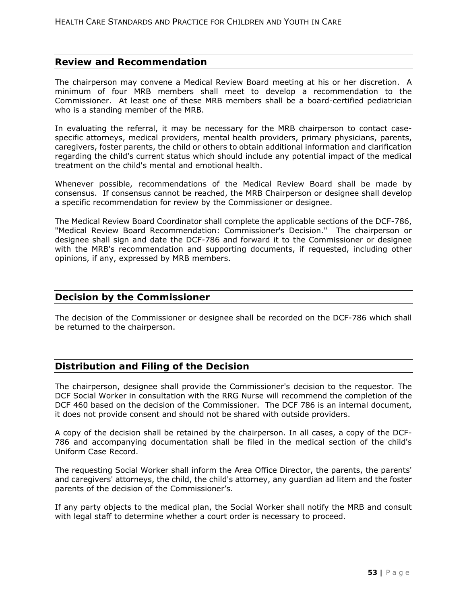# **Review and Recommendation**

The chairperson may convene a Medical Review Board meeting at his or her discretion. A minimum of four MRB members shall meet to develop a recommendation to the Commissioner. At least one of these MRB members shall be a board-certified pediatrician who is a standing member of the MRB.

In evaluating the referral, it may be necessary for the MRB chairperson to contact casespecific attorneys, medical providers, mental health providers, primary physicians, parents, caregivers, foster parents, the child or others to obtain additional information and clarification regarding the child's current status which should include any potential impact of the medical treatment on the child's mental and emotional health.

Whenever possible, recommendations of the Medical Review Board shall be made by consensus. If consensus cannot be reached, the MRB Chairperson or designee shall develop a specific recommendation for review by the Commissioner or designee.

The Medical Review Board Coordinator shall complete the applicable sections of the DCF-786, "Medical Review Board Recommendation: Commissioner's Decision." The chairperson or designee shall sign and date the DCF-786 and forward it to the Commissioner or designee with the MRB's recommendation and supporting documents, if requested, including other opinions, if any, expressed by MRB members.

## **Decision by the Commissioner**

The decision of the Commissioner or designee shall be recorded on the DCF-786 which shall be returned to the chairperson.

# **Distribution and Filing of the Decision**

The chairperson, designee shall provide the Commissioner's decision to the requestor. The DCF Social Worker in consultation with the RRG Nurse will recommend the completion of the DCF 460 based on the decision of the Commissioner. The DCF 786 is an internal document, it does not provide consent and should not be shared with outside providers.

A copy of the decision shall be retained by the chairperson. In all cases, a copy of the DCF-786 and accompanying documentation shall be filed in the medical section of the child's Uniform Case Record.

The requesting Social Worker shall inform the Area Office Director, the parents, the parents' and caregivers' attorneys, the child, the child's attorney, any guardian ad litem and the foster parents of the decision of the Commissioner's.

If any party objects to the medical plan, the Social Worker shall notify the MRB and consult with legal staff to determine whether a court order is necessary to proceed.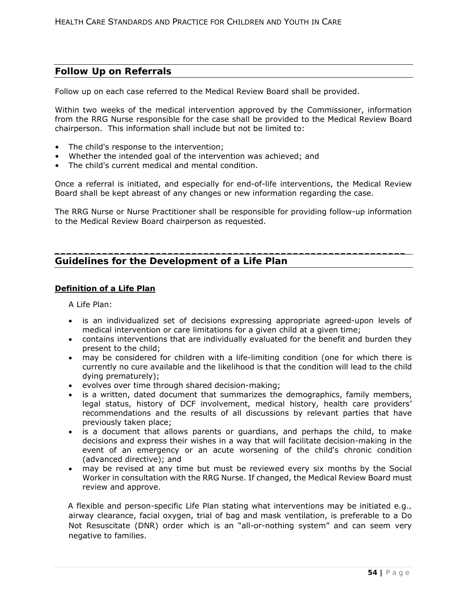# **Follow Up on Referrals**

Follow up on each case referred to the Medical Review Board shall be provided.

Within two weeks of the medical intervention approved by the Commissioner, information from the RRG Nurse responsible for the case shall be provided to the Medical Review Board chairperson. This information shall include but not be limited to:

- The child's response to the intervention;
- Whether the intended goal of the intervention was achieved; and
- The child's current medical and mental condition.

Once a referral is initiated, and especially for end-of-life interventions, the Medical Review Board shall be kept abreast of any changes or new information regarding the case.

The RRG Nurse or Nurse Practitioner shall be responsible for providing follow-up information to the Medical Review Board chairperson as requested.

**\_\_\_\_\_\_\_\_\_\_\_\_\_\_\_\_\_\_\_\_\_\_\_\_\_\_\_\_\_\_\_\_\_\_\_\_\_\_\_\_\_\_\_\_\_\_\_\_\_\_\_\_\_\_\_\_\_\_\_** 

# **Guidelines for the Development of a Life Plan**

## **Definition of a Life Plan**

A Life Plan:

- is an individualized set of decisions expressing appropriate agreed-upon levels of medical intervention or care limitations for a given child at a given time;
- contains interventions that are individually evaluated for the benefit and burden they present to the child;
- may be considered for children with a life-limiting condition (one for which there is currently no cure available and the likelihood is that the condition will lead to the child dying prematurely);
- evolves over time through shared decision-making;
- is a written, dated document that summarizes the demographics, family members, legal status, history of DCF involvement, medical history, health care providers' recommendations and the results of all discussions by relevant parties that have previously taken place;
- is a document that allows parents or guardians, and perhaps the child, to make decisions and express their wishes in a way that will facilitate decision-making in the event of an emergency or an acute worsening of the child's chronic condition (advanced directive); and
- may be revised at any time but must be reviewed every six months by the Social Worker in consultation with the RRG Nurse. If changed, the Medical Review Board must review and approve.

A flexible and person-specific Life Plan stating what interventions may be initiated *e.g.,*  airway clearance, facial oxygen, trial of bag and mask ventilation, is preferable to a Do Not Resuscitate (DNR) order which is an "all-or-nothing system" and can seem very negative to families.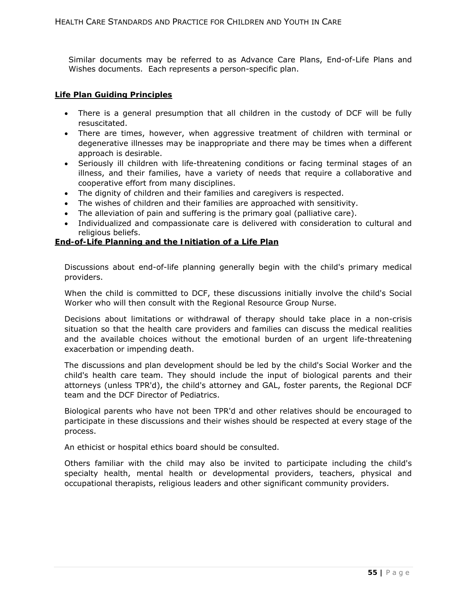Similar documents may be referred to as Advance Care Plans, End-of-Life Plans and Wishes documents. Each represents a person-specific plan.

#### **Life Plan Guiding Principles**

- There is a general presumption that all children in the custody of DCF will be fully resuscitated.
- There are times, however, when aggressive treatment of children with terminal or degenerative illnesses may be inappropriate and there may be times when a different approach is desirable.
- Seriously ill children with life-threatening conditions or facing terminal stages of an illness, and their families, have a variety of needs that require a collaborative and cooperative effort from many disciplines.
- The dignity of children and their families and caregivers is respected.
- The wishes of children and their families are approached with sensitivity.
- The alleviation of pain and suffering is the primary goal (palliative care).
- Individualized and compassionate care is delivered with consideration to cultural and religious beliefs.

## **End-of-Life Planning and the Initiation of a Life Plan**

Discussions about end-of-life planning generally begin with the child's primary medical providers.

When the child is committed to DCF, these discussions initially involve the child's Social Worker who will then consult with the Regional Resource Group Nurse.

Decisions about limitations or withdrawal of therapy should take place in a non-crisis situation so that the health care providers and families can discuss the medical realities and the available choices without the emotional burden of an urgent life-threatening exacerbation or impending death.

The discussions and plan development should be led by the child's Social Worker and the child's health care team. They should include the input of biological parents and their attorneys (unless TPR'd), the child's attorney and GAL, foster parents, the Regional DCF team and the DCF Director of Pediatrics.

Biological parents who have not been TPR'd and other relatives should be encouraged to participate in these discussions and their wishes should be respected at every stage of the process.

An ethicist or hospital ethics board should be consulted.

Others familiar with the child may also be invited to participate including the child's specialty health, mental health or developmental providers, teachers, physical and occupational therapists, religious leaders and other significant community providers.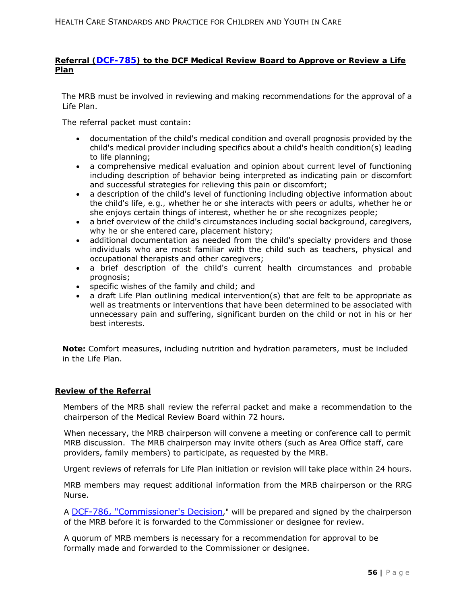## **Referral (DCF-785) to the DCF Medical Review Board to Approve or Review a Life Plan**

The MRB must be involved in reviewing and making recommendations for the approval of a Life Plan.

The referral packet must contain:

- documentation of the child's medical condition and overall prognosis provided by the child's medical provider including specifics about a child's health condition(s) leading to life planning;
- a comprehensive medical evaluation and opinion about current level of functioning including description of behavior being interpreted as indicating pain or discomfort and successful strategies for relieving this pain or discomfort;
- a description of the child's level of functioning including objective information about the child's life, *e.g.,* whether he or she interacts with peers or adults, whether he or she enjoys certain things of interest, whether he or she recognizes people;
- a brief overview of the child's circumstances including social background, caregivers, why he or she entered care, placement history;
- additional documentation as needed from the child's specialty providers and those individuals who are most familiar with the child such as teachers, physical and occupational therapists and other caregivers;
- a brief description of the child's current health circumstances and probable prognosis;
- specific wishes of the family and child; and
- a draft Life Plan outlining medical intervention(s) that are felt to be appropriate as well as treatments or interventions that have been determined to be associated with unnecessary pain and suffering, significant burden on the child or not in his or her best interests.

**Note:** Comfort measures, including nutrition and hydration parameters, must be included in the Life Plan.

## **Review of the Referral**

Members of the MRB shall review the referral packet and make a recommendation to the chairperson of the Medical Review Board within 72 hours.

When necessary, the MRB chairperson will convene a meeting or conference call to permit MRB discussion. The MRB chairperson may invite others (such as Area Office staff, care providers, family members) to participate, as requested by the MRB.

Urgent reviews of referrals for Life Plan initiation or revision will take place within 24 hours.

MRB members may request additional information from the MRB chairperson or the RRG Nurse.

A DCF-786, "Commissioner's Decision," will be prepared and signed by the chairperson of the MRB before it is forwarded to the Commissioner or designee for review.

A quorum of MRB members is necessary for a recommendation for approval to be formally made and forwarded to the Commissioner or designee.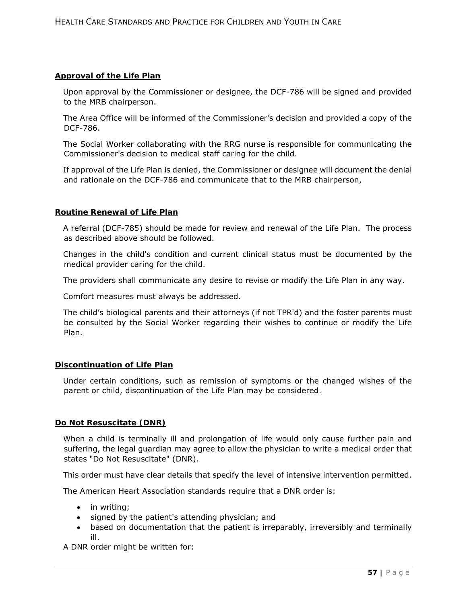### **Approval of the Life Plan**

Upon approval by the Commissioner or designee, the DCF-786 will be signed and provided to the MRB chairperson.

The Area Office will be informed of the Commissioner's decision and provided a copy of the DCF-786.

The Social Worker collaborating with the RRG nurse is responsible for communicating the Commissioner's decision to medical staff caring for the child.

If approval of the Life Plan is denied, the Commissioner or designee will document the denial and rationale on the DCF-786 and communicate that to the MRB chairperson,

### **Routine Renewal of Life Plan**

A referral (DCF-785) should be made for review and renewal of the Life Plan. The process as described above should be followed.

Changes in the child's condition and current clinical status must be documented by the medical provider caring for the child.

The providers shall communicate any desire to revise or modify the Life Plan in any way.

Comfort measures must always be addressed.

The child's biological parents and their attorneys (if not TPR'd) and the foster parents must be consulted by the Social Worker regarding their wishes to continue or modify the Life Plan.

### **Discontinuation of Life Plan**

Under certain conditions, such as remission of symptoms or the changed wishes of the parent or child, discontinuation of the Life Plan may be considered.

## **Do Not Resuscitate (DNR)**

When a child is terminally ill and prolongation of life would only cause further pain and suffering, the legal guardian may agree to allow the physician to write a medical order that states "Do Not Resuscitate" (DNR).

This order must have clear details that specify the level of intensive intervention permitted.

The American Heart Association standards require that a DNR order is:

- in writing;
- signed by the patient's attending physician; and
- based on documentation that the patient is irreparably, irreversibly and terminally ill.

A DNR order might be written for: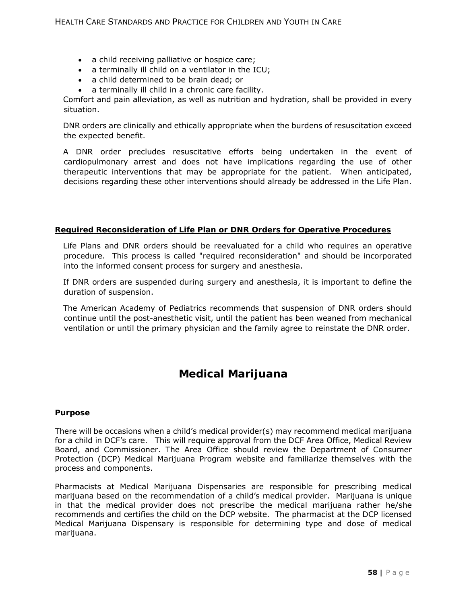- a child receiving palliative or hospice care;
- a terminally ill child on a ventilator in the ICU;
- a child determined to be brain dead; or
- a terminally ill child in a chronic care facility.

Comfort and pain alleviation, as well as nutrition and hydration, shall be provided in every situation.

DNR orders are clinically and ethically appropriate when the burdens of resuscitation exceed the expected benefit.

A DNR order precludes resuscitative efforts being undertaken in the event of cardiopulmonary arrest and does not have implications regarding the use of other therapeutic interventions that may be appropriate for the patient. When anticipated, decisions regarding these other interventions should already be addressed in the Life Plan.

## **Required Reconsideration of Life Plan or DNR Orders for Operative Procedures**

Life Plans and DNR orders should be reevaluated for a child who requires an operative procedure. This process is called "required reconsideration" and should be incorporated into the informed consent process for surgery and anesthesia.

If DNR orders are suspended during surgery and anesthesia, it is important to define the duration of suspension.

The American Academy of Pediatrics recommends that suspension of DNR orders should continue until the post-anesthetic visit, until the patient has been weaned from mechanical ventilation or until the primary physician and the family agree to reinstate the DNR order.

# **Medical Marijuana**

#### **Purpose**

There will be occasions when a child's medical provider(s) may recommend medical marijuana for a child in DCF's care. This will require approval from the DCF Area Office, Medical Review Board, and Commissioner. The Area Office should review the Department of Consumer Protection (DCP) Medical Marijuana Program website and familiarize themselves with the process and components.

Pharmacists at Medical Marijuana Dispensaries are responsible for prescribing medical marijuana based on the recommendation of a child's medical provider. Marijuana is unique in that the medical provider does not prescribe the medical marijuana rather he/she recommends and certifies the child on the DCP website. The pharmacist at the DCP licensed Medical Marijuana Dispensary is responsible for determining type and dose of medical marijuana.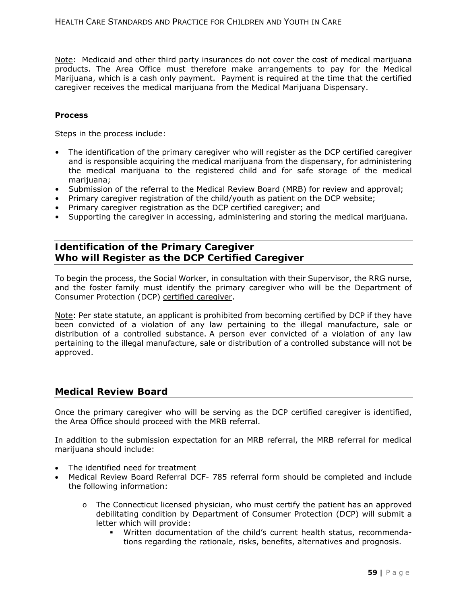Note: Medicaid and other third party insurances do not cover the cost of medical marijuana products. The Area Office must therefore make arrangements to pay for the Medical Marijuana, which is a cash only payment. Payment is required at the time that the certified caregiver receives the medical marijuana from the Medical Marijuana Dispensary.

#### **Process**

Steps in the process include:

- The identification of the primary caregiver who will register as the DCP certified caregiver and is responsible acquiring the medical marijuana from the dispensary, for administering the medical marijuana to the registered child and for safe storage of the medical marijuana;
- Submission of the referral to the Medical Review Board (MRB) for review and approval;
- Primary caregiver registration of the child/youth as patient on the DCP website;
- Primary caregiver registration as the DCP certified caregiver; and
- Supporting the caregiver in accessing, administering and storing the medical marijuana.

# **Identification of the Primary Caregiver Who will Register as the DCP Certified Caregiver**

To begin the process, the Social Worker, in consultation with their Supervisor, the RRG nurse, and the foster family must identify the primary caregiver who will be the Department of Consumer Protection (DCP) certified caregiver.

Note: Per state statute, an applicant is prohibited from becoming certified by DCP if they have been convicted of a violation of any law pertaining to the illegal manufacture, sale or distribution of a controlled substance. A person ever convicted of a violation of any law pertaining to the illegal manufacture, sale or distribution of a controlled substance will not be approved.

## **Medical Review Board**

Once the primary caregiver who will be serving as the DCP certified caregiver is identified, the Area Office should proceed with the MRB referral.

In addition to the submission expectation for an MRB referral, the MRB referral for medical marijuana should include:

- The identified need for treatment
- Medical Review Board Referral DCF- 785 referral form should be completed and include the following information:
	- o The Connecticut licensed physician, who must certify the patient has an approved debilitating condition by Department of Consumer Protection (DCP) will submit a letter which will provide:
		- Written documentation of the child's current health status, recommendations regarding the rationale, risks, benefits, alternatives and prognosis.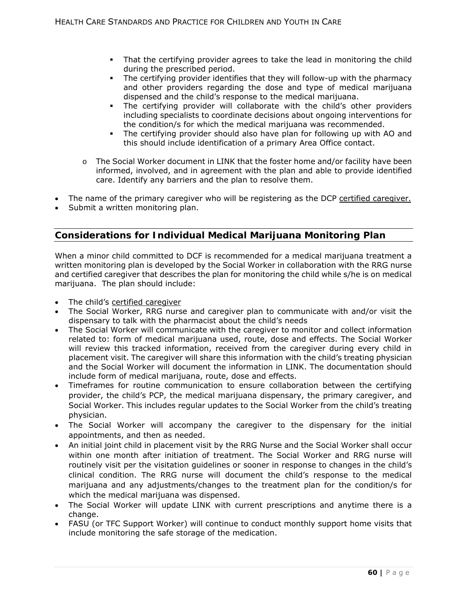- That the certifying provider agrees to take the lead in monitoring the child during the prescribed period.
- The certifying provider identifies that they will follow-up with the pharmacy and other providers regarding the dose and type of medical marijuana dispensed and the child's response to the medical marijuana.
- The certifying provider will collaborate with the child's other providers including specialists to coordinate decisions about ongoing interventions for the condition/s for which the medical marijuana was recommended.
- The certifying provider should also have plan for following up with AO and this should include identification of a primary Area Office contact.
- o The Social Worker document in LINK that the foster home and/or facility have been informed, involved, and in agreement with the plan and able to provide identified care. Identify any barriers and the plan to resolve them.
- The name of the primary caregiver who will be registering as the DCP certified caregiver.
- Submit a written monitoring plan.

# **Considerations for Individual Medical Marijuana Monitoring Plan**

When a minor child committed to DCF is recommended for a medical marijuana treatment a written monitoring plan is developed by the Social Worker in collaboration with the RRG nurse and certified caregiver that describes the plan for monitoring the child while s/he is on medical marijuana. The plan should include:

- The child's certified caregiver
- The Social Worker, RRG nurse and caregiver plan to communicate with and/or visit the dispensary to talk with the pharmacist about the child's needs
- The Social Worker will communicate with the caregiver to monitor and collect information related to: form of medical marijuana used, route, dose and effects. The Social Worker will review this tracked information, received from the caregiver during every child in placement visit. The caregiver will share this information with the child's treating physician and the Social Worker will document the information in LINK. The documentation should include form of medical marijuana, route, dose and effects.
- Timeframes for routine communication to ensure collaboration between the certifying provider, the child's PCP, the medical marijuana dispensary, the primary caregiver, and Social Worker. This includes regular updates to the Social Worker from the child's treating physician.
- The Social Worker will accompany the caregiver to the dispensary for the initial appointments, and then as needed.
- An initial joint child in placement visit by the RRG Nurse and the Social Worker shall occur within one month after initiation of treatment. The Social Worker and RRG nurse will routinely visit per the visitation guidelines or sooner in response to changes in the child's clinical condition. The RRG nurse will document the child's response to the medical marijuana and any adjustments/changes to the treatment plan for the condition/s for which the medical marijuana was dispensed.
- The Social Worker will update LINK with current prescriptions and anytime there is a change.
- FASU (or TFC Support Worker) will continue to conduct monthly support home visits that include monitoring the safe storage of the medication.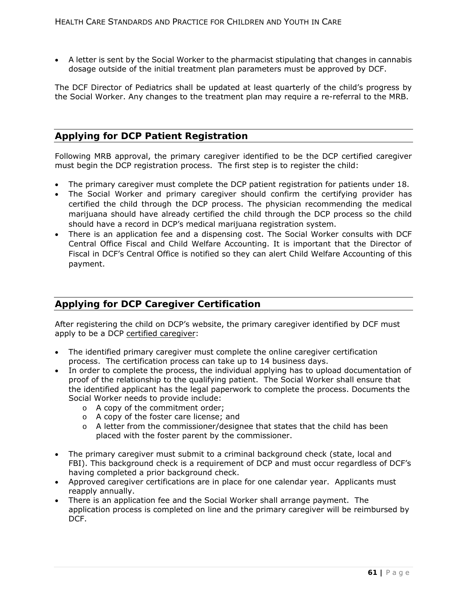A letter is sent by the Social Worker to the pharmacist stipulating that changes in cannabis dosage outside of the initial treatment plan parameters must be approved by DCF.

The DCF Director of Pediatrics shall be updated at least quarterly of the child's progress by the Social Worker. Any changes to the treatment plan may require a re-referral to the MRB.

# **Applying for DCP Patient Registration**

Following MRB approval, the primary caregiver identified to be the DCP certified caregiver must begin the DCP registration process. The first step is to register the child:

- The primary caregiver must complete the DCP patient registration for patients under 18.
- The Social Worker and primary caregiver should confirm the certifying provider has certified the child through the DCP process. The physician recommending the medical marijuana should have already certified the child through the DCP process so the child should have a record in DCP's medical marijuana registration system.
- There is an application fee and a dispensing cost. The Social Worker consults with DCF Central Office Fiscal and Child Welfare Accounting. It is important that the Director of Fiscal in DCF's Central Office is notified so they can alert Child Welfare Accounting of this payment.

# **Applying for DCP Caregiver Certification**

After registering the child on DCP's website, the primary caregiver identified by DCF must apply to be a DCP certified caregiver:

- The identified primary caregiver must complete the online caregiver certification process. The certification process can take up to 14 business days.
- In order to complete the process, the individual applying has to upload documentation of proof of the relationship to the qualifying patient. The Social Worker shall ensure that the identified applicant has the legal paperwork to complete the process. Documents the Social Worker needs to provide include:
	- o A copy of the commitment order;
	- o A copy of the foster care license; and
	- $\circ$  A letter from the commissioner/designee that states that the child has been placed with the foster parent by the commissioner.
- The primary caregiver must submit to a criminal background check (state, local and FBI). This background check is a requirement of DCP and must occur regardless of DCF's having completed a prior background check.
- Approved caregiver certifications are in place for one calendar year. Applicants must reapply annually.
- There is an application fee and the Social Worker shall arrange payment. The application process is completed on line and the primary caregiver will be reimbursed by DCF.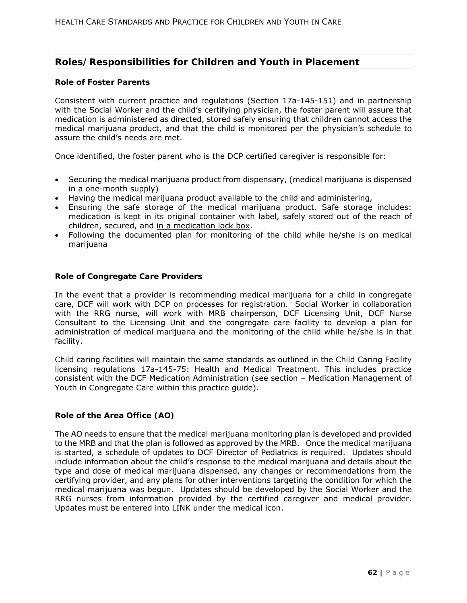# **Roles/Responsibilities for Children and Youth in Placement**

#### **Role of Foster Parents**

Consistent with current practice and regulations (Section 17a-145-151) and in partnership with the Social Worker and the child's certifying physician, the foster parent will assure that medication is administered as directed, stored safely ensuring that children cannot access the medical marijuana product, and that the child is monitored per the physician's schedule to assure the child's needs are met.

Once identified, the foster parent who is the DCP certified caregiver is responsible for:

- Securing the medical marijuana product from dispensary, (medical marijuana is dispensed in a one-month supply)
- Having the medical marijuana product available to the child and administering,
- Ensuring the safe storage of the medical marijuana product. Safe storage includes: medication is kept in its original container with label, safely stored out of the reach of children, secured, and in a medication lock box.
- Following the documented plan for monitoring of the child while he/she is on medical marijuana

### **Role of Congregate Care Providers**

In the event that a provider is recommending medical marijuana for a child in congregate care, DCF will work with DCP on processes for registration. Social Worker in collaboration with the RRG nurse, will work with MRB chairperson, DCF Licensing Unit, DCF Nurse Consultant to the Licensing Unit and the congregate care facility to develop a plan for administration of medical marijuana and the monitoring of the child while he/she is in that facility.

Child caring facilities will maintain the same standards as outlined in the Child Caring Facility licensing regulations 17a-145-75: Health and Medical Treatment. This includes practice consistent with the DCF Medication Administration (see section – Medication Management of Youth in Congregate Care within this practice guide).

## **Role of the Area Office (AO)**

The AO needs to ensure that the medical marijuana monitoring plan is developed and provided to the MRB and that the plan is followed as approved by the MRB. Once the medical marijuana is started, a schedule of updates to DCF Director of Pediatrics is required. Updates should include information about the child's response to the medical marijuana and details about the type and dose of medical marijuana dispensed, any changes or recommendations from the certifying provider, and any plans for other interventions targeting the condition for which the medical marijuana was begun. Updates should be developed by the Social Worker and the RRG nurses from information provided by the certified caregiver and medical provider. Updates must be entered into LINK under the medical icon.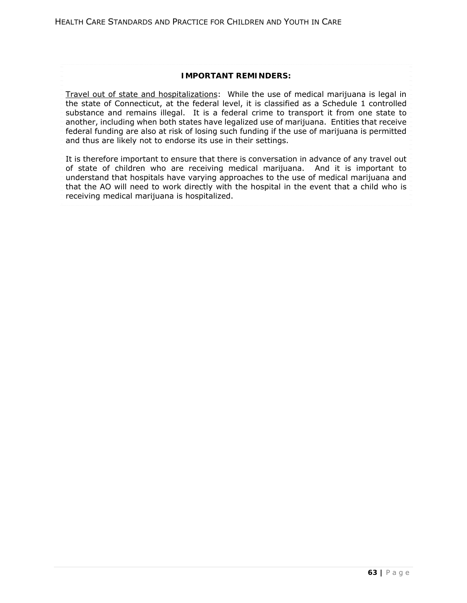## **IMPORTANT REMINDERS:**

Travel out of state and hospitalizations: While the use of medical marijuana is legal in the state of Connecticut, at the federal level, it is classified as a Schedule 1 controlled substance and remains illegal. It is a federal crime to transport it from one state to another, including when both states have legalized use of marijuana. Entities that receive federal funding are also at risk of losing such funding if the use of marijuana is permitted and thus are likely not to endorse its use in their settings.

It is therefore important to ensure that there is conversation in advance of any travel out of state of children who are receiving medical marijuana. And it is important to understand that hospitals have varying approaches to the use of medical marijuana and that the AO will need to work directly with the hospital in the event that a child who is receiving medical marijuana is hospitalized.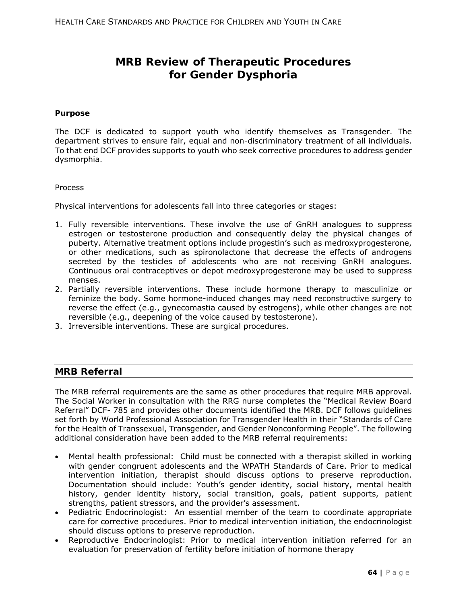# **MRB Review of Therapeutic Procedures for Gender Dysphoria**

#### **Purpose**

The DCF is dedicated to support youth who identify themselves as Transgender. The department strives to ensure fair, equal and non-discriminatory treatment of all individuals. To that end DCF provides supports to youth who seek corrective procedures to address gender dysmorphia.

#### Process

Physical interventions for adolescents fall into three categories or stages:

- 1. Fully reversible interventions. These involve the use of GnRH analogues to suppress estrogen or testosterone production and consequently delay the physical changes of puberty. Alternative treatment options include progestin's such as medroxyprogesterone, or other medications, such as spironolactone that decrease the effects of androgens secreted by the testicles of adolescents who are not receiving GnRH analogues. Continuous oral contraceptives or depot medroxyprogesterone may be used to suppress menses.
- 2. Partially reversible interventions. These include hormone therapy to masculinize or feminize the body. Some hormone-induced changes may need reconstructive surgery to reverse the effect (e.g., gynecomastia caused by estrogens), while other changes are not reversible (e.g., deepening of the voice caused by testosterone).
- 3. Irreversible interventions. These are surgical procedures.

## **MRB Referral**

The MRB referral requirements are the same as other procedures that require MRB approval. The Social Worker in consultation with the RRG nurse completes the "Medical Review Board Referral" DCF- 785 and provides other documents identified the MRB. DCF follows guidelines set forth by World Professional Association for Transgender Health in their "Standards of Care for the Health of Transsexual, Transgender, and Gender Nonconforming People". The following additional consideration have been added to the MRB referral requirements:

- Mental health professional: Child must be connected with a therapist skilled in working with gender congruent adolescents and the WPATH Standards of Care. Prior to medical intervention initiation, therapist should discuss options to preserve reproduction. Documentation should include: Youth's gender identity, social history, mental health history, gender identity history, social transition, goals, patient supports, patient strengths, patient stressors, and the provider's assessment.
- Pediatric Endocrinologist: An essential member of the team to coordinate appropriate care for corrective procedures. Prior to medical intervention initiation, the endocrinologist should discuss options to preserve reproduction.
- Reproductive Endocrinologist: Prior to medical intervention initiation referred for an evaluation for preservation of fertility before initiation of hormone therapy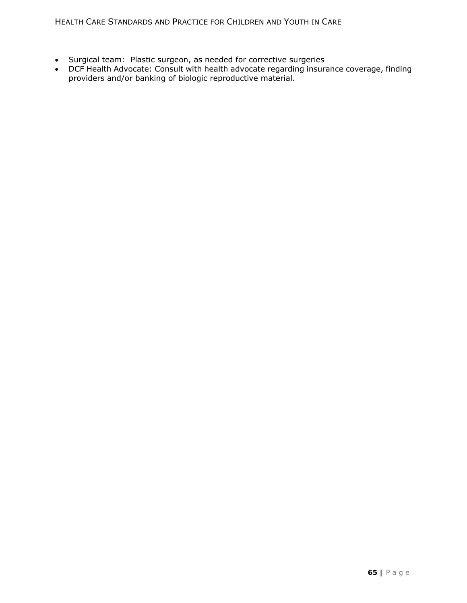- Surgical team: Plastic surgeon, as needed for corrective surgeries
- DCF Health Advocate: Consult with health advocate regarding insurance coverage, finding providers and/or banking of biologic reproductive material.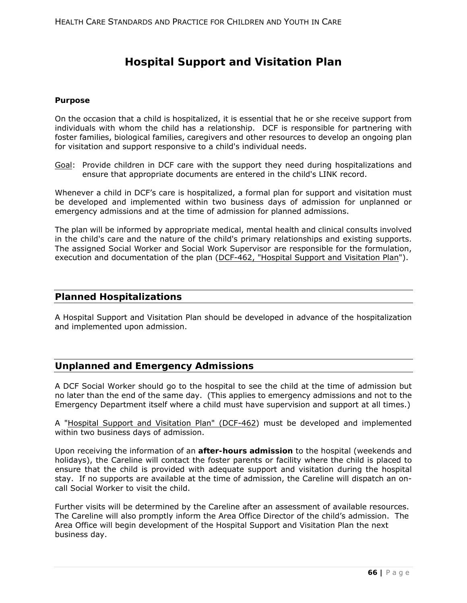# **Hospital Support and Visitation Plan**

### **Purpose**

On the occasion that a child is hospitalized, it is essential that he or she receive support from individuals with whom the child has a relationship. DCF is responsible for partnering with foster families, biological families, caregivers and other resources to develop an ongoing plan for visitation and support responsive to a child's individual needs.

Goal: Provide children in DCF care with the support they need during hospitalizations and ensure that appropriate documents are entered in the child's LINK record.

Whenever a child in DCF's care is hospitalized, a formal plan for support and visitation must be developed and implemented within two business days of admission for unplanned or emergency admissions and at the time of admission for planned admissions.

The plan will be informed by appropriate medical, mental health and clinical consults involved in the child's care and the nature of the child's primary relationships and existing supports. The assigned Social Worker and Social Work Supervisor are responsible for the formulation, execution and documentation of the plan (DCF-462, "Hospital Support and Visitation Plan").

## **Planned Hospitalizations**

A Hospital Support and Visitation Plan should be developed in advance of the hospitalization and implemented upon admission.

# **Unplanned and Emergency Admissions**

A DCF Social Worker should go to the hospital to see the child at the time of admission but no later than the end of the same day. (This applies to emergency admissions and not to the Emergency Department itself where a child must have supervision and support at all times.)

A "Hospital Support and Visitation Plan" (DCF-462) must be developed and implemented within two business days of admission.

Upon receiving the information of an **after-hours admission** to the hospital (weekends and holidays), the Careline will contact the foster parents or facility where the child is placed to ensure that the child is provided with adequate support and visitation during the hospital stay. If no supports are available at the time of admission, the Careline will dispatch an oncall Social Worker to visit the child.

Further visits will be determined by the Careline after an assessment of available resources. The Careline will also promptly inform the Area Office Director of the child's admission. The Area Office will begin development of the Hospital Support and Visitation Plan the next business day.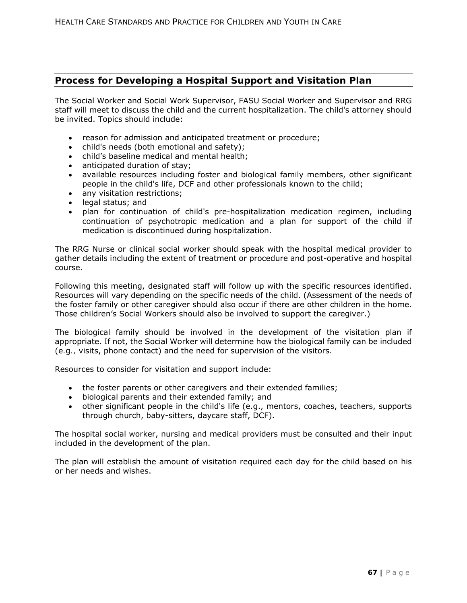# **Process for Developing a Hospital Support and Visitation Plan**

The Social Worker and Social Work Supervisor, FASU Social Worker and Supervisor and RRG staff will meet to discuss the child and the current hospitalization. The child's attorney should be invited. Topics should include:

- reason for admission and anticipated treatment or procedure;
- child's needs (both emotional and safety);
- child's baseline medical and mental health;
- anticipated duration of stay;
- available resources including foster and biological family members, other significant people in the child's life, DCF and other professionals known to the child;
- any visitation restrictions;
- legal status; and
- plan for continuation of child's pre-hospitalization medication regimen, including continuation of psychotropic medication and a plan for support of the child if medication is discontinued during hospitalization.

The RRG Nurse or clinical social worker should speak with the hospital medical provider to gather details including the extent of treatment or procedure and post-operative and hospital course.

Following this meeting, designated staff will follow up with the specific resources identified. Resources will vary depending on the specific needs of the child. (Assessment of the needs of the foster family or other caregiver should also occur if there are other children in the home. Those children's Social Workers should also be involved to support the caregiver.)

The biological family should be involved in the development of the visitation plan if appropriate. If not, the Social Worker will determine how the biological family can be included (*e.g.,* visits, phone contact) and the need for supervision of the visitors.

Resources to consider for visitation and support include:

- the foster parents or other caregivers and their extended families;
- biological parents and their extended family; and
- other significant people in the child's life (e.g., mentors, coaches, teachers, supports through church, baby-sitters, daycare staff, DCF).

The hospital social worker, nursing and medical providers must be consulted and their input included in the development of the plan.

The plan will establish the amount of visitation required each day for the child based on his or her needs and wishes.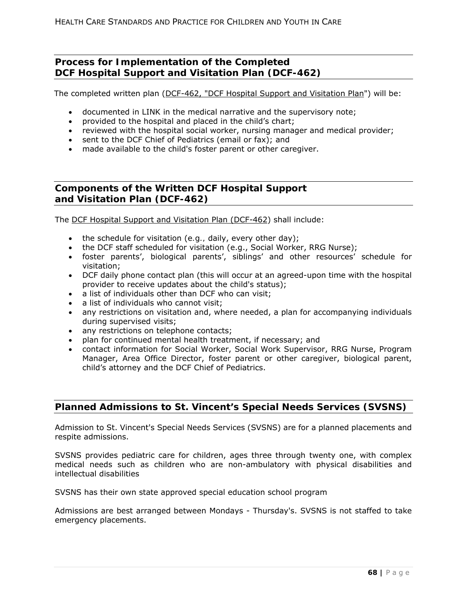# **Process for Implementation of the Completed DCF Hospital Support and Visitation Plan (DCF-462)**

The completed written plan (DCF-462, "DCF Hospital Support and Visitation Plan") will be:

- documented in LINK in the medical narrative and the supervisory note;
- provided to the hospital and placed in the child's chart;
- reviewed with the hospital social worker, nursing manager and medical provider;
- sent to the DCF Chief of Pediatrics (email or fax); and
- made available to the child's foster parent or other caregiver.

# **Components of the Written DCF Hospital Support and Visitation Plan (DCF-462)**

The DCF Hospital Support and Visitation Plan (DCF-462) shall include:

- the schedule for visitation (*e.g.,* daily, every other day);
- the DCF staff scheduled for visitation (e.g., Social Worker, RRG Nurse);
- foster parents', biological parents', siblings' and other resources' schedule for visitation;
- DCF daily phone contact plan (this will occur at an agreed-upon time with the hospital provider to receive updates about the child's status);
- a list of individuals other than DCF who can visit;
- a list of individuals who cannot visit:
- any restrictions on visitation and, where needed, a plan for accompanying individuals during supervised visits;
- any restrictions on telephone contacts;
- plan for continued mental health treatment, if necessary; and
- contact information for Social Worker, Social Work Supervisor, RRG Nurse, Program Manager, Area Office Director, foster parent or other caregiver, biological parent, child's attorney and the DCF Chief of Pediatrics.

# **Planned Admissions to St. Vincent's Special Needs Services (SVSNS)**

Admission to St. Vincent's Special Needs Services (SVSNS) are for a planned placements and respite admissions.

SVSNS provides pediatric care for children, ages three through twenty one, with complex medical needs such as children who are non-ambulatory with physical disabilities and intellectual disabilities

SVSNS has their own state approved special education school program

Admissions are best arranged between Mondays - Thursday's. SVSNS is not staffed to take emergency placements.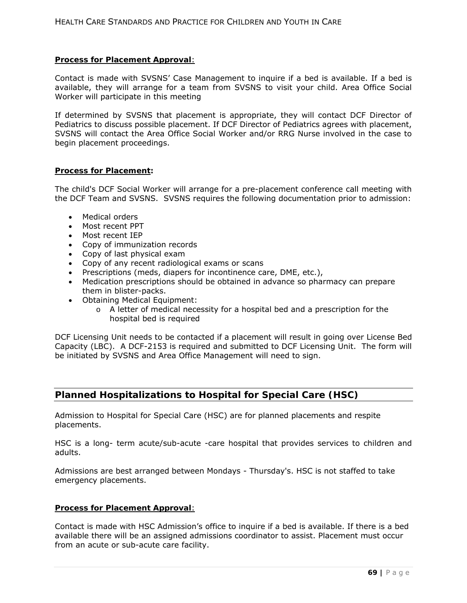### **Process for Placement Approval**:

Contact is made with SVSNS' Case Management to inquire if a bed is available. If a bed is available, they will arrange for a team from SVSNS to visit your child. Area Office Social Worker will participate in this meeting

If determined by SVSNS that placement is appropriate, they will contact DCF Director of Pediatrics to discuss possible placement. If DCF Director of Pediatrics agrees with placement, SVSNS will contact the Area Office Social Worker and/or RRG Nurse involved in the case to begin placement proceedings.

#### **Process for Placement:**

The child's DCF Social Worker will arrange for a pre-placement conference call meeting with the DCF Team and SVSNS. SVSNS requires the following documentation prior to admission:

- Medical orders
- Most recent PPT
- Most recent IEP
- Copy of immunization records
- Copy of last physical exam
- Copy of any recent radiological exams or scans
- Prescriptions (meds, diapers for incontinence care, DME, etc.),
- Medication prescriptions should be obtained in advance so pharmacy can prepare them in blister-packs.
- Obtaining Medical Equipment:
	- $\circ$  A letter of medical necessity for a hospital bed and a prescription for the hospital bed is required

DCF Licensing Unit needs to be contacted if a placement will result in going over License Bed Capacity (LBC). A DCF-2153 is required and submitted to DCF Licensing Unit. The form will be initiated by SVSNS and Area Office Management will need to sign.

# **Planned Hospitalizations to Hospital for Special Care (HSC)**

Admission to Hospital for Special Care (HSC) are for planned placements and respite placements.

HSC is a long- term acute/sub-acute -care hospital that provides services to children and adults.

Admissions are best arranged between Mondays - Thursday's. HSC is not staffed to take emergency placements.

#### **Process for Placement Approval**:

Contact is made with HSC Admission's office to inquire if a bed is available. If there is a bed available there will be an assigned admissions coordinator to assist. Placement must occur from an acute or sub-acute care facility.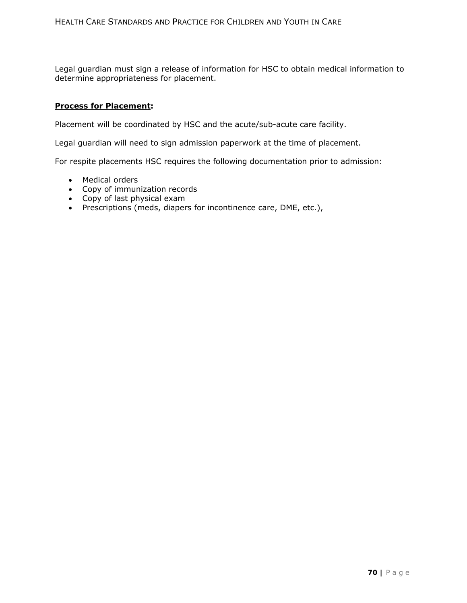Legal guardian must sign a release of information for HSC to obtain medical information to determine appropriateness for placement.

#### **Process for Placement:**

Placement will be coordinated by HSC and the acute/sub-acute care facility.

Legal guardian will need to sign admission paperwork at the time of placement.

For respite placements HSC requires the following documentation prior to admission:

- Medical orders
- Copy of immunization records
- Copy of last physical exam
- Prescriptions (meds, diapers for incontinence care, DME, etc.),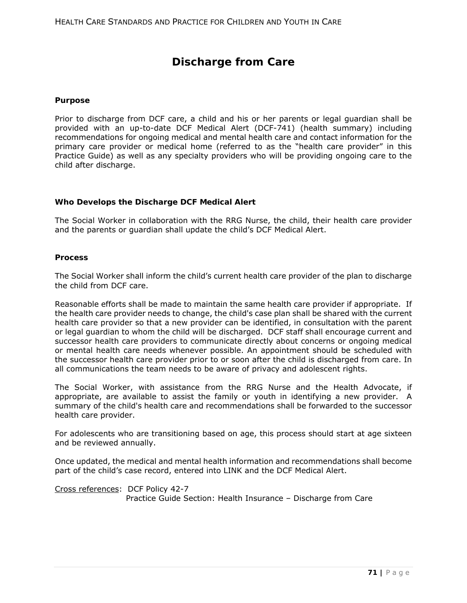# **Discharge from Care**

#### **Purpose**

Prior to discharge from DCF care, a child and his or her parents or legal guardian shall be provided with an up-to-date DCF Medical Alert (DCF-741) (health summary) including recommendations for ongoing medical and mental health care and contact information for the primary care provider or medical home (referred to as the "health care provider" in this Practice Guide) as well as any specialty providers who will be providing ongoing care to the child after discharge.

### **Who Develops the Discharge DCF Medical Alert**

The Social Worker in collaboration with the RRG Nurse, the child, their health care provider and the parents or guardian shall update the child's DCF Medical Alert.

### **Process**

The Social Worker shall inform the child's current health care provider of the plan to discharge the child from DCF care.

Reasonable efforts shall be made to maintain the same health care provider if appropriate. If the health care provider needs to change, the child's case plan shall be shared with the current health care provider so that a new provider can be identified, in consultation with the parent or legal guardian to whom the child will be discharged. DCF staff shall encourage current and successor health care providers to communicate directly about concerns or ongoing medical or mental health care needs whenever possible. An appointment should be scheduled with the successor health care provider prior to or soon after the child is discharged from care. In all communications the team needs to be aware of privacy and adolescent rights.

The Social Worker, with assistance from the RRG Nurse and the Health Advocate, if appropriate, are available to assist the family or youth in identifying a new provider. A summary of the child's health care and recommendations shall be forwarded to the successor health care provider.

For adolescents who are transitioning based on age, this process should start at age sixteen and be reviewed annually.

Once updated, the medical and mental health information and recommendations shall become part of the child's case record, entered into LINK and the DCF Medical Alert.

Cross references: DCF Policy 42-7 Practice Guide Section: Health Insurance – Discharge from Care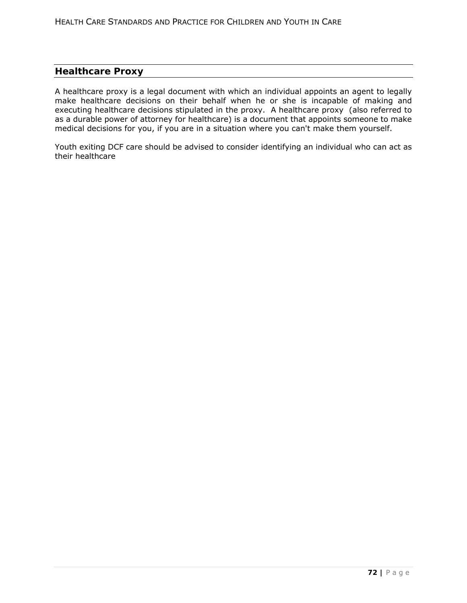# **Healthcare Proxy**

A healthcare proxy is a legal document with which an individual appoints an agent to legally make healthcare decisions on their behalf when he or she is incapable of making and executing healthcare decisions stipulated in the proxy. A healthcare proxy (also referred to as a durable power of attorney for healthcare) is a document that appoints someone to make medical decisions for you, if you are in a situation where you can't make them yourself.

Youth exiting DCF care should be advised to consider identifying an individual who can act as their healthcare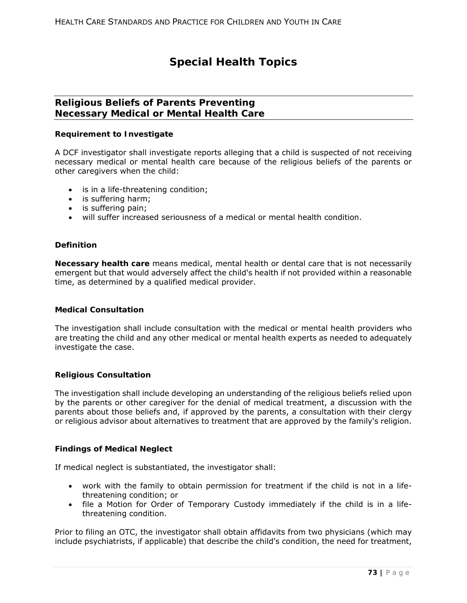# **Special Health Topics**

# **Religious Beliefs of Parents Preventing Necessary Medical or Mental Health Care**

### **Requirement to Investigate**

A DCF investigator shall investigate reports alleging that a child is suspected of not receiving necessary medical or mental health care because of the religious beliefs of the parents or other caregivers when the child:

- is in a life-threatening condition;
- is suffering harm;
- is suffering pain;
- will suffer increased seriousness of a medical or mental health condition.

#### **Definition**

**Necessary health care** means medical, mental health or dental care that is not necessarily emergent but that would adversely affect the child's health if not provided within a reasonable time, as determined by a qualified medical provider.

#### **Medical Consultation**

The investigation shall include consultation with the medical or mental health providers who are treating the child and any other medical or mental health experts as needed to adequately investigate the case.

#### **Religious Consultation**

The investigation shall include developing an understanding of the religious beliefs relied upon by the parents or other caregiver for the denial of medical treatment, a discussion with the parents about those beliefs and, if approved by the parents, a consultation with their clergy or religious advisor about alternatives to treatment that are approved by the family's religion.

#### **Findings of Medical Neglect**

If medical neglect is substantiated, the investigator shall:

- work with the family to obtain permission for treatment if the child is not in a lifethreatening condition; or
- file a Motion for Order of Temporary Custody immediately if the child is in a lifethreatening condition.

Prior to filing an OTC, the investigator shall obtain affidavits from two physicians (which may include psychiatrists, if applicable) that describe the child's condition, the need for treatment,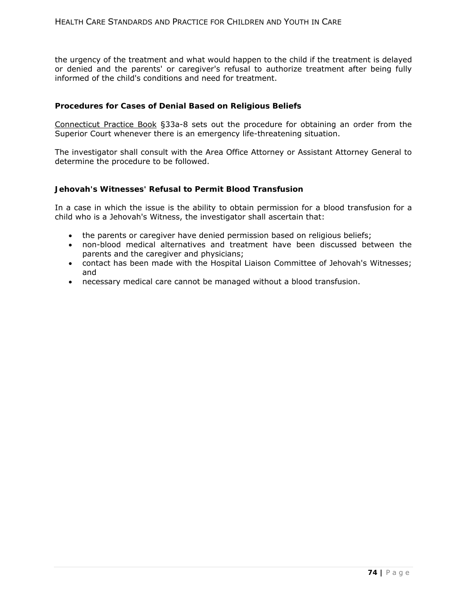the urgency of the treatment and what would happen to the child if the treatment is delayed or denied and the parents' or caregiver's refusal to authorize treatment after being fully informed of the child's conditions and need for treatment.

### **Procedures for Cases of Denial Based on Religious Beliefs**

Connecticut Practice Book §33a-8 sets out the procedure for obtaining an order from the Superior Court whenever there is an emergency life-threatening situation.

The investigator shall consult with the Area Office Attorney or Assistant Attorney General to determine the procedure to be followed.

### **Jehovah's Witnesses' Refusal to Permit Blood Transfusion**

In a case in which the issue is the ability to obtain permission for a blood transfusion for a child who is a Jehovah's Witness, the investigator shall ascertain that:

- the parents or caregiver have denied permission based on religious beliefs;
- non-blood medical alternatives and treatment have been discussed between the parents and the caregiver and physicians;
- contact has been made with the Hospital Liaison Committee of Jehovah's Witnesses; and
- necessary medical care cannot be managed without a blood transfusion.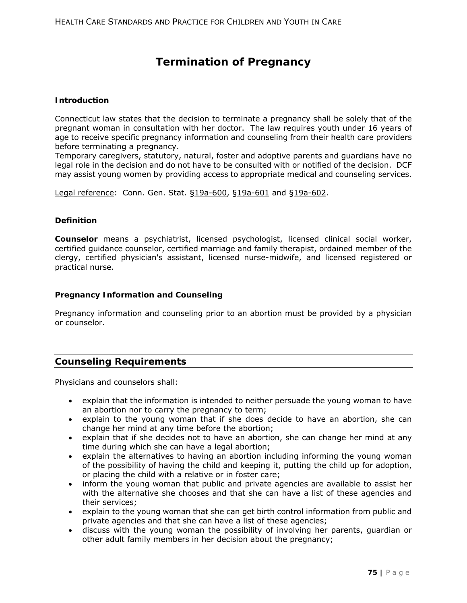# **Termination of Pregnancy**

### **Introduction**

Connecticut law states that the decision to terminate a pregnancy shall be solely that of the pregnant woman in consultation with her doctor. The law requires youth under 16 years of age to receive specific pregnancy information and counseling from their health care providers before terminating a pregnancy.

Temporary caregivers, statutory, natural, foster and adoptive parents and guardians have no legal role in the decision and do not have to be consulted with or notified of the decision. DCF may assist young women by providing access to appropriate medical and counseling services.

Legal reference:Conn. Gen. Stat. §19a-600, §19a-601 and §19a-602.

#### **Definition**

**Counselor** means a psychiatrist, licensed psychologist, licensed clinical social worker, certified guidance counselor, certified marriage and family therapist, ordained member of the clergy, certified physician's assistant, licensed nurse-midwife, and licensed registered or practical nurse.

### **Pregnancy Information and Counseling**

Pregnancy information and counseling prior to an abortion must be provided by a physician or counselor.

# **Counseling Requirements**

Physicians and counselors shall:

- explain that the information is intended to neither persuade the young woman to have an abortion nor to carry the pregnancy to term;
- explain to the young woman that if she does decide to have an abortion, she can change her mind at any time before the abortion;
- explain that if she decides not to have an abortion, she can change her mind at any time during which she can have a legal abortion;
- explain the alternatives to having an abortion including informing the young woman of the possibility of having the child and keeping it, putting the child up for adoption, or placing the child with a relative or in foster care;
- inform the young woman that public and private agencies are available to assist her with the alternative she chooses and that she can have a list of these agencies and their services;
- explain to the young woman that she can get birth control information from public and private agencies and that she can have a list of these agencies;
- discuss with the young woman the possibility of involving her parents, guardian or other adult family members in her decision about the pregnancy;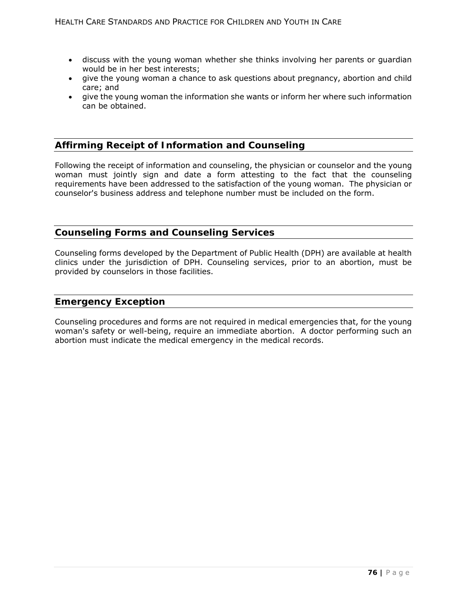- discuss with the young woman whether she thinks involving her parents or guardian would be in her best interests;
- give the young woman a chance to ask questions about pregnancy, abortion and child care; and
- give the young woman the information she wants or inform her where such information can be obtained.

# **Affirming Receipt of Information and Counseling**

Following the receipt of information and counseling, the physician or counselor and the young woman must jointly sign and date a form attesting to the fact that the counseling requirements have been addressed to the satisfaction of the young woman. The physician or counselor's business address and telephone number must be included on the form.

# **Counseling Forms and Counseling Services**

Counseling forms developed by the Department of Public Health (DPH) are available at health clinics under the jurisdiction of DPH. Counseling services, prior to an abortion, must be provided by counselors in those facilities.

### **Emergency Exception**

Counseling procedures and forms are not required in medical emergencies that, for the young woman's safety or well-being, require an immediate abortion. A doctor performing such an abortion must indicate the medical emergency in the medical records.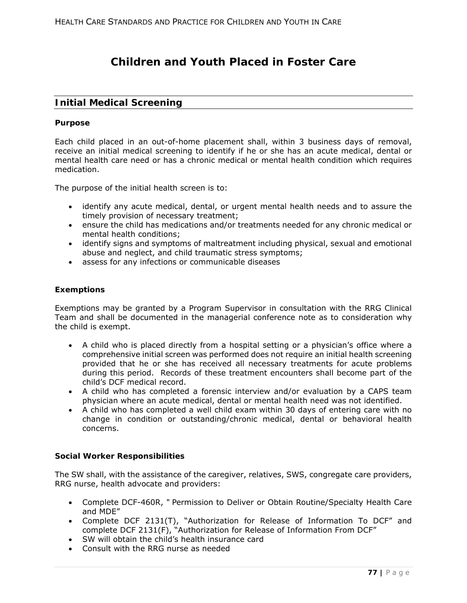# **Children and Youth Placed in Foster Care**

## **Initial Medical Screening**

#### **Purpose**

Each child placed in an out-of-home placement shall, within 3 business days of removal, receive an initial medical screening to identify if he or she has an acute medical, dental or mental health care need or has a chronic medical or mental health condition which requires medication.

The purpose of the initial health screen is to:

- identify any acute medical, dental, or urgent mental health needs and to assure the timely provision of necessary treatment;
- ensure the child has medications and/or treatments needed for any chronic medical or mental health conditions;
- identify signs and symptoms of maltreatment including physical, sexual and emotional abuse and neglect, and child traumatic stress symptoms;
- assess for any infections or communicable diseases

### **Exemptions**

Exemptions may be granted by a Program Supervisor in consultation with the RRG Clinical Team and shall be documented in the managerial conference note as to consideration why the child is exempt.

- A child who is placed directly from a hospital setting or a physician's office where a comprehensive initial screen was performed does not require an initial health screening provided that he or she has received all necessary treatments for acute problems during this period. Records of these treatment encounters shall become part of the child's DCF medical record.
- A child who has completed a forensic interview and/or evaluation by a CAPS team physician where an acute medical, dental or mental health need was not identified.
- A child who has completed a well child exam within 30 days of entering care with no change in condition or outstanding/chronic medical, dental or behavioral health concerns.

#### **Social Worker Responsibilities**

The SW shall, with the assistance of the caregiver, relatives, SWS, congregate care providers, RRG nurse, health advocate and providers:

- Complete DCF-460R, " Permission to Deliver or Obtain Routine/Specialty Health Care and MDE"
- Complete DCF 2131(T), "Authorization for Release of Information To DCF" and complete DCF 2131(F), "Authorization for Release of Information From DCF"
- SW will obtain the child's health insurance card
- Consult with the RRG nurse as needed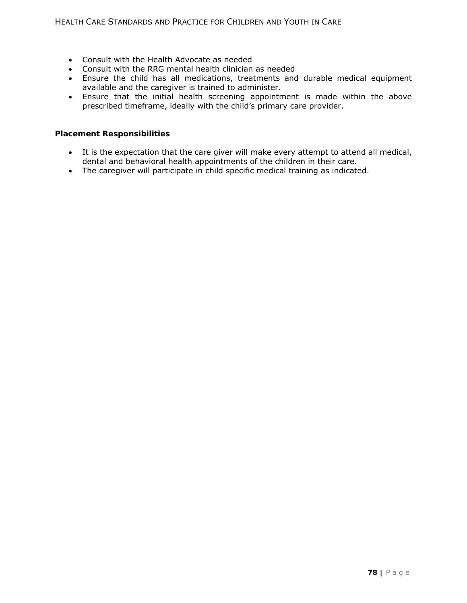- Consult with the Health Advocate as needed
- Consult with the RRG mental health clinician as needed
- Ensure the child has all medications, treatments and durable medical equipment available and the caregiver is trained to administer.
- Ensure that the initial health screening appointment is made within the above prescribed timeframe, ideally with the child's primary care provider.

### **Placement Responsibilities**

- It is the expectation that the care giver will make every attempt to attend all medical, dental and behavioral health appointments of the children in their care.
- The caregiver will participate in child specific medical training as indicated.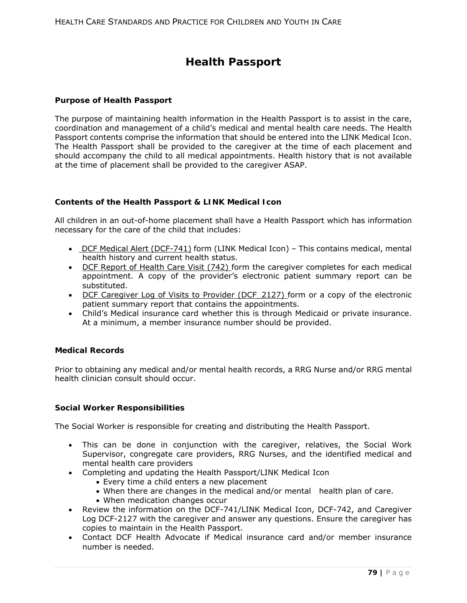# **Health Passport**

### **Purpose of Health Passport**

The purpose of maintaining health information in the Health Passport is to assist in the care, coordination and management of a child's medical and mental health care needs. The Health Passport contents comprise the information that should be entered into the LINK Medical Icon. The Health Passport shall be provided to the caregiver at the time of each placement and should accompany the child to all medical appointments. Health history that is not available at the time of placement shall be provided to the caregiver ASAP.

### **Contents of the Health Passport & LINK Medical Icon**

All children in an out-of-home placement shall have a Health Passport which has information necessary for the care of the child that includes:

- DCF Medical Alert (DCF-741) form (LINK Medical Icon) This contains medical, mental health history and current health status.
- DCF Report of Health Care Visit (742) form the caregiver completes for each medical appointment. A copy of the provider's electronic patient summary report can be substituted.
- DCF Caregiver Log of Visits to Provider (DCF 2127) form or a copy of the electronic patient summary report that contains the appointments.
- Child's Medical insurance card whether this is through Medicaid or private insurance. At a minimum, a member insurance number should be provided.

#### **Medical Records**

Prior to obtaining any medical and/or mental health records, a RRG Nurse and/or RRG mental health clinician consult should occur.

#### **Social Worker Responsibilities**

The Social Worker is responsible for creating and distributing the Health Passport.

- This can be done in conjunction with the caregiver, relatives, the Social Work Supervisor, congregate care providers, RRG Nurses, and the identified medical and mental health care providers
- Completing and updating the Health Passport/LINK Medical Icon
	- Every time a child enters a new placement
	- When there are changes in the medical and/or mental health plan of care.
	- When medication changes occur
- Review the information on the DCF-741/LINK Medical Icon, DCF-742, and Caregiver Log DCF-2127 with the caregiver and answer any questions. Ensure the caregiver has copies to maintain in the Health Passport.
- Contact DCF Health Advocate if Medical insurance card and/or member insurance number is needed.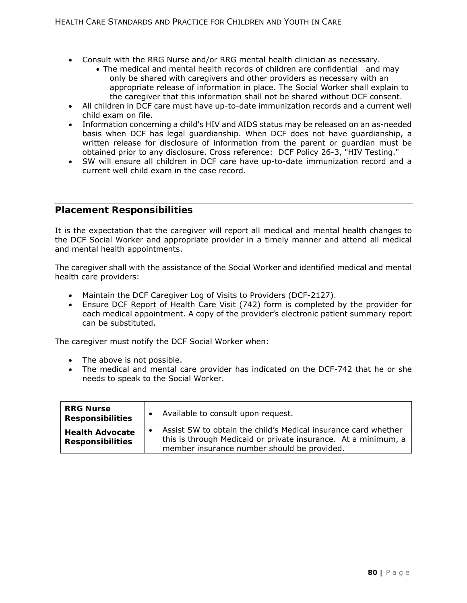- Consult with the RRG Nurse and/or RRG mental health clinician as necessary.
	- The medical and mental health records of children are confidential and may only be shared with caregivers and other providers as necessary with an appropriate release of information in place. The Social Worker shall explain to the caregiver that this information shall not be shared without DCF consent.
- All children in DCF care must have up-to-date immunization records and a current well child exam on file.
- Information concerning a child's HIV and AIDS status may be released on an as-needed basis when DCF has legal guardianship. When DCF does not have guardianship, a written release for disclosure of information from the parent or guardian must be obtained prior to any disclosure. Cross reference: DCF Policy 26-3, "HIV Testing."
- SW will ensure all children in DCF care have up-to-date immunization record and a current well child exam in the case record.

## **Placement Responsibilities**

It is the expectation that the caregiver will report all medical and mental health changes to the DCF Social Worker and appropriate provider in a timely manner and attend all medical and mental health appointments.

The caregiver shall with the assistance of the Social Worker and identified medical and mental health care providers:

- Maintain the DCF Caregiver Log of Visits to Providers (DCF-2127).
- Ensure DCF Report of Health Care Visit (742) form is completed by the provider for each medical appointment. A copy of the provider's electronic patient summary report can be substituted.

The caregiver must notify the DCF Social Worker when:

- The above is not possible.
- The medical and mental care provider has indicated on the DCF-742 that he or she needs to speak to the Social Worker.

| <b>RRG Nurse</b><br><b>Responsibilities</b>       | Available to consult upon request.                                                                                                                                              |
|---------------------------------------------------|---------------------------------------------------------------------------------------------------------------------------------------------------------------------------------|
| <b>Health Advocate</b><br><b>Responsibilities</b> | Assist SW to obtain the child's Medical insurance card whether<br>this is through Medicaid or private insurance. At a minimum, a<br>member insurance number should be provided. |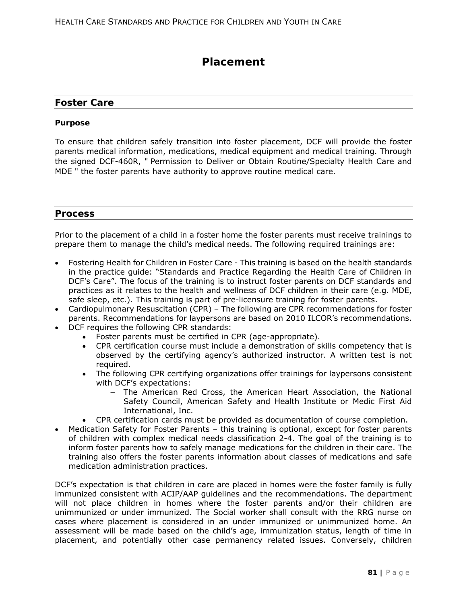# **Placement**

### **Foster Care**

### **Purpose**

To ensure that children safely transition into foster placement, DCF will provide the foster parents medical information, medications, medical equipment and medical training. Through the signed DCF-460R, " Permission to Deliver or Obtain Routine/Specialty Health Care and MDE " the foster parents have authority to approve routine medical care.

### **Process**

Prior to the placement of a child in a foster home the foster parents must receive trainings to prepare them to manage the child's medical needs. The following required trainings are:

- Fostering Health for Children in Foster Care This training is based on the health standards in the practice guide: "Standards and Practice Regarding the Health Care of Children in DCF's Care". The focus of the training is to instruct foster parents on DCF standards and practices as it relates to the health and wellness of DCF children in their care (e.g. MDE, safe sleep, etc.). This training is part of pre-licensure training for foster parents.
- Cardiopulmonary Resuscitation (CPR) The following are CPR recommendations for foster parents. Recommendations for laypersons are based on 2010 ILCOR's recommendations. DCF requires the following CPR standards:
	- Foster parents must be certified in CPR (age-appropriate).
	- CPR certification course must include a demonstration of skills competency that is observed by the certifying agency's authorized instructor. A written test is not required.
	- The following CPR certifying organizations offer trainings for laypersons consistent with DCF's expectations:
		- The American Red Cross, the American Heart Association, the National Safety Council, American Safety and Health Institute or Medic First Aid International, Inc.
	- CPR certification cards must be provided as documentation of course completion.
- Medication Safety for Foster Parents this training is optional, except for foster parents of children with complex medical needs classification 2-4. The goal of the training is to inform foster parents how to safely manage medications for the children in their care. The training also offers the foster parents information about classes of medications and safe medication administration practices.

DCF's expectation is that children in care are placed in homes were the foster family is fully immunized consistent with ACIP/AAP guidelines and the recommendations. The department will not place children in homes where the foster parents and/or their children are unimmunized or under immunized. The Social worker shall consult with the RRG nurse on cases where placement is considered in an under immunized or unimmunized home. An assessment will be made based on the child's age, immunization status, length of time in placement, and potentially other case permanency related issues. Conversely, children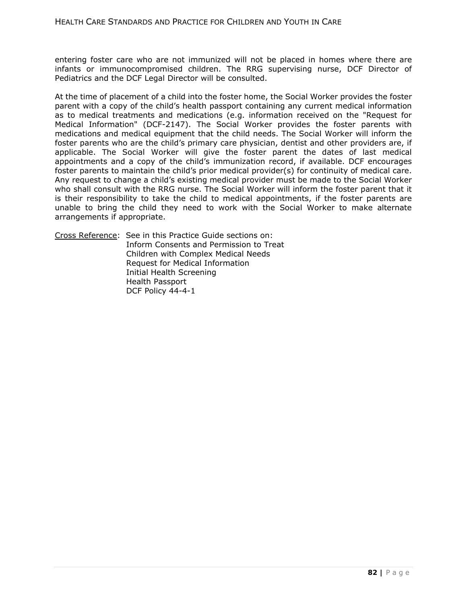entering foster care who are not immunized will not be placed in homes where there are infants or immunocompromised children. The RRG supervising nurse, DCF Director of Pediatrics and the DCF Legal Director will be consulted.

At the time of placement of a child into the foster home, the Social Worker provides the foster parent with a copy of the child's health passport containing any current medical information as to medical treatments and medications (e.g. information received on the "Request for Medical Information" (DCF-2147). The Social Worker provides the foster parents with medications and medical equipment that the child needs. The Social Worker will inform the foster parents who are the child's primary care physician, dentist and other providers are, if applicable. The Social Worker will give the foster parent the dates of last medical appointments and a copy of the child's immunization record, if available. DCF encourages foster parents to maintain the child's prior medical provider(s) for continuity of medical care. Any request to change a child's existing medical provider must be made to the Social Worker who shall consult with the RRG nurse. The Social Worker will inform the foster parent that it is their responsibility to take the child to medical appointments, if the foster parents are unable to bring the child they need to work with the Social Worker to make alternate arrangements if appropriate.

Cross Reference: See in this Practice Guide sections on: Inform Consents and Permission to Treat Children with Complex Medical Needs Request for Medical Information Initial Health Screening Health Passport DCF Policy 44-4-1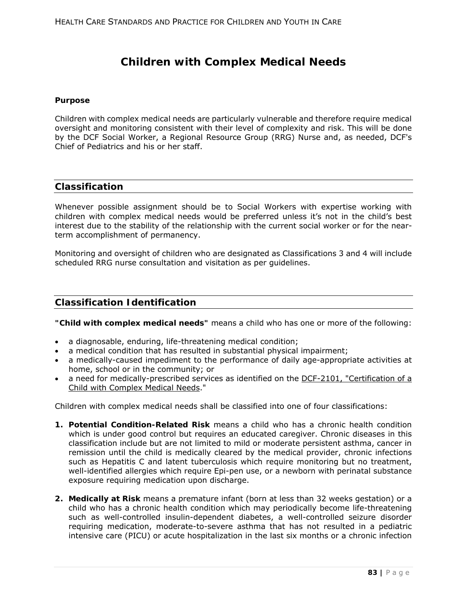# **Children with Complex Medical Needs**

### **Purpose**

Children with complex medical needs are particularly vulnerable and therefore require medical oversight and monitoring consistent with their level of complexity and risk. This will be done by the DCF Social Worker, a Regional Resource Group (RRG) Nurse and, as needed, DCF's Chief of Pediatrics and his or her staff.

## **Classification**

Whenever possible assignment should be to Social Workers with expertise working with children with complex medical needs would be preferred unless it's not in the child's best interest due to the stability of the relationship with the current social worker or for the nearterm accomplishment of permanency.

Monitoring and oversight of children who are designated as Classifications 3 and 4 will include scheduled RRG nurse consultation and visitation as per guidelines.

# **Classification Identification**

**"Child with complex medical needs"** means a child who has one or more of the following:

- a diagnosable, enduring, life-threatening medical condition;
- a medical condition that has resulted in substantial physical impairment;
- a medically-caused impediment to the performance of daily age-appropriate activities at home, school or in the community; or
- a need for medically-prescribed services as identified on the DCF-2101, "Certification of a Child with Complex Medical Needs."

Children with complex medical needs shall be classified into one of four classifications:

- **1. Potential Condition-Related Risk** means a child who has a chronic health condition which is under good control but requires an educated caregiver. Chronic diseases in this classification include but are not limited to mild or moderate persistent asthma, cancer in remission until the child is medically cleared by the medical provider, chronic infections such as Hepatitis C and latent tuberculosis which require monitoring but no treatment, well-identified allergies which require Epi-pen use, or a newborn with perinatal substance exposure requiring medication upon discharge.
- **2. Medically at Risk** means a premature infant (born at less than 32 weeks gestation) or a child who has a chronic health condition which may periodically become life-threatening such as well-controlled insulin-dependent diabetes, a well-controlled seizure disorder requiring medication, moderate-to-severe asthma that has not resulted in a pediatric intensive care (PICU) or acute hospitalization in the last six months or a chronic infection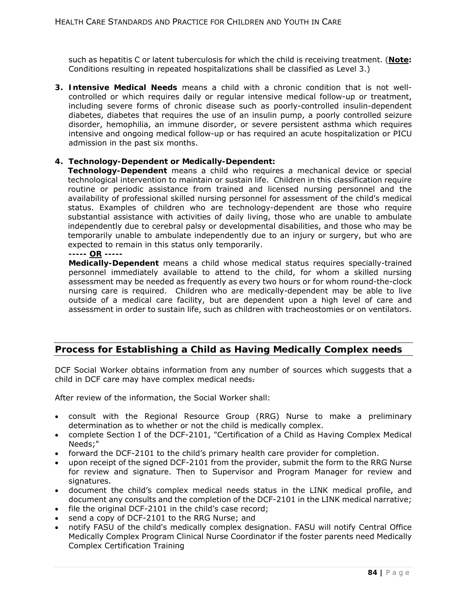such as hepatitis C or latent tuberculosis for which the child is receiving treatment. (**Note:**  Conditions resulting in repeated hospitalizations shall be classified as Level 3.)

**3. Intensive Medical Needs** means a child with a chronic condition that is not wellcontrolled or which requires daily or regular intensive medical follow-up or treatment, including severe forms of chronic disease such as poorly-controlled insulin-dependent diabetes, diabetes that requires the use of an insulin pump, a poorly controlled seizure disorder, hemophilia, an immune disorder, or severe persistent asthma which requires intensive and ongoing medical follow-up or has required an acute hospitalization or PICU admission in the past six months.

### **4. Technology-Dependent or Medically-Dependent:**

**Technology-Dependent** means a child who requires a mechanical device or special technological intervention to maintain or sustain life. Children in this classification require routine or periodic assistance from trained and licensed nursing personnel and the availability of professional skilled nursing personnel for assessment of the child's medical status. Examples of children who are technology-dependent are those who require substantial assistance with activities of daily living, those who are unable to ambulate independently due to cerebral palsy or developmental disabilities, and those who may be temporarily unable to ambulate independently due to an injury or surgery, but who are expected to remain in this status only temporarily.

**----- OR -----** 

**Medically-Dependent** means a child whose medical status requires specially-trained personnel immediately available to attend to the child, for whom a skilled nursing assessment may be needed as frequently as every two hours or for whom round-the-clock nursing care is required. Children who are medically-dependent may be able to live outside of a medical care facility, but are dependent upon a high level of care and assessment in order to sustain life, such as children with tracheostomies or on ventilators.

# **Process for Establishing a Child as Having Medically Complex needs**

DCF Social Worker obtains information from any number of sources which suggests that a child in DCF care may have complex medical needs-

After review of the information, the Social Worker shall:

- consult with the Regional Resource Group (RRG) Nurse to make a preliminary determination as to whether or not the child is medically complex.
- complete Section I of the DCF-2101, "Certification of a Child as Having Complex Medical Needs;"
- forward the DCF-2101 to the child's primary health care provider for completion.
- upon receipt of the signed DCF-2101 from the provider, submit the form to the RRG Nurse for review and signature. Then to Supervisor and Program Manager for review and signatures.
- document the child's complex medical needs status in the LINK medical profile, and document any consults and the completion of the DCF-2101 in the LINK medical narrative;
- file the original DCF-2101 in the child's case record;
- send a copy of DCF-2101 to the RRG Nurse; and
- notify FASU of the child's medically complex designation. FASU will notify Central Office Medically Complex Program Clinical Nurse Coordinator if the foster parents need Medically Complex Certification Training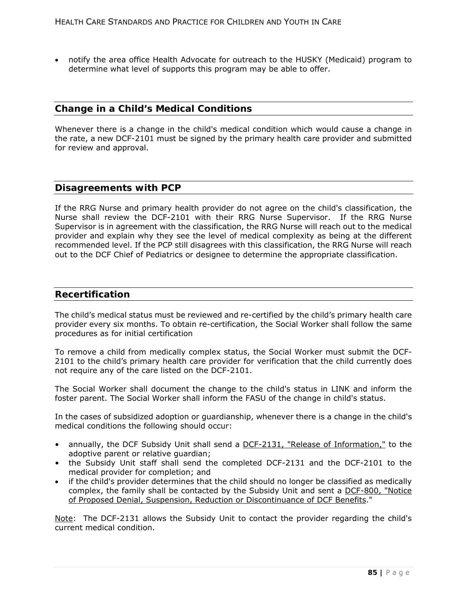notify the area office Health Advocate for outreach to the HUSKY (Medicaid) program to determine what level of supports this program may be able to offer.

### **Change in a Child's Medical Conditions**

Whenever there is a change in the child's medical condition which would cause a change in the rate, a new DCF-2101 must be signed by the primary health care provider and submitted for review and approval.

### **Disagreements with PCP**

If the RRG Nurse and primary health provider do not agree on the child's classification, the Nurse shall review the DCF-2101 with their RRG Nurse Supervisor. If the RRG Nurse Supervisor is in agreement with the classification, the RRG Nurse will reach out to the medical provider and explain why they see the level of medical complexity as being at the different recommended level. If the PCP still disagrees with this classification, the RRG Nurse will reach out to the DCF Chief of Pediatrics or designee to determine the appropriate classification.

### **Recertification**

The child's medical status must be reviewed and re-certified by the child's primary health care provider every six months. To obtain re-certification, the Social Worker shall follow the same procedures as for initial certification

To remove a child from medically complex status, the Social Worker must submit the DCF-2101 to the child's primary health care provider for verification that the child currently does not require any of the care listed on the DCF-2101.

The Social Worker shall document the change to the child's status in LINK and inform the foster parent. The Social Worker shall inform the FASU of the change in child's status.

In the cases of subsidized adoption or guardianship, whenever there is a change in the child's medical conditions the following should occur:

- annually, the DCF Subsidy Unit shall send a DCF-2131, "Release of Information," to the adoptive parent or relative guardian;
- the Subsidy Unit staff shall send the completed DCF-2131 and the DCF-2101 to the medical provider for completion; and
- if the child's provider determines that the child should no longer be classified as medically complex, the family shall be contacted by the Subsidy Unit and sent a DCF-800, "Notice of Proposed Denial, Suspension, Reduction or Discontinuance of DCF Benefits."

Note: The DCF-2131 allows the Subsidy Unit to contact the provider regarding the child's current medical condition.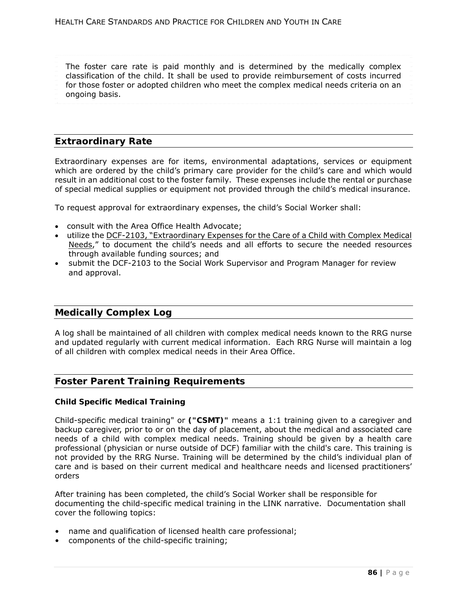- The foster care rate is paid monthly and is determined by the medically complex
- classification of the child. It shall be used to provide reimbursement of costs incurred
- for those foster or adopted children who meet the complex medical needs criteria on an
- ongoing basis.

## **Extraordinary Rate**

Extraordinary expenses are for items, environmental adaptations, services or equipment which are ordered by the child's primary care provider for the child's care and which would result in an additional cost to the foster family. These expenses include the rental or purchase of special medical supplies or equipment not provided through the child's medical insurance.

To request approval for extraordinary expenses, the child's Social Worker shall:

- consult with the Area Office Health Advocate;
- utilize the DCF-2103, "Extraordinary Expenses for the Care of a Child with Complex Medical Needs," to document the child's needs and all efforts to secure the needed resources through available funding sources; and
- submit the DCF-2103 to the Social Work Supervisor and Program Manager for review and approval.

## **Medically Complex Log**

A log shall be maintained of all children with complex medical needs known to the RRG nurse and updated regularly with current medical information. Each RRG Nurse will maintain a log of all children with complex medical needs in their Area Office.

## **Foster Parent Training Requirements**

### **Child Specific Medical Training**

Child-specific medical training" or **("CSMT)"** means a 1:1 training given to a caregiver and backup caregiver, prior to or on the day of placement, about the medical and associated care needs of a child with complex medical needs. Training should be given by a health care professional (physician or nurse outside of DCF) familiar with the child's care. This training is not provided by the RRG Nurse. Training will be determined by the child's individual plan of care and is based on their current medical and healthcare needs and licensed practitioners' orders

After training has been completed, the child's Social Worker shall be responsible for documenting the child-specific medical training in the LINK narrative. Documentation shall cover the following topics:

- name and qualification of licensed health care professional;
- components of the child-specific training;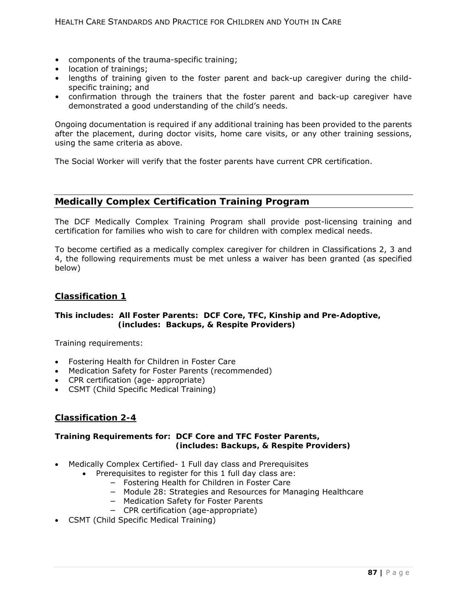- components of the trauma-specific training;
- location of trainings;
- lengths of training given to the foster parent and back-up caregiver during the childspecific training; and
- confirmation through the trainers that the foster parent and back-up caregiver have demonstrated a good understanding of the child's needs.

Ongoing documentation is required if any additional training has been provided to the parents after the placement, during doctor visits, home care visits, or any other training sessions, using the same criteria as above.

The Social Worker will verify that the foster parents have current CPR certification.

# **Medically Complex Certification Training Program**

The DCF Medically Complex Training Program shall provide post-licensing training and certification for families who wish to care for children with complex medical needs.

To become certified as a medically complex caregiver for children in Classifications 2, 3 and 4, the following requirements must be met unless a waiver has been granted (as specified below)

### **Classification 1**

### **This includes:** *All Foster Parents: DCF Core, TFC, Kinship and Pre-Adoptive, (includes: Backups, & Respite Providers)*

Training requirements:

- Fostering Health for Children in Foster Care
- Medication Safety for Foster Parents (recommended)
- CPR certification (age- appropriate)
- CSMT (Child Specific Medical Training)

## **Classification 2-4**

### **Training Requirements for: DCF Core and TFC Foster Parents,**  *(includes: Backups, & Respite Providers)*

- Medically Complex Certified- 1 Full day class and Prerequisites
	- Prerequisites to register for this 1 full day class are:
		- − Fostering Health for Children in Foster Care
		- − Module 28: Strategies and Resources for Managing Healthcare
		- − Medication Safety for Foster Parents
		- − CPR certification (age-appropriate)
- CSMT (Child Specific Medical Training)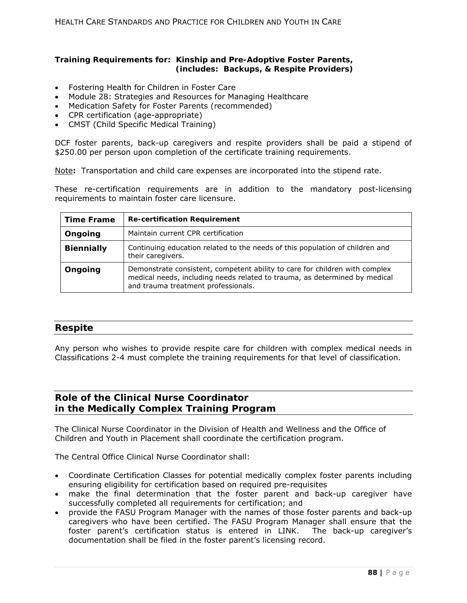### **Training Requirements for: Kinship and Pre-Adoptive Foster Parents,**  *(includes: Backups, & Respite Providers)*

- Fostering Health for Children in Foster Care
- Module 28: Strategies and Resources for Managing Healthcare
- Medication Safety for Foster Parents (recommended)
- CPR certification (age-appropriate)
- CMST (Child Specific Medical Training)

DCF foster parents, back-up caregivers and respite providers shall be paid a stipend of \$250.00 per person upon completion of the certificate training requirements.

Note**:** Transportation and child care expenses are incorporated into the stipend rate.

These re-certification requirements are in addition to the mandatory post-licensing requirements to maintain foster care licensure.

| <b>Time Frame</b> | <b>Re-certification Requirement</b>                                                                                                                                                              |
|-------------------|--------------------------------------------------------------------------------------------------------------------------------------------------------------------------------------------------|
| Ongoing           | Maintain current CPR certification                                                                                                                                                               |
| <b>Biennially</b> | Continuing education related to the needs of this population of children and<br>their caregivers.                                                                                                |
| Ongoing           | Demonstrate consistent, competent ability to care for children with complex<br>medical needs, including needs related to trauma, as determined by medical<br>and trauma treatment professionals. |

### **Respite**

Any person who wishes to provide respite care for children with complex medical needs in Classifications 2-4 must complete the training requirements for that level of classification.

# **Role of the Clinical Nurse Coordinator in the Medically Complex Training Program**

The Clinical Nurse Coordinator in the Division of Health and Wellness and the Office of Children and Youth in Placement shall coordinate the certification program.

The Central Office Clinical Nurse Coordinator shall:

- Coordinate Certification Classes for potential medically complex foster parents including ensuring eligibility for certification based on required pre-requisites
- make the final determination that the foster parent and back-up caregiver have successfully completed all requirements for certification; and
- provide the FASU Program Manager with the names of those foster parents and back-up caregivers who have been certified. The FASU Program Manager shall ensure that the foster parent's certification status is entered in LINK. The back-up caregiver's documentation shall be filed in the foster parent's licensing record.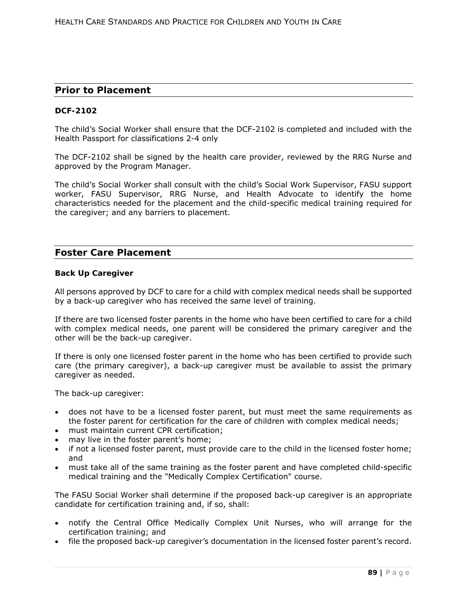### **Prior to Placement**

### **DCF-2102**

The child's Social Worker shall ensure that the DCF-2102 is completed and included with the Health Passport for classifications 2-4 only

The DCF-2102 shall be signed by the health care provider, reviewed by the RRG Nurse and approved by the Program Manager.

The child's Social Worker shall consult with the child's Social Work Supervisor, FASU support worker, FASU Supervisor, RRG Nurse, and Health Advocate to identify the home characteristics needed for the placement and the child-specific medical training required for the caregiver; and any barriers to placement.

## **Foster Care Placement**

#### **Back Up Caregiver**

All persons approved by DCF to care for a child with complex medical needs shall be supported by a back-up caregiver who has received the same level of training.

If there are two licensed foster parents in the home who have been certified to care for a child with complex medical needs, one parent will be considered the primary caregiver and the other will be the back-up caregiver.

If there is only one licensed foster parent in the home who has been certified to provide such care (the primary caregiver), a back-up caregiver must be available to assist the primary caregiver as needed.

The back-up caregiver:

- does not have to be a licensed foster parent, but must meet the same requirements as the foster parent for certification for the care of children with complex medical needs;
- must maintain current CPR certification;
- may live in the foster parent's home;
- if not a licensed foster parent, must provide care to the child in the licensed foster home; and
- must take all of the same training as the foster parent and have completed child-specific medical training and the "Medically Complex Certification" course.

The FASU Social Worker shall determine if the proposed back-up caregiver is an appropriate candidate for certification training and, if so, shall:

- notify the Central Office Medically Complex Unit Nurses, who will arrange for the certification training; and
- file the proposed back-up caregiver's documentation in the licensed foster parent's record.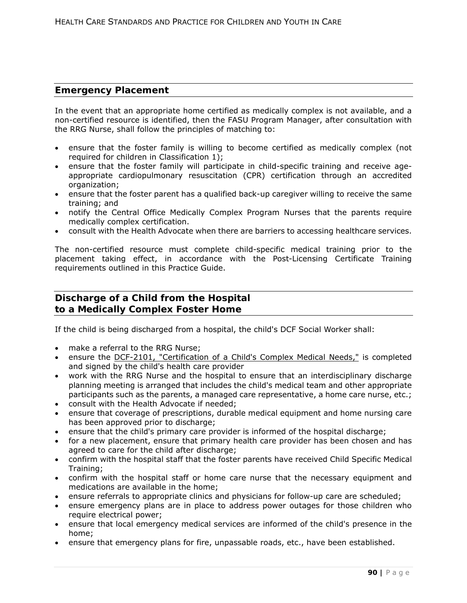# **Emergency Placement**

In the event that an appropriate home certified as medically complex is not available, and a non-certified resource is identified, then the FASU Program Manager, after consultation with the RRG Nurse, shall follow the principles of matching to:

- ensure that the foster family is willing to become certified as medically complex (not required for children in Classification 1);
- ensure that the foster family will participate in child-specific training and receive ageappropriate cardiopulmonary resuscitation (CPR) certification through an accredited organization;
- ensure that the foster parent has a qualified back-up caregiver willing to receive the same training; and
- notify the Central Office Medically Complex Program Nurses that the parents require medically complex certification.
- consult with the Health Advocate when there are barriers to accessing healthcare services.

The non-certified resource must complete child-specific medical training prior to the placement taking effect, in accordance with the Post-Licensing Certificate Training requirements outlined in this Practice Guide.

# **Discharge of a Child from the Hospital to a Medically Complex Foster Home**

If the child is being discharged from a hospital, the child's DCF Social Worker shall:

- make a referral to the RRG Nurse;
- ensure the DCF-2101, "Certification of a Child's Complex Medical Needs," is completed and signed by the child's health care provider
- work with the RRG Nurse and the hospital to ensure that an interdisciplinary discharge planning meeting is arranged that includes the child's medical team and other appropriate participants such as the parents, a managed care representative, a home care nurse, etc.;
- consult with the Health Advocate if needed;
- ensure that coverage of prescriptions, durable medical equipment and home nursing care has been approved prior to discharge;
- ensure that the child's primary care provider is informed of the hospital discharge;
- for a new placement, ensure that primary health care provider has been chosen and has agreed to care for the child after discharge;
- confirm with the hospital staff that the foster parents have received Child Specific Medical Training;
- confirm with the hospital staff or home care nurse that the necessary equipment and medications are available in the home;
- ensure referrals to appropriate clinics and physicians for follow-up care are scheduled;
- ensure emergency plans are in place to address power outages for those children who require electrical power;
- ensure that local emergency medical services are informed of the child's presence in the home;
- ensure that emergency plans for fire, unpassable roads, etc., have been established.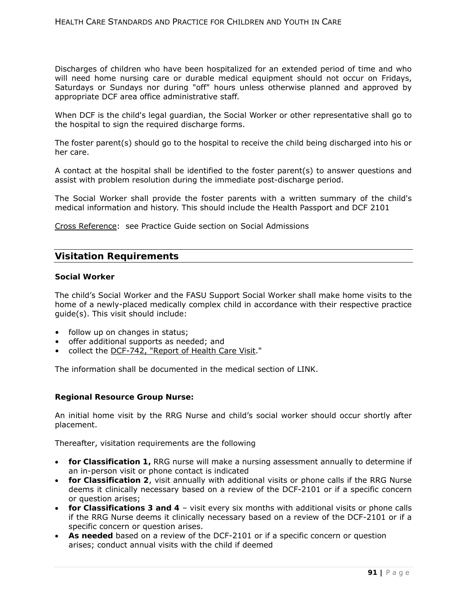Discharges of children who have been hospitalized for an extended period of time and who will need home nursing care or durable medical equipment should not occur on Fridays, Saturdays or Sundays nor during "off" hours unless otherwise planned and approved by appropriate DCF area office administrative staff.

When DCF is the child's legal guardian, the Social Worker or other representative shall go to the hospital to sign the required discharge forms.

The foster parent(s) should go to the hospital to receive the child being discharged into his or her care.

A contact at the hospital shall be identified to the foster parent(s) to answer questions and assist with problem resolution during the immediate post-discharge period.

The Social Worker shall provide the foster parents with a written summary of the child's medical information and history. This should include the Health Passport and DCF 2101

Cross Reference: see Practice Guide section on Social Admissions

## **Visitation Requirements**

### **Social Worker**

The child's Social Worker and the FASU Support Social Worker shall make home visits to the home of a newly-placed medically complex child in accordance with their respective practice guide(s). This visit should include:

- follow up on changes in status;
- offer additional supports as needed; and
- collect the DCF-742, "Report of Health Care Visit."

The information shall be documented in the medical section of LINK.

### **Regional Resource Group Nurse:**

An initial home visit by the RRG Nurse and child's social worker should occur shortly after placement.

Thereafter, visitation requirements are the following

- **for Classification 1,** RRG nurse will make a nursing assessment annually to determine if an in-person visit or phone contact is indicated
- **for Classification 2**, visit annually with additional visits or phone calls if the RRG Nurse deems it clinically necessary based on a review of the DCF-2101 or if a specific concern or question arises;
- **for Classifications 3 and 4** visit every six months with additional visits or phone calls if the RRG Nurse deems it clinically necessary based on a review of the DCF-2101 or if a specific concern or question arises.
- **As needed** based on a review of the DCF-2101 or if a specific concern or question arises; conduct annual visits with the child if deemed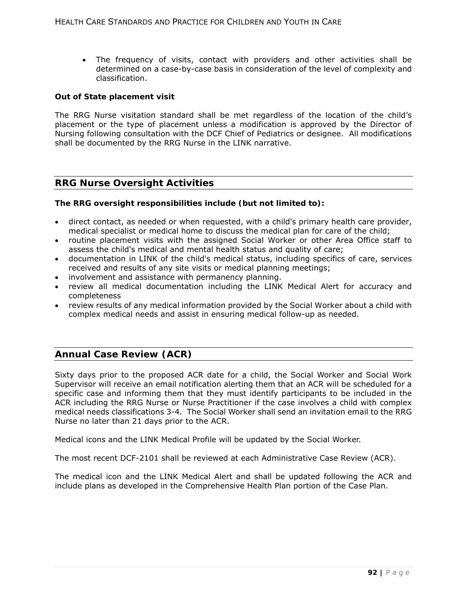The frequency of visits, contact with providers and other activities shall be determined on a case-by-case basis in consideration of the level of complexity and classification.

### **Out of State placement visit**

The RRG Nurse visitation standard shall be met regardless of the location of the child's placement or the type of placement unless a modification is approved by the Director of Nursing following consultation with the DCF Chief of Pediatrics or designee. All modifications shall be documented by the RRG Nurse in the LINK narrative.

## **RRG Nurse Oversight Activities**

### **The RRG oversight responsibilities include (but not limited to):**

- direct contact, as needed or when requested, with a child's primary health care provider, medical specialist or medical home to discuss the medical plan for care of the child;
- routine placement visits with the assigned Social Worker or other Area Office staff to assess the child's medical and mental health status and quality of care;
- documentation in LINK of the child's medical status, including specifics of care, services received and results of any site visits or medical planning meetings;
- involvement and assistance with permanency planning.
- review all medical documentation including the LINK Medical Alert for accuracy and completeness
- review results of any medical information provided by the Social Worker about a child with complex medical needs and assist in ensuring medical follow-up as needed.

# **Annual Case Review (ACR)**

Sixty days prior to the proposed ACR date for a child, the Social Worker and Social Work Supervisor will receive an email notification alerting them that an ACR will be scheduled for a specific case and informing them that they must identify participants to be included in the ACR including the RRG Nurse or Nurse Practitioner if the case involves a child with complex medical needs classifications 3-4. The Social Worker shall send an invitation email to the RRG Nurse no later than 21 days prior to the ACR.

Medical icons and the LINK Medical Profile will be updated by the Social Worker.

The most recent DCF-2101 shall be reviewed at each Administrative Case Review (ACR).

The medical icon and the LINK Medical Alert and shall be updated following the ACR and include plans as developed in the Comprehensive Health Plan portion of the Case Plan.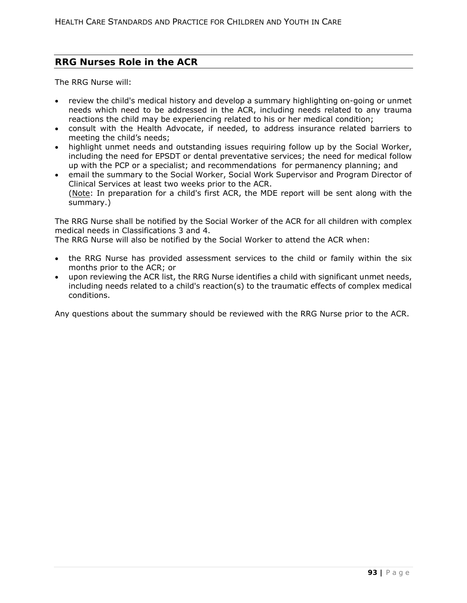# **RRG Nurses Role in the ACR**

The RRG Nurse will:

- review the child's medical history and develop a summary highlighting on-going or unmet needs which need to be addressed in the ACR, including needs related to any trauma reactions the child may be experiencing related to his or her medical condition;
- consult with the Health Advocate, if needed, to address insurance related barriers to meeting the child's needs;
- highlight unmet needs and outstanding issues requiring follow up by the Social Worker, including the need for EPSDT or dental preventative services; the need for medical follow up with the PCP or a specialist; and recommendations for permanency planning; and
- email the summary to the Social Worker, Social Work Supervisor and Program Director of Clinical Services at least two weeks prior to the ACR. (Note: In preparation for a child's first ACR, the MDE report will be sent along with the summary.)

The RRG Nurse shall be notified by the Social Worker of the ACR for all children with complex medical needs in Classifications 3 and 4.

The RRG Nurse will also be notified by the Social Worker to attend the ACR when:

- the RRG Nurse has provided assessment services to the child or family within the six months prior to the ACR; or
- upon reviewing the ACR list, the RRG Nurse identifies a child with significant unmet needs, including needs related to a child's reaction(s) to the traumatic effects of complex medical conditions.

Any questions about the summary should be reviewed with the RRG Nurse prior to the ACR.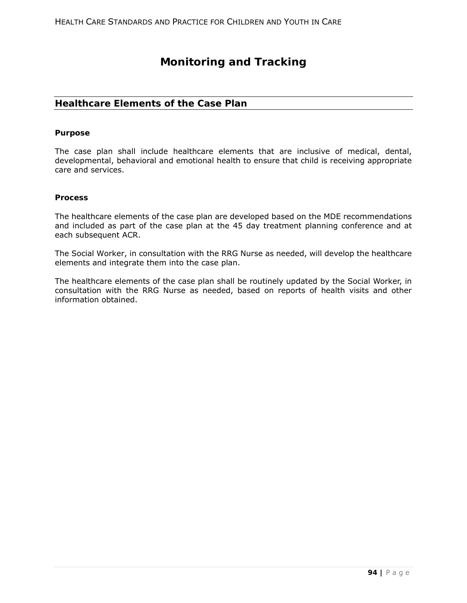# **Monitoring and Tracking**

# **Healthcare Elements of the Case Plan**

#### **Purpose**

The case plan shall include healthcare elements that are inclusive of medical, dental, developmental, behavioral and emotional health to ensure that child is receiving appropriate care and services.

#### **Process**

The healthcare elements of the case plan are developed based on the MDE recommendations and included as part of the case plan at the 45 day treatment planning conference and at each subsequent ACR.

The Social Worker, in consultation with the RRG Nurse as needed, will develop the healthcare elements and integrate them into the case plan.

The healthcare elements of the case plan shall be routinely updated by the Social Worker, in consultation with the RRG Nurse as needed, based on reports of health visits and other information obtained.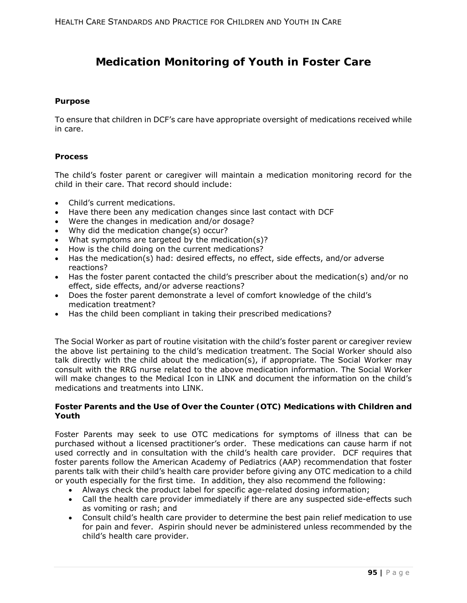# **Medication Monitoring of Youth in Foster Care**

### **Purpose**

To ensure that children in DCF's care have appropriate oversight of medications received while in care.

### **Process**

The child's foster parent or caregiver will maintain a medication monitoring record for the child in their care. That record should include:

- Child's current medications.
- Have there been any medication changes since last contact with DCF
- Were the changes in medication and/or dosage?
- Why did the medication change(s) occur?
- What symptoms are targeted by the medication(s)?
- How is the child doing on the current medications?
- Has the medication(s) had: desired effects, no effect, side effects, and/or adverse reactions?
- Has the foster parent contacted the child's prescriber about the medication(s) and/or no effect, side effects, and/or adverse reactions?
- Does the foster parent demonstrate a level of comfort knowledge of the child's medication treatment?
- Has the child been compliant in taking their prescribed medications?

The Social Worker as part of routine visitation with the child's foster parent or caregiver review the above list pertaining to the child's medication treatment. The Social Worker should also talk directly with the child about the medication(s), if appropriate. The Social Worker may consult with the RRG nurse related to the above medication information. The Social Worker will make changes to the Medical Icon in LINK and document the information on the child's medications and treatments into LINK.

### **Foster Parents and the Use of Over the Counter (OTC) Medications with Children and Youth**

Foster Parents may seek to use OTC medications for symptoms of illness that can be purchased without a licensed practitioner's order. These medications can cause harm if not used correctly and in consultation with the child's health care provider. DCF requires that foster parents follow the American Academy of Pediatrics (AAP) recommendation that foster parents talk with their child's health care provider before giving any OTC medication to a child or youth especially for the first time. In addition, they also recommend the following:

- Always check the product label for specific age-related dosing information;
- Call the health care provider immediately if there are any suspected side-effects such as vomiting or rash; and
- Consult child's health care provider to determine the best pain relief medication to use for pain and fever. Aspirin should never be administered unless recommended by the child's health care provider.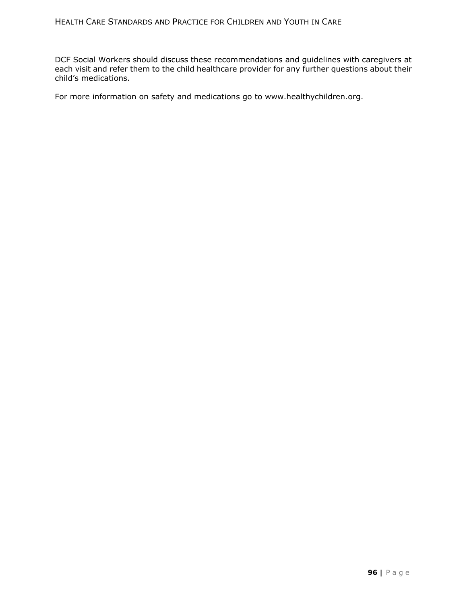DCF Social Workers should discuss these recommendations and guidelines with caregivers at each visit and refer them to the child healthcare provider for any further questions about their child's medications.

For more information on safety and medications go to www.healthychildren.org.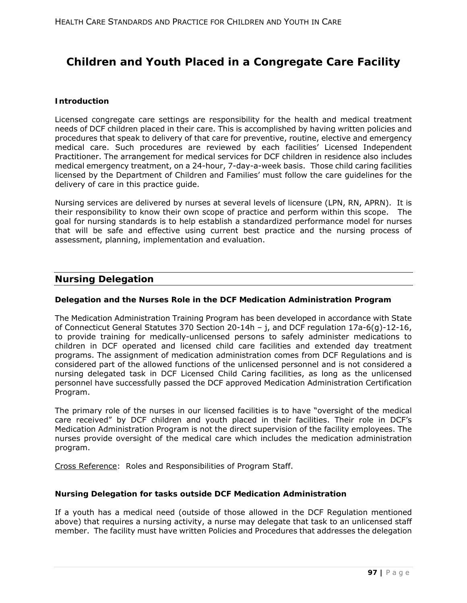# **Children and Youth Placed in a Congregate Care Facility**

### **Introduction**

Licensed congregate care settings are responsibility for the health and medical treatment needs of DCF children placed in their care. This is accomplished by having written policies and procedures that speak to delivery of that care for preventive, routine, elective and emergency medical care. Such procedures are reviewed by each facilities' Licensed Independent Practitioner. The arrangement for medical services for DCF children in residence also includes medical emergency treatment, on a 24-hour, 7-day-a-week basis. Those child caring facilities licensed by the Department of Children and Families' must follow the care guidelines for the delivery of care in this practice guide.

Nursing services are delivered by nurses at several levels of licensure (LPN, RN, APRN). It is their responsibility to know their own scope of practice and perform within this scope. The goal for nursing standards is to help establish a standardized performance model for nurses that will be safe and effective using current best practice and the nursing process of assessment, planning, implementation and evaluation.

### **Nursing Delegation**

### **Delegation and the Nurses Role in the DCF Medication Administration Program**

The Medication Administration Training Program has been developed in accordance with State of Connecticut General Statutes 370 Section 20-14h – j, and DCF regulation 17a-6(g)-12-16, to provide training for medically-unlicensed persons to safely administer medications to children in DCF operated and licensed child care facilities and extended day treatment programs. The assignment of medication administration comes from DCF Regulations and is considered part of the allowed functions of the unlicensed personnel and is not considered a nursing delegated task in DCF Licensed Child Caring facilities, as long as the unlicensed personnel have successfully passed the DCF approved Medication Administration Certification Program.

The primary role of the nurses in our licensed facilities is to have "oversight of the medical care received" by DCF children and youth placed in their facilities. Their role in DCF's Medication Administration Program is not the direct supervision of the facility employees. The nurses provide oversight of the medical care which includes the medication administration program.

Cross Reference: Roles and Responsibilities of Program Staff.

### **Nursing Delegation for tasks outside DCF Medication Administration**

If a youth has a medical need (outside of those allowed in the DCF Regulation mentioned above) that requires a nursing activity, a nurse may delegate that task to an unlicensed staff member. The facility must have written Policies and Procedures that addresses the delegation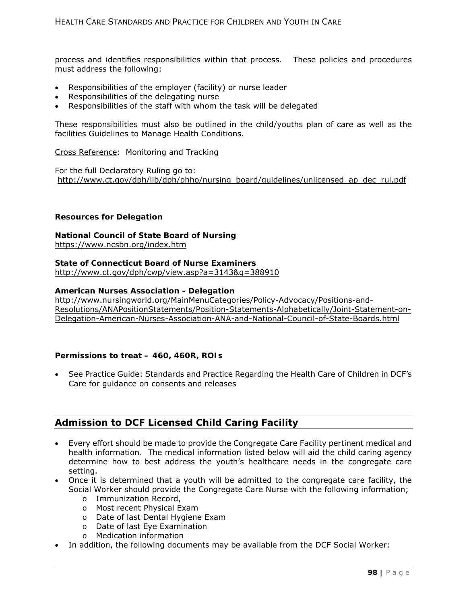process and identifies responsibilities within that process. These policies and procedures must address the following:

- Responsibilities of the employer (facility) or nurse leader
- Responsibilities of the delegating nurse
- Responsibilities of the staff with whom the task will be delegated

These responsibilities must also be outlined in the child/youths plan of care as well as the facilities Guidelines to Manage Health Conditions.

Cross Reference: Monitoring and Tracking

For the full Declaratory Ruling go to: http://www.ct.gov/dph/lib/dph/phho/nursing\_board/guidelines/unlicensed\_ap\_dec\_rul.pdf

#### **Resources for Delegation**

# **National Council of State Board of Nursing**

https://www.ncsbn.org/index.htm

### **State of Connecticut Board of Nurse Examiners**

http://www.ct.gov/dph/cwp/view.asp?a=3143&q=388910

### **American Nurses Association - Delegation**

http://www.nursingworld.org/MainMenuCategories/Policy-Advocacy/Positions-and-Resolutions/ANAPositionStatements/Position-Statements-Alphabetically/Joint-Statement-on-Delegation-American-Nurses-Association-ANA-and-National-Council-of-State-Boards.html

### **Permissions to treat – 460, 460R, ROIs**

 See Practice Guide: Standards and Practice Regarding the Health Care of Children in DCF's Care for guidance on consents and releases

# **Admission to DCF Licensed Child Caring Facility**

- Every effort should be made to provide the Congregate Care Facility pertinent medical and health information. The medical information listed below will aid the child caring agency determine how to best address the youth's healthcare needs in the congregate care setting.
- Once it is determined that a youth will be admitted to the congregate care facility, the Social Worker should provide the Congregate Care Nurse with the following information;
	- o Immunization Record,
	- o Most recent Physical Exam
	- o Date of last Dental Hygiene Exam
	- o Date of last Eye Examination
	- o Medication information
- In addition, the following documents may be available from the DCF Social Worker: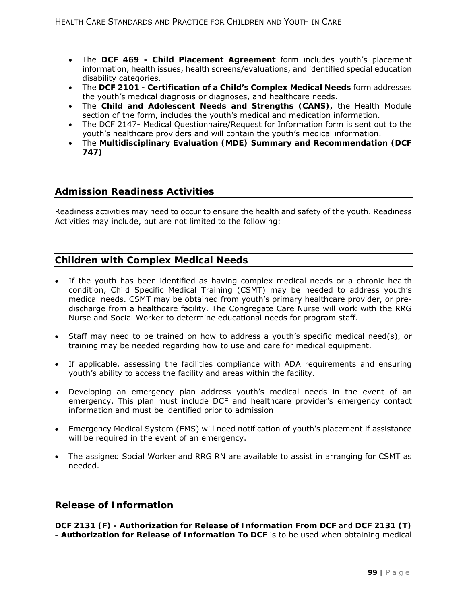- The **DCF 469 Child Placement Agreement** form includes youth's placement information, health issues, health screens/evaluations, and identified special education disability categories.
- The **DCF 2101 Certification of a Child's Complex Medical Needs** form addresses the youth's medical diagnosis or diagnoses, and healthcare needs.
- The **Child and Adolescent Needs and Strengths (CANS),** the Health Module section of the form, includes the youth's medical and medication information.
- The DCF 2147- Medical Questionnaire/Request for Information form is sent out to the youth's healthcare providers and will contain the youth's medical information.
- The **Multidisciplinary Evaluation (MDE) Summary and Recommendation (DCF 747)**

# **Admission Readiness Activities**

Readiness activities may need to occur to ensure the health and safety of the youth. Readiness Activities may include, but are not limited to the following:

# **Children with Complex Medical Needs**

- If the youth has been identified as having complex medical needs or a chronic health condition, Child Specific Medical Training (CSMT) may be needed to address youth's medical needs. CSMT may be obtained from youth's primary healthcare provider, or predischarge from a healthcare facility. The Congregate Care Nurse will work with the RRG Nurse and Social Worker to determine educational needs for program staff.
- Staff may need to be trained on how to address a youth's specific medical need(s), or training may be needed regarding how to use and care for medical equipment.
- If applicable, assessing the facilities compliance with ADA requirements and ensuring youth's ability to access the facility and areas within the facility.
- Developing an emergency plan address youth's medical needs in the event of an emergency. This plan must include DCF and healthcare provider's emergency contact information and must be identified prior to admission
- Emergency Medical System (EMS) will need notification of youth's placement if assistance will be required in the event of an emergency.
- The assigned Social Worker and RRG RN are available to assist in arranging for CSMT as needed.

### **Release of Information**

**DCF 2131 (F) - Authorization for Release of Information From DCF** and **DCF 2131 (T) - Authorization for Release of Information To DCF** is to be used when obtaining medical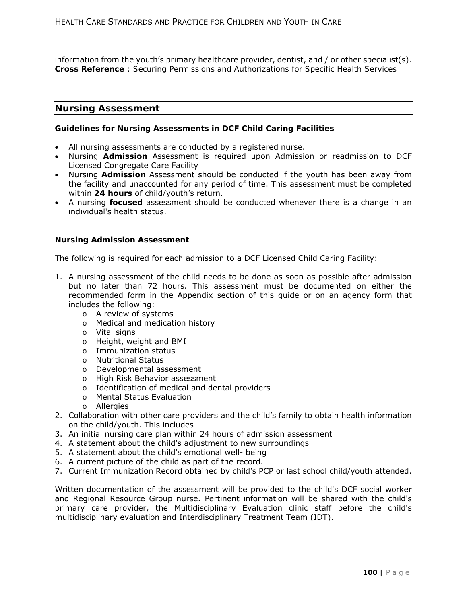information from the youth's primary healthcare provider, dentist, and / or other specialist(s). **Cross Reference** : *Securing Permissions and Authorizations for Specific Health Services* 

### **Nursing Assessment**

#### **Guidelines for Nursing Assessments in DCF Child Caring Facilities**

- All nursing assessments are conducted by a registered nurse.
- Nursing *Admission* Assessment is required upon Admission or readmission to DCF Licensed Congregate Care Facility
- Nursing *Admission* Assessment should be conducted if the youth has been away from the facility and unaccounted for any period of time. This assessment must be completed within **24 hours** of child/youth's return.
- A nursing **focused** assessment should be conducted whenever there is a change in an individual's health status.

#### **Nursing Admission Assessment**

The following is required for each admission to a DCF Licensed Child Caring Facility:

- 1. A nursing assessment of the child needs to be done as soon as possible after admission but no later than 72 hours. This assessment must be documented on either the recommended form in the Appendix section of this guide or on an agency form that includes the following:
	- o A review of systems
	- o Medical and medication history
	- o Vital signs
	- o Height, weight and BMI
	- o Immunization status
	- o Nutritional Status
	- o Developmental assessment
	- o High Risk Behavior assessment
	- o Identification of medical and dental providers
	- o Mental Status Evaluation
	- o Allergies
- 2. Collaboration with other care providers and the child's family to obtain health information on the child/youth. This includes
- 3. An initial nursing care plan within 24 hours of admission assessment
- 4. A statement about the child's adjustment to new surroundings
- 5. A statement about the child's emotional well- being
- 6. A current picture of the child as part of the record.
- 7. Current Immunization Record obtained by child's PCP or last school child/youth attended.

Written documentation of the assessment will be provided to the child's DCF social worker and Regional Resource Group nurse. Pertinent information will be shared with the child's primary care provider, the Multidisciplinary Evaluation clinic staff before the child's multidisciplinary evaluation and Interdisciplinary Treatment Team (IDT).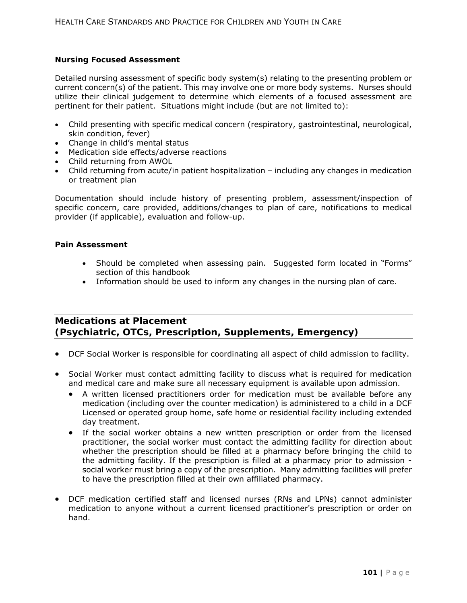### **Nursing Focused Assessment**

Detailed nursing assessment of specific body system(s) relating to the presenting problem or current concern(s) of the patient. This may involve one or more body systems. Nurses should utilize their clinical judgement to determine which elements of a focused assessment are pertinent for their patient. Situations might include (but are not limited to):

- Child presenting with specific medical concern (respiratory, gastrointestinal, neurological, skin condition, fever)
- Change in child's mental status
- Medication side effects/adverse reactions
- Child returning from AWOL
- Child returning from acute/in patient hospitalization including any changes in medication or treatment plan

Documentation should include history of presenting problem, assessment/inspection of specific concern, care provided, additions/changes to plan of care, notifications to medical provider (if applicable), evaluation and follow-up.

### **Pain Assessment**

- Should be completed when assessing pain. Suggested form located in "Forms" section of this handbook
- Information should be used to inform any changes in the nursing plan of care.

## **Medications at Placement (Psychiatric, OTCs, Prescription, Supplements, Emergency)**

- DCF Social Worker is responsible for coordinating all aspect of child admission to facility.
- Social Worker must contact admitting facility to discuss what is required for medication and medical care and make sure all necessary equipment is available upon admission.
	- A written licensed practitioners order for medication must be available before any medication (including over the counter medication) is administered to a child in a DCF Licensed or operated group home, safe home or residential facility including extended day treatment.
	- If the social worker obtains a new written prescription or order from the licensed practitioner, the social worker must contact the admitting facility for direction about whether the prescription should be filled at a pharmacy before bringing the child to the admitting facility. If the prescription is filled at a pharmacy prior to admission social worker must bring a copy of the prescription. Many admitting facilities will prefer to have the prescription filled at their own affiliated pharmacy.
- DCF medication certified staff and licensed nurses (RNs and LPNs) cannot administer medication to anyone without a current licensed practitioner's prescription or order on hand.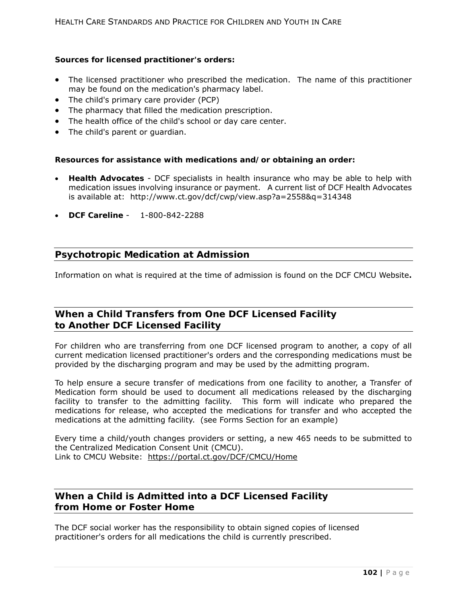### **Sources for licensed practitioner's orders:**

- The licensed practitioner who prescribed the medication. The name of this practitioner may be found on the medication's pharmacy label.
- The child's primary care provider (PCP)
- The pharmacy that filled the medication prescription.
- The health office of the child's school or day care center.
- The child's parent or quardian.

### **Resources for assistance with medications and/or obtaining an order:**

- **Health Advocates** DCF specialists in health insurance who may be able to help with medication issues involving insurance or payment. A current list of DCF Health Advocates is available at: http://www.ct.gov/dcf/cwp/view.asp?a=2558&q=314348
- **DCF Careline** 1-800-842-2288

# **Psychotropic Medication at Admission**

Information on what is required at the time of admission is found on the DCF CMCU Website**.** 

# **When a Child Transfers from One DCF Licensed Facility to Another DCF Licensed Facility**

For children who are transferring from one DCF licensed program to another, a copy of all current medication licensed practitioner's orders and the corresponding medications must be provided by the discharging program and may be used by the admitting program.

To help ensure a secure transfer of medications from one facility to another, a Transfer of Medication form should be used to document all medications released by the discharging facility to transfer to the admitting facility. This form will indicate who prepared the medications for release, who accepted the medications for transfer and who accepted the medications at the admitting facility. (see Forms Section for an example)

Every time a child/youth changes providers or setting, a new 465 needs to be submitted to the Centralized Medication Consent Unit (CMCU). Link to CMCU Website: https://portal.ct.gov/DCF/CMCU/Home

# **When a Child is Admitted into a DCF Licensed Facility from Home or Foster Home**

The DCF social worker has the responsibility to obtain signed copies of licensed practitioner's orders for all medications the child is currently prescribed.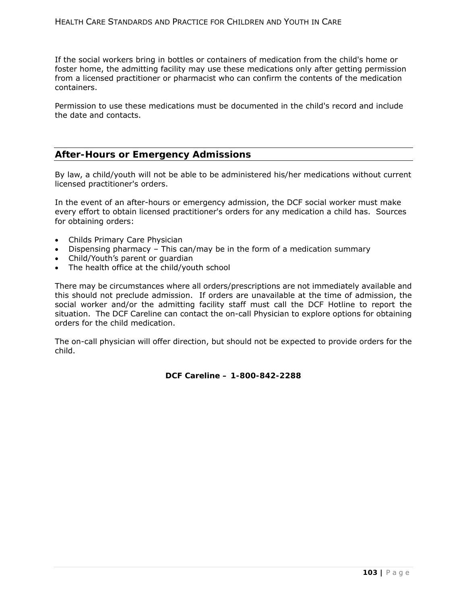If the social workers bring in bottles or containers of medication from the child's home or foster home, the admitting facility may use these medications only after getting permission from a licensed practitioner or pharmacist who can confirm the contents of the medication containers.

Permission to use these medications must be documented in the child's record and include the date and contacts.

## **After-Hours or Emergency Admissions**

By law, a child/youth will not be able to be administered his/her medications without current licensed practitioner's orders.

In the event of an after-hours or emergency admission, the DCF social worker must make every effort to obtain licensed practitioner's orders for any medication a child has. Sources for obtaining orders:

- Childs Primary Care Physician
- Dispensing pharmacy This can/may be in the form of a *medication summary*
- Child/Youth's parent or guardian
- The health office at the child/youth school

There may be circumstances where all orders/prescriptions are not immediately available and this should not preclude admission. If orders are unavailable at the time of admission, the social worker and/or the admitting facility staff must call the DCF Hotline to report the situation. The DCF Careline can contact the on-call Physician to explore options for obtaining orders for the child medication.

The on-call physician will offer direction, but should not be expected to provide orders for the child.

**DCF Careline – 1-800-842-2288**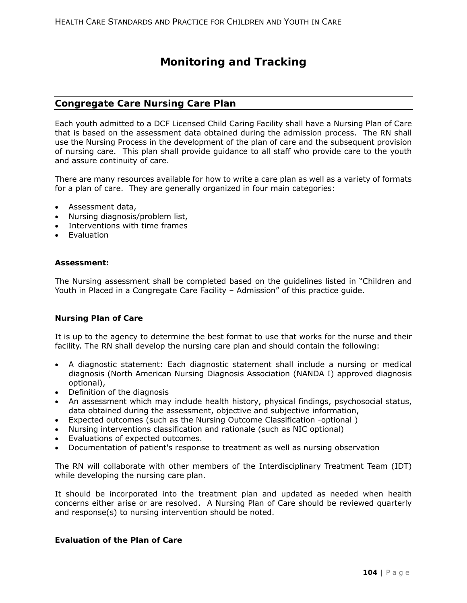# **Monitoring and Tracking**

### **Congregate Care Nursing Care Plan**

Each youth admitted to a DCF Licensed Child Caring Facility shall have a Nursing Plan of Care that is based on the assessment data obtained during the admission process. The RN shall use the Nursing Process in the development of the plan of care and the subsequent provision of nursing care. This plan shall provide guidance to all staff who provide care to the youth and assure continuity of care.

There are many resources available for how to write a care plan as well as a variety of formats for a plan of care. They are generally organized in four main categories:

- Assessment data,
- Nursing diagnosis/problem list,
- Interventions with time frames
- **•** Evaluation

#### **Assessment:**

The Nursing assessment shall be completed based on the guidelines listed in "Children and Youth in Placed in a Congregate Care Facility – Admission" of this practice guide.

#### **Nursing Plan of Care**

It is up to the agency to determine the best format to use that works for the nurse and their facility. The RN shall develop the nursing care plan and should contain the following:

- A diagnostic statement: Each diagnostic statement shall include a nursing or medical diagnosis (North American Nursing Diagnosis Association (NANDA I) approved diagnosis optional),
- Definition of the diagnosis
- An assessment which may include health history, physical findings, psychosocial status, data obtained during the assessment, objective and subjective information,
- Expected outcomes (such as the Nursing Outcome Classification -optional )
- Nursing interventions classification and rationale (such as NIC optional)
- Evaluations of expected outcomes.
- Documentation of patient's response to treatment as well as nursing observation

The RN will collaborate with other members of the Interdisciplinary Treatment Team (IDT) while developing the nursing care plan.

It should be incorporated into the treatment plan and updated as needed when health concerns either arise or are resolved. A Nursing Plan of Care should be reviewed quarterly and response(s) to nursing intervention should be noted.

## **Evaluation of the Plan of Care**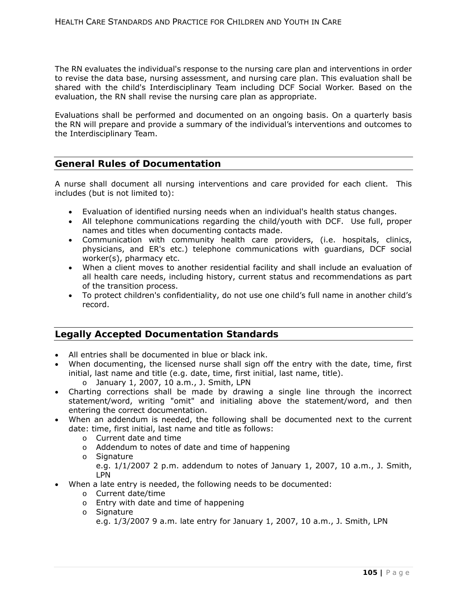The RN evaluates the individual's response to the nursing care plan and interventions in order to revise the data base, nursing assessment, and nursing care plan. This evaluation shall be shared with the child's Interdisciplinary Team including DCF Social Worker. Based on the evaluation, the RN shall revise the nursing care plan as appropriate.

Evaluations shall be performed and documented on an ongoing basis. On a quarterly basis the RN will prepare and provide a summary of the individual's interventions and outcomes to the Interdisciplinary Team.

# **General Rules of Documentation**

A nurse shall document all nursing interventions and care provided for each client. This includes (but is not limited to):

- Evaluation of identified nursing needs when an individual's health status changes.
- All telephone communications regarding the child/youth with DCF. Use full, proper names and titles when documenting contacts made.
- Communication with community health care providers, (i.e. hospitals, clinics, physicians, and ER's etc.) telephone communications with guardians, DCF social worker(s), pharmacy etc.
- When a client moves to another residential facility and shall include an evaluation of all health care needs, including history, current status and recommendations as part of the transition process.
- To protect children's confidentiality, do not use one child's full name in another child's record.

## **Legally Accepted Documentation Standards**

- All entries shall be documented in blue or black ink.
- When documenting, the licensed nurse shall sign off the entry with the date, time, first initial, last name and title (e.g. date, time, first initial, last name, title).
	- o January 1, 2007, 10 a.m., J. Smith, LPN
- Charting corrections shall be made by drawing a single line through the incorrect statement/word, writing "omit" and initialing above the statement/word, and then entering the correct documentation.
- When an addendum is needed, the following shall be documented next to the current date: time, first initial, last name and title as follows:
	- o Current date and time
	- o Addendum to notes of date and time of happening
	- o Signature

e.g. 1/1/2007 2 p.m. addendum to notes of January 1, 2007, 10 a.m., J. Smith, LPN

- When a late entry is needed, the following needs to be documented:
	- o Current date/time
	- o Entry with date and time of happening
	- o Signature

e.g. 1/3/2007 9 a.m. late entry for January 1, 2007, 10 a.m., J. Smith, LPN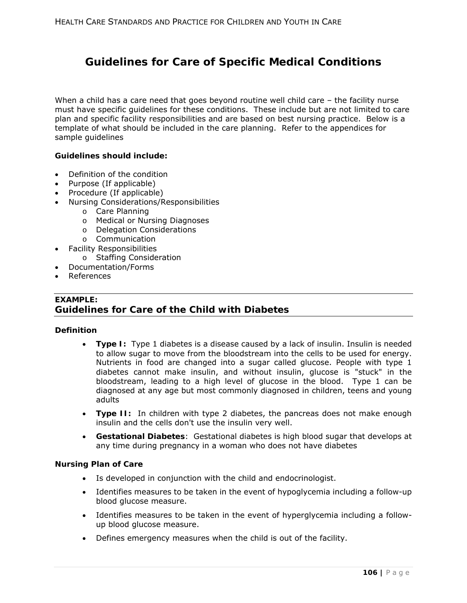# **Guidelines for Care of Specific Medical Conditions**

When a child has a care need that goes beyond routine well child care – the facility nurse must have specific guidelines for these conditions. These include but are not limited to care plan and specific facility responsibilities and are based on best nursing practice. Below is a template of what should be included in the care planning. Refer to the appendices for sample guidelines

### **Guidelines should include:**

- Definition of the condition
- Purpose (If applicable)
- Procedure (If applicable)
- Nursing Considerations/Responsibilities
	- o Care Planning
	- o Medical or Nursing Diagnoses
	- o Delegation Considerations
	- o Communication
- Facility Responsibilities
	- o Staffing Consideration
- Documentation/Forms
- References

# *EXAMPLE:*  **Guidelines for Care of the Child with Diabetes**

### **Definition**

- **Type I:** Type 1 diabetes is a disease caused by a lack of insulin. Insulin is needed to allow sugar to move from the bloodstream into the cells to be used for energy. Nutrients in food are changed into a sugar called glucose. People with type 1 diabetes cannot make insulin, and without insulin, glucose is "stuck" in the bloodstream, leading to a high level of glucose in the blood. Type 1 can be diagnosed at any age but most commonly diagnosed in children, teens and young adults
- **Type II:** In children with type 2 diabetes, the pancreas does not make enough insulin and the cells don't use the insulin very well.
- **Gestational Diabetes**: Gestational diabetes is high blood sugar that develops at any time during pregnancy in a woman who does not have diabetes

#### **Nursing Plan of Care**

- Is developed in conjunction with the child and endocrinologist.
- Identifies measures to be taken in the event of hypoglycemia including a follow-up blood glucose measure.
- Identifies measures to be taken in the event of hyperglycemia including a followup blood glucose measure.
- Defines emergency measures when the child is out of the facility.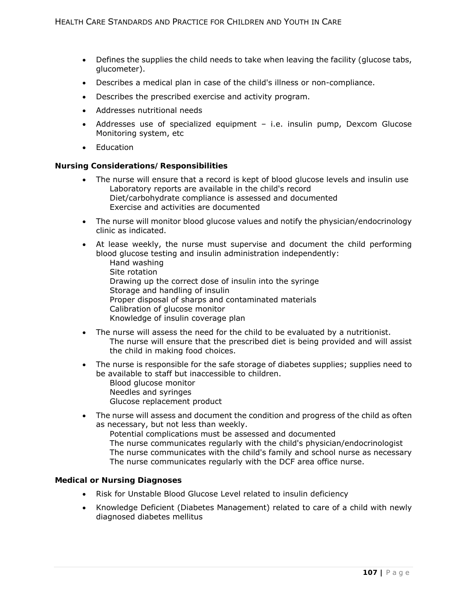- Defines the supplies the child needs to take when leaving the facility (glucose tabs, glucometer).
- Describes a medical plan in case of the child's illness or non-compliance.
- Describes the prescribed exercise and activity program.
- Addresses nutritional needs
- Addresses use of specialized equipment i.e. insulin pump, Dexcom Glucose Monitoring system, etc
- Education

### **Nursing Considerations/Responsibilities**

- The nurse will ensure that a record is kept of blood glucose levels and insulin use Laboratory reports are available in the child's record Diet/carbohydrate compliance is assessed and documented Exercise and activities are documented
- The nurse will monitor blood glucose values and notify the physician/endocrinology clinic as indicated.
- At lease weekly, the nurse must supervise and document the child performing blood glucose testing and insulin administration independently:
	- Hand washing Site rotation Drawing up the correct dose of insulin into the syringe Storage and handling of insulin Proper disposal of sharps and contaminated materials Calibration of glucose monitor Knowledge of insulin coverage plan
- The nurse will assess the need for the child to be evaluated by a nutritionist. The nurse will ensure that the prescribed diet is being provided and will assist the child in making food choices.
- The nurse is responsible for the safe storage of diabetes supplies; supplies need to be available to staff but inaccessible to children. Blood glucose monitor Needles and syringes Glucose replacement product
- The nurse will assess and document the condition and progress of the child as often as necessary, but not less than weekly. Potential complications must be assessed and documented The nurse communicates regularly with the child's physician/endocrinologist The nurse communicates with the child's family and school nurse as necessary

### The nurse communicates regularly with the DCF area office nurse.

#### **Medical or Nursing Diagnoses**

- Risk for Unstable Blood Glucose Level related to insulin deficiency
- Knowledge Deficient (Diabetes Management) related to care of a child with newly diagnosed diabetes mellitus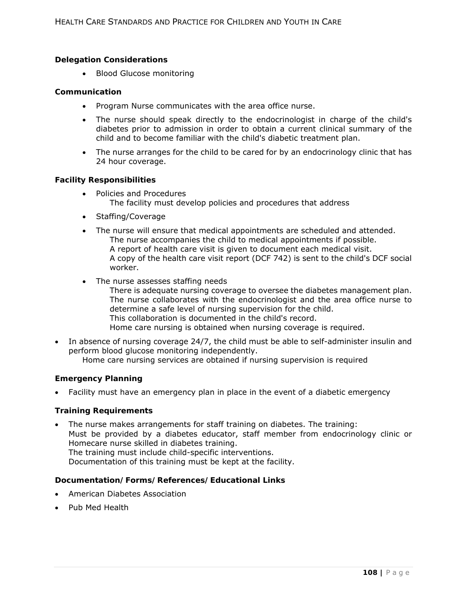### **Delegation Considerations**

• Blood Glucose monitoring

### **Communication**

- Program Nurse communicates with the area office nurse.
- The nurse should speak directly to the endocrinologist in charge of the child's diabetes prior to admission in order to obtain a current clinical summary of the child and to become familiar with the child's diabetic treatment plan.
- The nurse arranges for the child to be cared for by an endocrinology clinic that has 24 hour coverage.

### **Facility Responsibilities**

- Policies and Procedures The facility must develop policies and procedures that address
- Staffing/Coverage
- The nurse will ensure that medical appointments are scheduled and attended. The nurse accompanies the child to medical appointments if possible. A report of health care visit is given to document each medical visit. A copy of the health care visit report (DCF 742) is sent to the child's DCF social worker.
- The nurse assesses staffing needs
	- There is adequate nursing coverage to oversee the diabetes management plan. The nurse collaborates with the endocrinologist and the area office nurse to determine a safe level of nursing supervision for the child. This collaboration is documented in the child's record. Home care nursing is obtained when nursing coverage is required.
- In absence of nursing coverage 24/7, the child must be able to self-administer insulin and perform blood glucose monitoring independently. Home care nursing services are obtained if nursing supervision is required

### **Emergency Planning**

Facility must have an emergency plan in place in the event of a diabetic emergency

#### **Training Requirements**

 The nurse makes arrangements for staff training on diabetes. The training: Must be provided by a diabetes educator, staff member from endocrinology clinic or Homecare nurse skilled in diabetes training. The training must include child-specific interventions. Documentation of this training must be kept at the facility.

#### **Documentation/Forms/References/Educational Links**

- American Diabetes Association
- Pub Med Health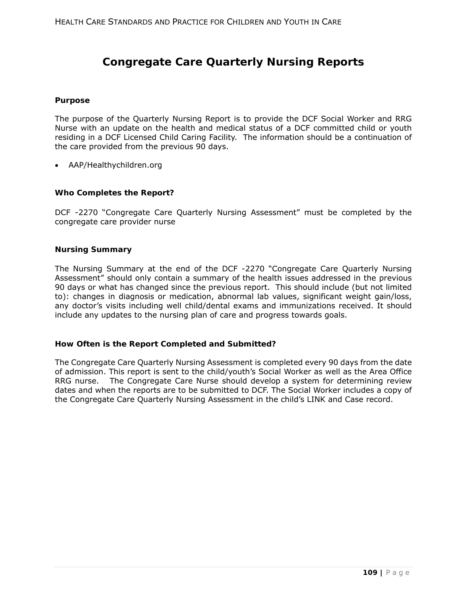## **Congregate Care Quarterly Nursing Reports**

#### **Purpose**

The purpose of the Quarterly Nursing Report is to provide the DCF Social Worker and RRG Nurse with an update on the health and medical status of a DCF committed child or youth residing in a DCF Licensed Child Caring Facility. The information should be a continuation of the care provided from the previous 90 days.

AAP/Healthychildren.org

### **Who Completes the Report?**

DCF -2270 "Congregate Care Quarterly Nursing Assessment" must be completed by the congregate care provider nurse

#### **Nursing Summary**

The Nursing Summary at the end of the DCF -2270 "Congregate Care Quarterly Nursing Assessment" should only contain a summary of the health issues addressed in the previous 90 days or what has changed since the previous report. This should include (but not limited to): changes in diagnosis or medication, abnormal lab values, significant weight gain/loss, any doctor's visits including well child/dental exams and immunizations received. It should include any updates to the nursing plan of care and progress towards goals.

### **How Often is the Report Completed and Submitted?**

The Congregate Care Quarterly Nursing Assessment is completed every 90 days from the date of admission. This report is sent to the child/youth's Social Worker as well as the Area Office RRG nurse. The Congregate Care Nurse should develop a system for determining review dates and when the reports are to be submitted to DCF. The Social Worker includes a copy of the Congregate Care Quarterly Nursing Assessment in the child's LINK and Case record.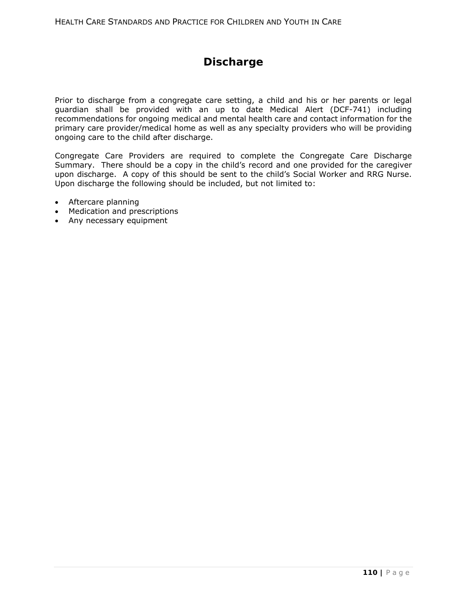# **Discharge**

Prior to discharge from a congregate care setting, a child and his or her parents or legal guardian shall be provided with an up to date Medical Alert (DCF-741) including recommendations for ongoing medical and mental health care and contact information for the primary care provider/medical home as well as any specialty providers who will be providing ongoing care to the child after discharge.

Congregate Care Providers are required to complete the Congregate Care Discharge Summary. There should be a copy in the child's record and one provided for the caregiver upon discharge. A copy of this should be sent to the child's Social Worker and RRG Nurse. Upon discharge the following should be included, but not limited to:

- Aftercare planning
- Medication and prescriptions
- Any necessary equipment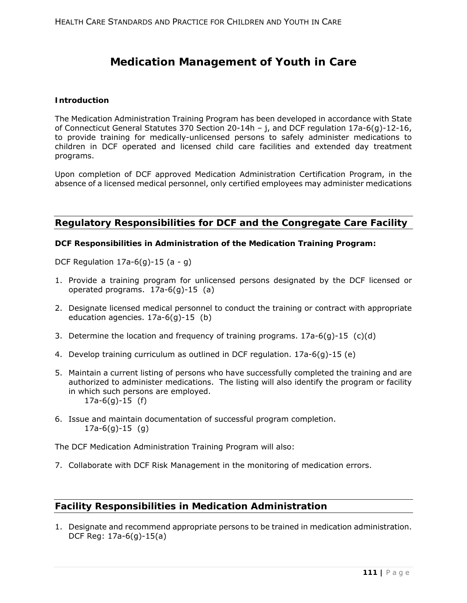# **Medication Management of Youth in Care**

### **Introduction**

The Medication Administration Training Program has been developed in accordance with State of Connecticut General Statutes 370 Section 20-14h – j, and DCF regulation 17a-6(g)-12-16, to provide training for medically-unlicensed persons to safely administer medications to children in DCF operated and licensed child care facilities and extended day treatment programs.

Upon completion of DCF approved Medication Administration Certification Program, in the absence of a licensed medical personnel, only certified employees may administer medications

## **Regulatory Responsibilities for DCF and the Congregate Care Facility**

### **DCF Responsibilities in Administration of the Medication Training Program:**

DCF Regulation  $17a-6(q)-15(a-q)$ 

- 1. Provide a training program for unlicensed persons designated by the DCF licensed or operated programs. 17a-6(g)-15 (a)
- 2. Designate licensed medical personnel to conduct the training or contract with appropriate education agencies. 17a-6(g)-15 (b)
- 3. Determine the location and frequency of training programs.  $17a-6(q)-15$  (c)(d)
- 4. Develop training curriculum as outlined in DCF regulation. 17a-6(g)-15 (e)
- 5. Maintain a current listing of persons who have successfully completed the training and are authorized to administer medications. The listing will also identify the program or facility in which such persons are employed. 17a-6(g)-15 (f)
- 6. Issue and maintain documentation of successful program completion. 17a-6(g)-15 (g)

The DCF Medication Administration Training Program will also:

7. Collaborate with DCF Risk Management in the monitoring of medication errors.

## **Facility Responsibilities in Medication Administration**

1. Designate and recommend appropriate persons to be trained in medication administration. DCF Reg: 17a-6(g)-15(a)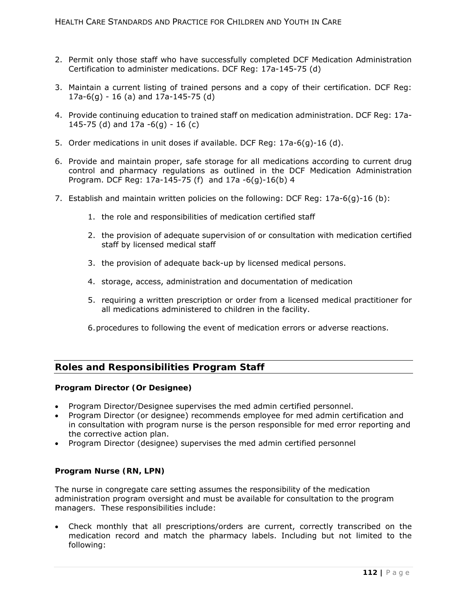- 2. Permit only those staff who have successfully completed DCF Medication Administration Certification to administer medications. DCF Reg: 17a-145-75 (d)
- 3. Maintain a current listing of trained persons and a copy of their certification. DCF Reg: 17a-6(g) - 16 (a) and 17a-145-75 (d)
- 4. Provide continuing education to trained staff on medication administration. DCF Reg: 17a-145-75 (d) and  $17a - 6(q) - 16(c)$
- 5. Order medications in unit doses if available. DCF Reg: 17a-6(g)-16 (d).
- 6. Provide and maintain proper, safe storage for all medications according to current drug control and pharmacy regulations as outlined in the DCF Medication Administration Program. DCF Reg: 17a-145-75 (f) and 17a -6(g)-16(b) 4
- 7. Establish and maintain written policies on the following: DCF Reg: 17a-6(g)-16 (b):
	- 1. the role and responsibilities of medication certified staff
	- 2. the provision of adequate supervision of or consultation with medication certified staff by licensed medical staff
	- 3. the provision of adequate back-up by licensed medical persons.
	- 4. storage, access, administration and documentation of medication
	- 5. requiring a written prescription or order from a licensed medical practitioner for all medications administered to children in the facility.
	- 6. procedures to following the event of medication errors or adverse reactions.

## **Roles and Responsibilities Program Staff**

### **Program Director (Or Designee)**

- Program Director/Designee supervises the med admin certified personnel.
- Program Director (or designee) recommends employee for med admin certification and in consultation with program nurse is the person responsible for med error reporting and the corrective action plan.
- Program Director (designee) supervises the med admin certified personnel

### **Program Nurse (RN, LPN)**

The nurse in congregate care setting assumes the responsibility of the medication administration program oversight and must be available for consultation to the program managers. These responsibilities include:

 Check monthly that all prescriptions/orders are current, correctly transcribed on the medication record and match the pharmacy labels. Including but not limited to the following: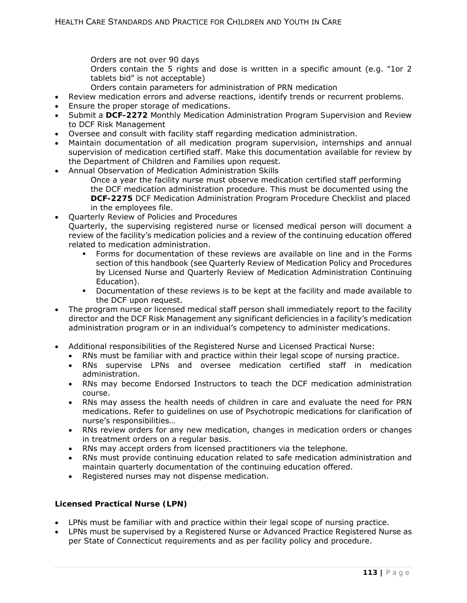Orders are not over 90 days

Orders contain the 5 rights and dose is written in a specific amount (e.g. *"1or 2 tablets bid*" is not acceptable)

- Orders contain parameters for administration of PRN medication
- Review medication errors and adverse reactions, identify trends or recurrent problems.
- Ensure the proper storage of medications.
- Submit a **DCF-2272** *Monthly Medication Administration Program Supervision and Review*  to DCF Risk Management
- Oversee and consult with facility staff regarding medication administration.
- Maintain documentation of all medication program supervision, internships and annual supervision of medication certified staff. Make this documentation available for review by the Department of Children and Families upon request.
- Annual Observation of Medication Administration Skills Once a year the facility nurse must observe medication certified staff performing

the DCF medication administration procedure. This must be documented using the **DCF-***2275 DCF Medication Administration Program Procedure Checklist* and placed in the employees file.

Quarterly Review of Policies and Procedures

Quarterly, the supervising registered nurse or licensed medical person will document a review of the facility's medication policies and a review of the continuing education offered related to medication administration.

- Forms for documentation of these reviews are available on line and in the Forms section of this handbook (see Quarterly Review of Medication Policy and Procedures by Licensed Nurse and Quarterly Review of Medication Administration Continuing Education).
- Documentation of these reviews is to be kept at the facility and made available to the DCF upon request.
- The program nurse or licensed medical staff person shall immediately report to the facility director and the DCF Risk Management any significant deficiencies in a facility's medication administration program or in an individual's competency to administer medications.
- Additional responsibilities of the Registered Nurse and Licensed Practical Nurse:
	- RNs must be familiar with and practice within their legal scope of nursing practice.
	- RNs supervise LPNs and oversee medication certified staff in medication administration.
	- RNs may become Endorsed Instructors to teach the DCF medication administration course.
	- RNs may assess the health needs of children in care and evaluate the need for PRN medications. Refer to guidelines on use of Psychotropic medications for clarification of nurse's responsibilities…
	- RNs review orders for any new medication, changes in medication orders or changes in treatment orders on a regular basis.
	- RNs may accept orders from licensed practitioners via the telephone.
	- RNs must provide continuing education related to safe medication administration and maintain quarterly documentation of the continuing education offered.
	- Registered nurses may not dispense medication.

### **Licensed Practical Nurse (LPN)**

- LPNs must be familiar with and practice within their legal scope of nursing practice.
- LPNs must be supervised by a Registered Nurse or Advanced Practice Registered Nurse as per State of Connecticut requirements and as per facility policy and procedure.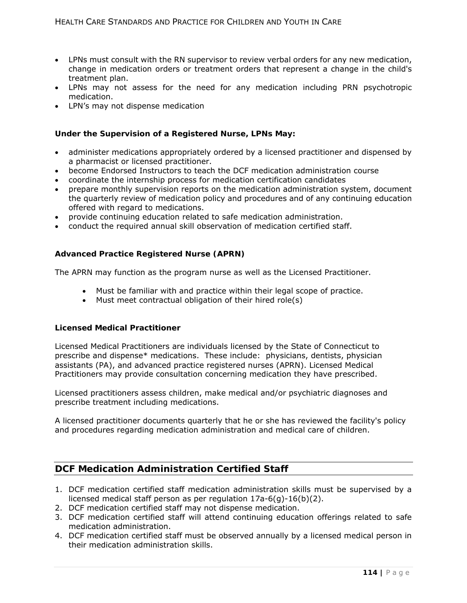- LPNs must consult with the RN supervisor to review verbal orders for any new medication, change in medication orders or treatment orders that represent a change in the child's treatment plan.
- LPNs may not assess for the need for any medication including PRN psychotropic medication.
- LPN's may not dispense medication

### **Under the Supervision of a Registered Nurse, LPNs May:**

- administer medications appropriately ordered by a licensed practitioner and dispensed by a pharmacist or licensed practitioner.
- become Endorsed Instructors to teach the DCF medication administration course
- coordinate the internship process for medication certification candidates
- prepare monthly supervision reports on the medication administration system, document the quarterly review of medication policy and procedures and of any continuing education offered with regard to medications.
- provide continuing education related to safe medication administration.
- conduct the required annual skill observation of medication certified staff.

### **Advanced Practice Registered Nurse (APRN)**

The APRN may function as the program nurse as well as the Licensed Practitioner.

- Must be familiar with and practice within their legal scope of practice.
- Must meet contractual obligation of their hired role(s)

### **Licensed Medical Practitioner**

Licensed Medical Practitioners are individuals licensed by the State of Connecticut to prescribe and dispense\* medications. These include: physicians, dentists, physician assistants (PA), and advanced practice registered nurses (APRN). Licensed Medical Practitioners may provide consultation concerning medication they have prescribed.

Licensed practitioners assess children, make medical and/or psychiatric diagnoses and prescribe treatment including medications.

A licensed practitioner documents quarterly that he or she has reviewed the facility's policy and procedures regarding medication administration and medical care of children.

## **DCF Medication Administration Certified Staff**

- 1. DCF medication certified staff medication administration skills must be supervised by a licensed medical staff person as per regulation 17a-6(g)-16(b)(2).
- 2. DCF medication certified staff may not dispense medication.
- 3. DCF medication certified staff will attend continuing education offerings related to safe medication administration.
- 4. DCF medication certified staff must be observed annually by a licensed medical person in their medication administration skills.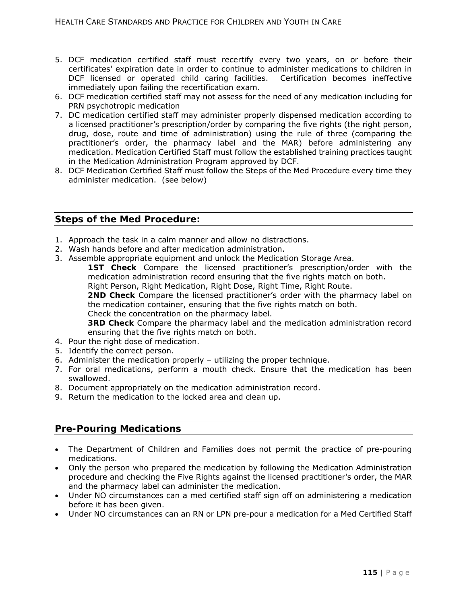- 5. DCF medication certified staff must recertify every two years, on or before their certificates' expiration date in order to continue to administer medications to children in DCF licensed or operated child caring facilities. Certification becomes ineffective immediately upon failing the recertification exam.
- 6. DCF medication certified staff may not assess for the need of any medication including for PRN psychotropic medication
- 7. DC medication certified staff may administer properly dispensed medication according to a licensed practitioner's prescription/order by comparing the five rights (the right person, drug, dose, route and time of administration) using the rule of three (comparing the practitioner's order, the pharmacy label and the MAR) before administering any medication. Medication Certified Staff must follow the established training practices taught in the Medication Administration Program approved by DCF.
- 8. DCF Medication Certified Staff must follow the Steps of the Med Procedure every time they administer medication. (see below)

## **Steps of the Med Procedure:**

- 1. Approach the task in a calm manner and allow no distractions.
- 2. Wash hands before and after medication administration.
- 3. Assemble appropriate equipment and unlock the Medication Storage Area.

**1ST Check** Compare the licensed practitioner's prescription/order with the medication administration record ensuring that the five rights match on both.

Right Person, Right Medication, Right Dose, Right Time, Right Route. **2ND Check** Compare the licensed practitioner's order with the pharmacy label on the medication container, ensuring that the five rights match on both.

Check the concentration on the pharmacy label.

**3RD Check** Compare the pharmacy label and the medication administration record ensuring that the five rights match on both.

- 4. Pour the right dose of medication.
- 5. Identify the correct person.
- 6. Administer the medication properly utilizing the proper technique.
- 7. For oral medications, perform a mouth check. Ensure that the medication has been swallowed.
- 8. Document appropriately on the medication administration record.
- 9. Return the medication to the locked area and clean up.

## **Pre-Pouring Medications**

- The Department of Children and Families does not permit the practice of pre-pouring medications.
- Only the person who prepared the medication by following the Medication Administration procedure and checking the Five Rights against the licensed practitioner's order, the MAR and the pharmacy label can administer the medication.
- Under NO circumstances can a med certified staff sign off on administering a medication before it has been given.
- Under NO circumstances can an RN or LPN pre-pour a medication for a Med Certified Staff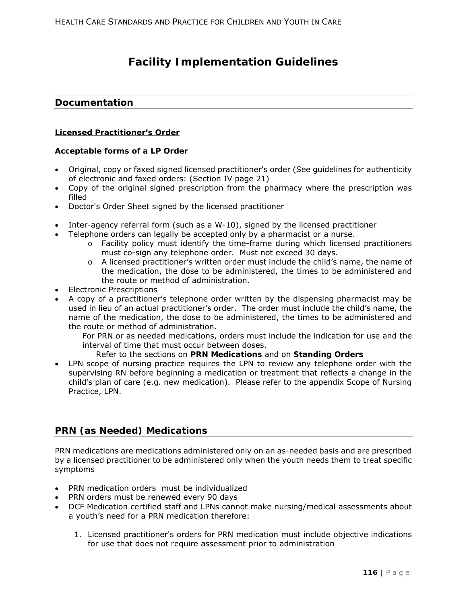# **Facility Implementation Guidelines**

## **Documentation**

### **Licensed Practitioner's Order**

### **Acceptable forms of a LP Order**

- Original, copy or faxed signed licensed practitioner's order (See guidelines for authenticity of electronic and faxed orders: (Section IV page 21)
- Copy of the original signed prescription from the pharmacy where the prescription was filled
- Doctor's Order Sheet signed by the licensed practitioner
- Inter-agency referral form (such as a W-10), signed by the licensed practitioner
- Telephone orders can legally be accepted only by a pharmacist or a nurse.
	- $\circ$  Facility policy must identify the time-frame during which licensed practitioners must co-sign any telephone order. Must not exceed 30 days.
	- $\circ$  A licensed practitioner's written order must include the child's name, the name of the medication, the dose to be administered, the times to be administered and the route or method of administration.
- Electronic Prescriptions
- A copy of a practitioner's telephone order written by the dispensing pharmacist may be used in lieu of an actual practitioner's order. The order must include the child's name, the name of the medication, the dose to be administered, the times to be administered and the route or method of administration.

For PRN or as needed medications, orders must include the indication for use and the interval of time that must occur between doses.

### Refer to the sections on **PRN Medications** and on **Standing Orders**

 LPN scope of nursing practice requires the LPN to review any telephone order with the supervising RN before beginning a medication or treatment that reflects a change in the child's plan of care (e.g. new medication). Please refer to the appendix Scope of Nursing Practice, LPN.

## **PRN (as Needed) Medications**

PRN medications are medications administered only on an as-needed basis and are prescribed by a licensed practitioner to be administered only when the youth needs them to treat specific symptoms

- PRN medication orders must be individualized
- PRN orders must be renewed every 90 days
- DCF Medication certified staff and LPNs cannot make nursing/medical assessments about a youth's need for a PRN medication therefore:
	- 1. Licensed practitioner's orders for PRN medication must include objective indications for use that does not require assessment prior to administration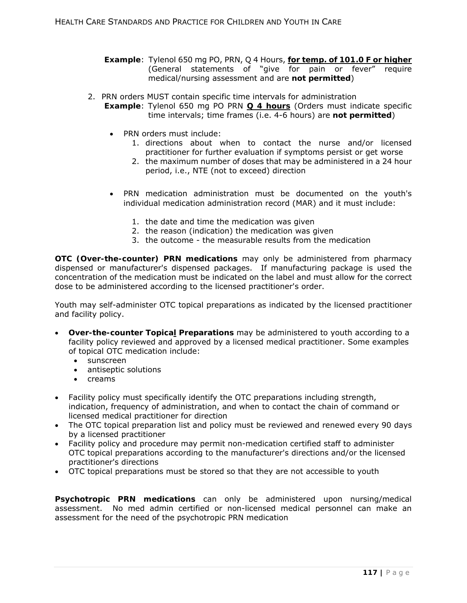- **Example**: Tylenol 650 mg PO, PRN, Q 4 Hours, *for temp. of 101.0 F or higher* (General statements of "give for pain or fever" require medical/nursing assessment and are **not permitted**)
- 2. PRN orders MUST contain specific time intervals for administration **Example**: Tylenol 650 mg PO PRN **Q 4 hours** (Orders must indicate specific time intervals; time frames (i.e. 4-6 hours) are **not permitted**)
	- PRN orders must include:
		- 1. directions about when to contact the nurse and/or licensed practitioner for further evaluation if symptoms persist or get worse
		- 2. the maximum number of doses that may be administered in a 24 hour period, i.e., NTE (not to exceed) direction
	- PRN medication administration must be documented on the youth's individual medication administration record (MAR) and it must include:
		- 1. the date and time the medication was given
		- 2. the reason (indication) the medication was given
		- 3. the outcome the measurable results from the medication

**OTC (Over-the-counter) PRN medications** may only be administered from pharmacy dispensed or manufacturer's dispensed packages. If manufacturing package is used the concentration of the medication must be indicated on the label and must allow for the correct dose to be administered according to the licensed practitioner's order.

Youth may self-administer OTC topical preparations as indicated by the licensed practitioner and facility policy.

- **Over-the-counter Topical Preparations** may be administered to youth according to a facility policy reviewed and approved by a licensed medical practitioner. Some examples of topical OTC medication include:
	- sunscreen
	- antiseptic solutions
	- $\bullet$  creams
- Facility policy must specifically identify the OTC preparations including strength, indication, frequency of administration, and when to contact the chain of command or licensed medical practitioner for direction
- The OTC topical preparation list and policy must be reviewed and renewed every 90 days by a licensed practitioner
- Facility policy and procedure may permit non-medication certified staff to administer OTC topical preparations according to the manufacturer's directions and/or the licensed practitioner's directions
- OTC topical preparations must be stored so that they are not accessible to youth

**Psychotropic PRN medications** can only be administered upon nursing/medical assessment. No med admin certified or non-licensed medical personnel can make an assessment for the need of the psychotropic PRN medication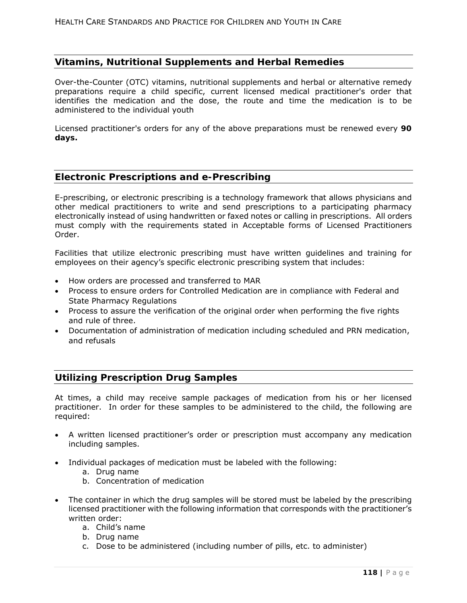## **Vitamins, Nutritional Supplements and Herbal Remedies**

Over-the-Counter (OTC) vitamins, nutritional supplements and herbal or alternative remedy preparations require a child specific, current licensed medical practitioner's order that identifies the medication and the dose, the route and time the medication is to be administered to the individual youth

Licensed practitioner's orders for any of the above preparations must be renewed every **90 days.**

### **Electronic Prescriptions and e-Prescribing**

E-prescribing, or electronic prescribing is a technology framework that allows physicians and other medical practitioners to write and send prescriptions to a participating pharmacy electronically instead of using handwritten or faxed notes or calling in prescriptions. All orders must comply with the requirements stated in Acceptable forms of Licensed Practitioners Order.

Facilities that utilize electronic prescribing must have written guidelines and training for employees on their agency's specific electronic prescribing system that includes:

- How orders are processed and transferred to MAR
- Process to ensure orders for Controlled Medication are in compliance with Federal and State Pharmacy Regulations
- Process to assure the verification of the original order when performing the five rights and rule of three.
- Documentation of administration of medication including scheduled and PRN medication, and refusals

### **Utilizing Prescription Drug Samples**

At times, a child may receive sample packages of medication from his or her licensed practitioner. In order for these samples to be administered to the child, the following are required:

- A written licensed practitioner's order or prescription must accompany any medication including samples.
- Individual packages of medication must be labeled with the following:
	- a. Drug name
	- b. Concentration of medication
- The container in which the drug samples will be stored must be labeled by the prescribing licensed practitioner with the following information that corresponds with the practitioner's written order:
	- a. Child's name
	- b. Drug name
	- c. Dose to be administered (including number of pills, etc. to administer)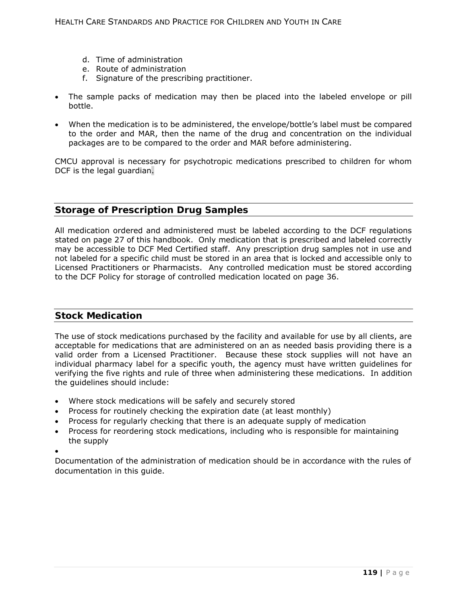- d. Time of administration
- e. Route of administration
- f. Signature of the prescribing practitioner.
- The sample packs of medication may then be placed into the labeled envelope or pill bottle.
- When the medication is to be administered, the envelope/bottle's label must be compared to the order and MAR, then the name of the drug and concentration on the individual packages are to be compared to the order and MAR before administering.

CMCU approval is necessary for psychotropic medications prescribed to children for whom DCF is the legal guardian.

## **Storage of Prescription Drug Samples**

All medication ordered and administered must be labeled according to the DCF regulations stated on page 27 of this handbook. Only medication that is prescribed and labeled correctly may be accessible to DCF Med Certified staff. Any prescription drug samples not in use and not labeled for a specific child must be stored in an area that is locked and accessible only to Licensed Practitioners or Pharmacists. Any controlled medication must be stored according to the DCF Policy for storage of controlled medication located on page 36.

## **Stock Medication**

The use of stock medications purchased by the facility and available for use by all clients, are acceptable for medications that are administered on an as needed basis providing there is a valid order from a Licensed Practitioner. Because these stock supplies will not have an individual pharmacy label for a specific youth, the agency must have written guidelines for verifying the five rights and rule of three when administering these medications. In addition the guidelines should include:

- Where stock medications will be safely and securely stored
- Process for routinely checking the expiration date (at least monthly)
- Process for regularly checking that there is an adequate supply of medication
- Process for reordering stock medications, including who is responsible for maintaining the supply
- $\bullet$

Documentation of the administration of medication should be in accordance with the rules of documentation in this guide.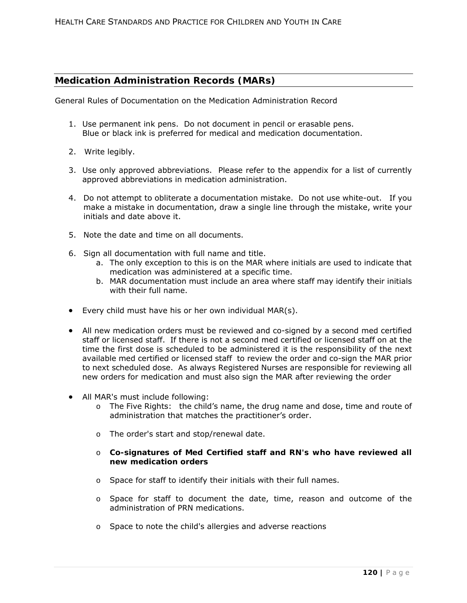## **Medication Administration Records (MARs)**

General Rules of Documentation on the Medication Administration Record

- 1. Use permanent ink pens. Do not document in pencil or erasable pens. Blue or black ink is preferred for medical and medication documentation.
- 2. Write legibly.
- 3. Use only approved abbreviations. Please refer to the appendix for a list of currently approved abbreviations in medication administration.
- 4. Do not attempt to obliterate a documentation mistake. Do not use white-out. If you make a mistake in documentation, draw a single line through the mistake, write your initials and date above it.
- 5. Note the date and time on all documents.
- 6. Sign all documentation with full name and title.
	- a. The only exception to this is on the MAR where initials are used to indicate that medication was administered at a specific time.
	- b. MAR documentation must include an area where staff may identify their initials with their full name.
- Every child must have his or her own individual MAR(s).
- All new medication orders must be reviewed and co-signed by a second med certified staff or licensed staff. If there is not a second med certified or licensed staff on at the time the first dose is scheduled to be administered it is the responsibility of the next available med certified or licensed staff to review the order and co-sign the MAR prior to next scheduled dose. As always Registered Nurses are responsible for reviewing all new orders for medication and must also sign the MAR after reviewing the order
- All MAR's must include following:
	- o The Five Rights: the child's name, the drug name and dose, time and route of administration that matches the practitioner's order.
	- o The order's start and stop/renewal date.
	- o **Co-signatures of Med Certified staff and RN's who have reviewed all new medication orders**
	- o Space for staff to identify their initials with their full names.
	- o Space for staff to document the date, time, reason and outcome of the administration of PRN medications.
	- o Space to note the child's allergies and adverse reactions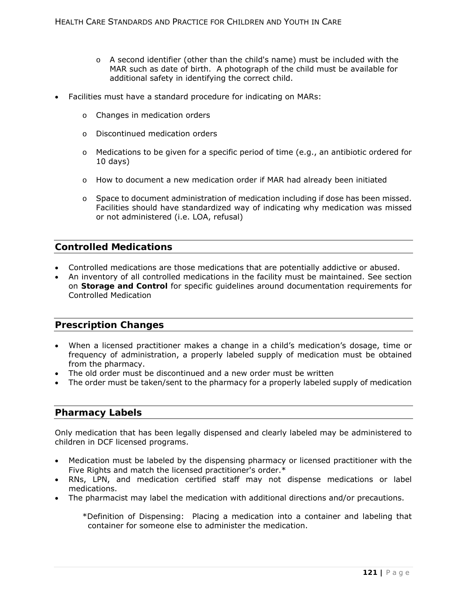- $\circ$  A second identifier (other than the child's name) must be included with the MAR such as date of birth. A photograph of the child must be available for additional safety in identifying the correct child.
- Facilities must have a standard procedure for indicating on MARs:
	- o Changes in medication orders
	- o Discontinued medication orders
	- $\circ$  Medications to be given for a specific period of time (e.g., an antibiotic ordered for 10 days)
	- o How to document a new medication order if MAR had already been initiated
	- $\circ$  Space to document administration of medication including if dose has been missed. Facilities should have standardized way of indicating why medication was missed or not administered (i.e. LOA, refusal)

## **Controlled Medications**

- Controlled medications are those medications that are potentially addictive or abused.
- An inventory of all controlled medications in the facility must be maintained. See section on **Storage and Control** for specific guidelines around documentation requirements for Controlled Medication

## **Prescription Changes**

- When a licensed practitioner makes a change in a child's medication's dosage, time or frequency of administration, a properly labeled supply of medication must be obtained from the pharmacy.
- The old order must be discontinued and a new order must be written
- The order must be taken/sent to the pharmacy for a properly labeled supply of medication

## **Pharmacy Labels**

Only medication that has been legally dispensed and clearly labeled may be administered to children in DCF licensed programs.

- Medication must be labeled by the dispensing pharmacy or licensed practitioner with the Five Rights and match the licensed practitioner's order.\*
- RNs, LPN, and medication certified staff may not dispense medications or label medications.
- The pharmacist may label the medication with additional directions and/or precautions.
	- \*Definition of Dispensing: Placing a medication into a container and labeling that container for someone else to administer the medication.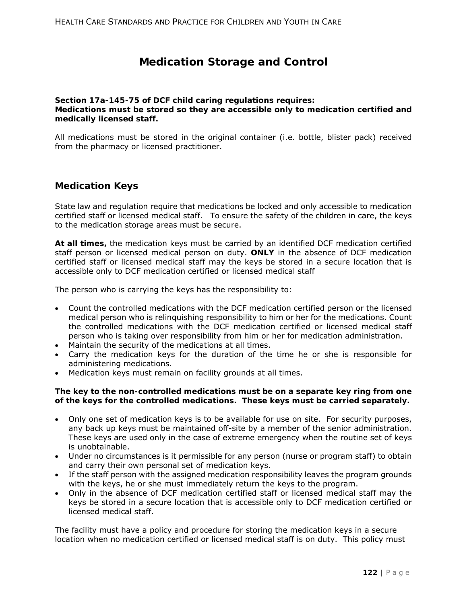# **Medication Storage and Control**

### **Section 17a-145-75** *of DCF child caring regulations requires: Medications must be stored so they are accessible only to medication certified and medically licensed staff.*

All medications must be stored in the original container (i.e. bottle, blister pack) received from the pharmacy or licensed practitioner.

## **Medication Keys**

State law and regulation require that medications be locked and only accessible to medication certified staff or licensed medical staff. To ensure the safety of the children in care, the keys to the medication storage areas must be secure.

**At all times,** the medication keys *must* be carried by an identified DCF medication certified staff person or licensed medical person on duty. **ONLY** in the absence of DCF medication certified staff or licensed medical staff may the keys be stored in a secure location that is accessible only to DCF medication certified or licensed medical staff

The person who is carrying the keys has the responsibility to:

- Count the controlled medications with the DCF medication certified person or the licensed medical person who is relinquishing responsibility to him or her for the medications. Count the controlled medications with the DCF medication certified or licensed medical staff person who is taking over responsibility from him or her for medication administration.
- Maintain the security of the medications at all times.
- Carry the medication keys for the duration of the time he or she is responsible for administering medications.
- Medication keys must remain on facility grounds at all times.

### *The key to the non-controlled medications must be on a separate key ring from one of the keys for the controlled medications. These keys must be carried separately.*

- Only one set of medication keys is to be available for use on site. For security purposes, any back up keys must be maintained off-site by a member of the senior administration. These keys are used only in the case of extreme emergency when the routine set of keys is unobtainable.
- Under no circumstances is it permissible for any person (nurse or program staff) to obtain and carry their own personal set of medication keys.
- If the staff person with the assigned medication responsibility leaves the program grounds with the keys, he or she must immediately return the keys to the program.
- Only in the absence of DCF medication certified staff or licensed medical staff may the keys be stored in a secure location that is accessible only to DCF medication certified or licensed medical staff.

The facility must have a policy and procedure for storing the medication keys in a secure location when no medication certified or licensed medical staff is on duty. This policy must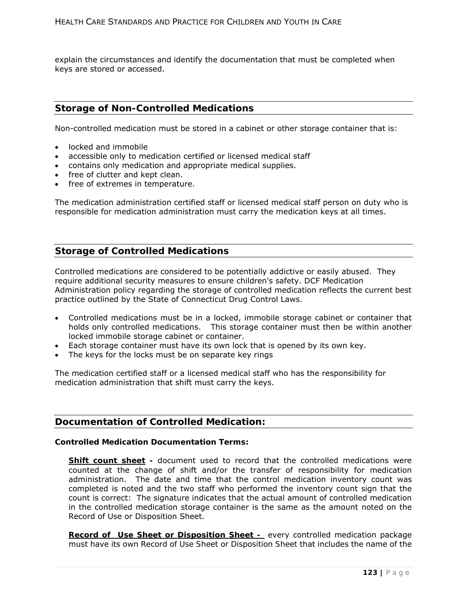explain the circumstances and identify the documentation that must be completed when keys are stored or accessed.

## **Storage of Non-Controlled Medications**

Non-controlled medication must be stored in a cabinet or other storage container that is:

- locked and immobile
- accessible only to medication certified or licensed medical staff
- contains only medication and appropriate medical supplies.
- free of clutter and kept clean.
- free of extremes in temperature.

The medication administration certified staff or licensed medical staff person on duty who is responsible for medication administration must carry the medication keys at all times.

## **Storage of Controlled Medications**

Controlled medications are considered to be potentially addictive or easily abused. They require additional security measures to ensure children's safety. DCF Medication Administration policy regarding the storage of controlled medication reflects the current best practice outlined by the State of Connecticut Drug Control Laws.

- Controlled medications must be in a locked, immobile storage cabinet or container that holds only controlled medications. This storage container must then be within another locked immobile storage cabinet or container.
- Each storage container must have its own lock that is opened by its own key.
- The keys for the locks must be on separate key rings

The medication certified staff or a licensed medical staff who has the responsibility for medication administration that shift must carry the keys.

## **Documentation of Controlled Medication:**

### **Controlled Medication Documentation Terms:**

**Shift count sheet** - document used to record that the controlled medications were counted at the change of shift and/or the transfer of responsibility for medication administration. The date and time that the control medication inventory count was completed is noted and the two staff who performed the inventory count sign that the count is correct: The signature indicates that the actual amount of controlled medication in the controlled medication storage container is the same as the amount noted on the Record of Use or Disposition Sheet.

*Record of Use Sheet or Disposition Sheet -* every controlled medication package must have its own *Record of Use Sheet or Disposition Sheet* that includes the name of the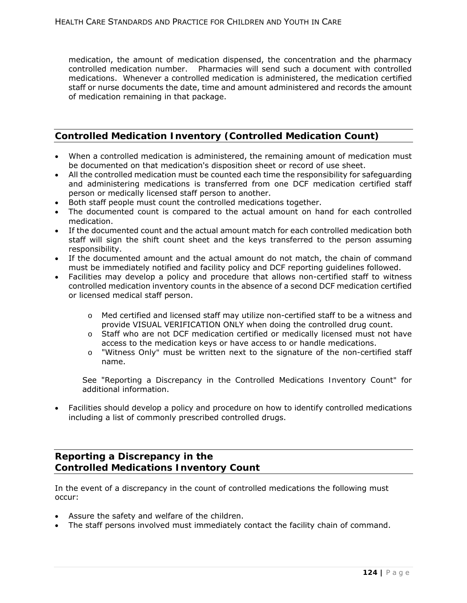medication, the amount of medication dispensed, the concentration and the pharmacy controlled medication number. Pharmacies will send such a document with controlled medications. Whenever a controlled medication is administered, the medication certified staff or nurse documents the date, time and amount administered and records the amount of medication remaining in that package.

## **Controlled Medication Inventory (Controlled Medication Count)**

- When a controlled medication is administered, the remaining amount of medication must be documented on that medication's disposition sheet or record of use sheet.
- All the controlled medication must be counted each time the responsibility for safeguarding and administering medications is transferred from one DCF medication certified staff person or medically licensed staff person to another.
- Both staff people must count the controlled medications together.
- The documented count is compared to the actual amount on hand for each controlled medication.
- If the documented count and the actual amount match for each controlled medication both staff will sign the shift count sheet and the keys transferred to the person assuming responsibility.
- If the documented amount and the actual amount do not match, the chain of command must be immediately notified and facility policy and DCF reporting guidelines followed.
- Facilities may develop a policy and procedure that allows non-certified staff to witness controlled medication inventory counts in the absence of a second DCF medication certified or licensed medical staff person.
	- o Med certified and licensed staff may utilize non-certified staff to be a witness and provide VISUAL VERIFICATION ONLY when doing the controlled drug count.
	- o Staff who are not DCF medication certified or medically licensed must not have access to the medication keys or have access to or handle medications.
	- o "*Witness Only"* must be written next to the signature of the non-certified staff name.

See "*Reporting a Discrepancy in the Controlled Medications Inventory Count"* for additional information.

 Facilities should develop a policy and procedure on how to identify controlled medications including a list of commonly prescribed controlled drugs.

## **Reporting a Discrepancy in the Controlled Medications Inventory Count**

In the event of a discrepancy in the count of controlled medications the following must occur:

- Assure the safety and welfare of the children.
- The staff persons involved must immediately contact the facility chain of command.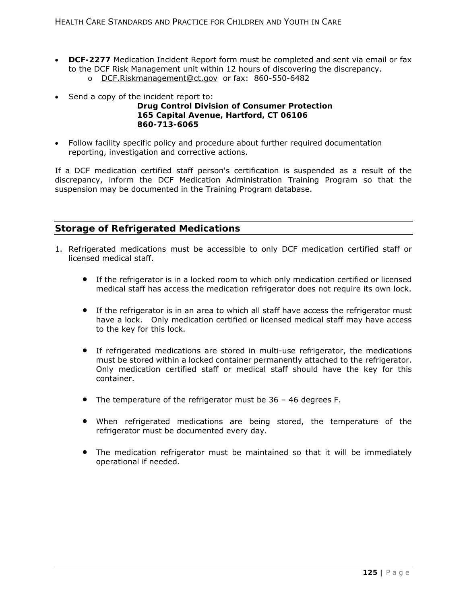- **DCF-2277** Medication Incident Report form must be completed and sent via email or fax to the DCF Risk Management unit within 12 hours of discovering the discrepancy. o DCF.Riskmanagement@ct.gov or fax: 860-550-6482
- Send a copy of the incident report to:

## **Drug Control Division of Consumer Protection 165 Capital Avenue, Hartford, CT 06106 860-713-6065**

 Follow facility specific policy and procedure about further required documentation reporting, investigation and corrective actions.

If a DCF medication certified staff person's certification is suspended as a result of the discrepancy, inform the DCF Medication Administration Training Program so that the suspension may be documented in the Training Program database.

## **Storage of Refrigerated Medications**

- 1. Refrigerated medications must be accessible to only DCF medication certified staff or licensed medical staff.
	- If the refrigerator is in a locked room to which only medication certified or licensed medical staff has access the medication refrigerator does not require its own lock.
	- If the refrigerator is in an area to which all staff have access the refrigerator must have a lock. Only medication certified or licensed medical staff may have access to the key for this lock.
	- If refrigerated medications are stored in multi-use refrigerator, the medications must be stored within a locked container permanently attached to the refrigerator. Only medication certified staff or medical staff should have the key for this container.
	- The temperature of the refrigerator must be 36 46 degrees F.
	- When refrigerated medications are being stored, the temperature of the refrigerator must be documented every day.
	- The medication refrigerator must be maintained so that it will be immediately operational if needed.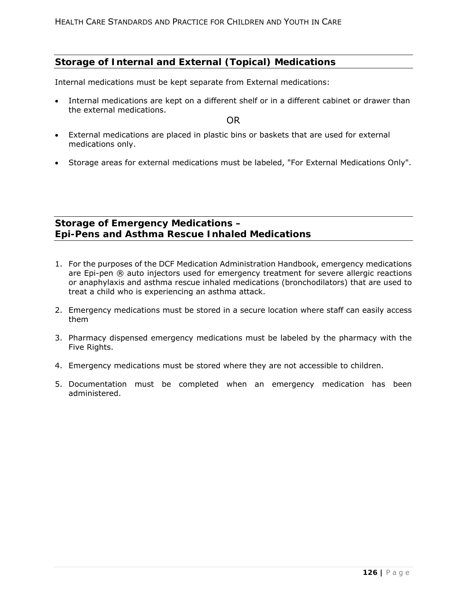## **Storage of Internal and External (Topical) Medications**

Internal medications must be kept separate from External medications:

 Internal medications are kept on a different shelf or in a different cabinet or drawer than the external medications.

OR

- External medications are placed in plastic bins or baskets that are used for external medications only.
- Storage areas for external medications must be labeled, "For External Medications Only".

## **Storage of Emergency Medications – Epi-Pens and Asthma Rescue Inhaled Medications**

- 1. For the purposes of the DCF Medication Administration Handbook, emergency medications are Epi-pen ® auto injectors used for emergency treatment for severe allergic reactions or anaphylaxis and asthma rescue inhaled medications (bronchodilators) that are used to treat a child who is experiencing an asthma attack.
- 2. Emergency medications must be stored in a secure location where staff can easily access them
- 3. Pharmacy dispensed emergency medications must be labeled by the pharmacy with the Five Rights.
- 4. Emergency medications must be stored where they are not accessible to children.
- 5. Documentation must be completed when an emergency medication has been administered.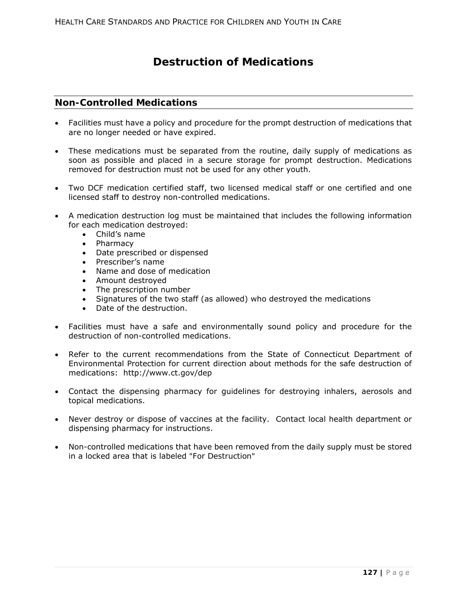# **Destruction of Medications**

## **Non-Controlled Medications**

- Facilities must have a policy and procedure for the prompt destruction of medications that are no longer needed or have expired.
- These medications must be separated from the routine, daily supply of medications as soon as possible and placed in a secure storage for prompt destruction. Medications removed for destruction must not be used for any other youth.
- Two DCF medication certified staff, two licensed medical staff or one certified and one licensed staff to destroy non-controlled medications.
- A medication destruction log must be maintained that includes the following information for each medication destroyed:
	- Child's name
	- Pharmacy
	- Date prescribed or dispensed
	- Prescriber's name
	- Name and dose of medication
	- Amount destroyed
	- The prescription number
	- Signatures of the two staff (as allowed) who destroyed the medications
	- Date of the destruction.
- Facilities must have a safe and environmentally sound policy and procedure for the destruction of non-controlled medications.
- Refer to the current recommendations from the State of Connecticut Department of Environmental Protection for current direction about methods for the safe destruction of medications: http://www.ct.gov/dep
- Contact the dispensing pharmacy for guidelines for destroying inhalers, aerosols and topical medications.
- Never destroy or dispose of vaccines at the facility. Contact local health department or dispensing pharmacy for instructions.
- Non-controlled medications that have been removed from the daily supply must be stored in a locked area that is labeled *"For Destruction"*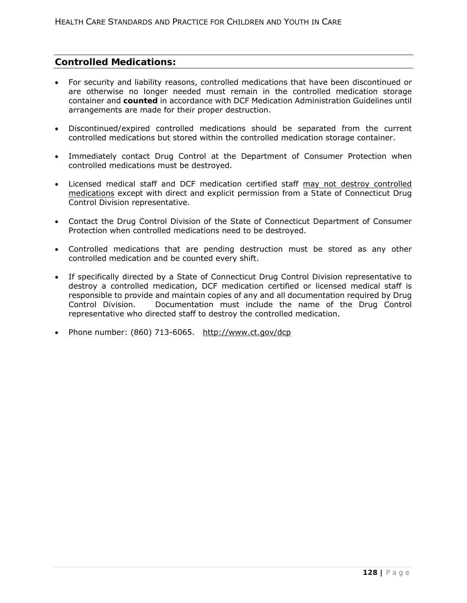## **Controlled Medications:**

- For security and liability reasons, controlled medications that have been discontinued or are otherwise no longer needed must remain in the controlled medication storage container and **counted** in accordance with DCF Medication Administration Guidelines until arrangements are made for their proper destruction.
- Discontinued/expired controlled medications should be separated from the current controlled medications but stored within the controlled medication storage container.
- Immediately contact Drug Control at the Department of Consumer Protection when controlled medications must be destroyed.
- Licensed medical staff and DCF medication certified staff may not destroy controlled medications *except with direct and explicit permission from a State of Connecticut Drug Control Division representative*.
- Contact the Drug Control Division of the State of Connecticut Department of Consumer Protection when controlled medications need to be destroyed.
- Controlled medications that are pending destruction must be stored as any other controlled medication and be counted every shift.
- If specifically directed by a State of Connecticut Drug Control Division representative to destroy a controlled medication, DCF medication certified or licensed medical staff is responsible to provide and maintain copies of any and all documentation required by Drug Control Division. Documentation must include the name of the Drug Control representative who directed staff to destroy the controlled medication.
- Phone number: (860) 713-6065. http://www.ct.gov/dcp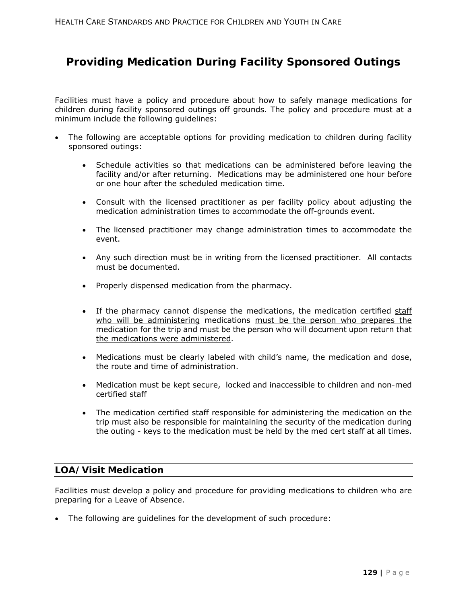# **Providing Medication During Facility Sponsored Outings**

Facilities must have a policy and procedure about how to safely manage medications for children during facility sponsored outings off grounds. The policy and procedure must at a minimum include the following guidelines:

- The following are acceptable options for providing medication to children during facility sponsored outings:
	- Schedule activities so that medications can be administered before leaving the facility and/or after returning. Medications may be administered one hour before or one hour after the scheduled medication time.
	- Consult with the licensed practitioner as per facility policy about adjusting the medication administration times to accommodate the off-grounds event.
	- The licensed practitioner may change administration times to accommodate the event.
	- Any such direction must be in writing from the licensed practitioner. All contacts must be documented.
	- Properly dispensed medication from the pharmacy.
	- If the pharmacy cannot dispense the medications, the medication certified staff who will be administering medications must be the person who prepares the medication for the trip and must be the person who will document upon return that the medications were administered.
	- Medications must be clearly labeled with child's name, the medication and dose, the route and time of administration.
	- Medication must be kept secure, locked and inaccessible to children and non-med certified staff
	- The medication certified staff responsible for administering the medication on the trip must also be responsible for maintaining the security of the medication during the outing - keys to the medication must be held by the med cert staff at all times.

## **LOA/Visit Medication**

Facilities must develop a policy and procedure for providing medications to children who are preparing for a Leave of Absence.

The following are guidelines for the development of such procedure: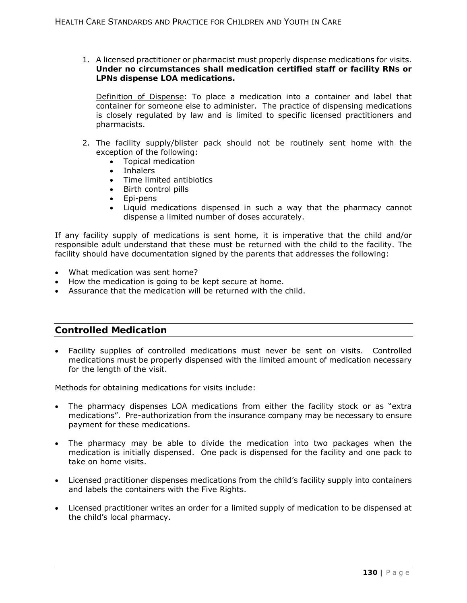1. A licensed practitioner or pharmacist must properly dispense medications for visits. **Under no circumstances shall medication certified staff or facility RNs or LPNs dispense LOA medications.**

Definition of *Dispense*: To place a medication into a container and label that container for someone else to administer. The practice of dispensing medications is closely regulated by law and is limited to specific licensed practitioners and pharmacists.

- 2. The facility supply/blister pack should not be routinely sent home with the exception of the following:
	- Topical medication
	- Inhalers
	- Time limited antibiotics<br>• Birth control pills
	- Birth control pills
	- Epi-pens
	- Liquid medications dispensed in such a way that the pharmacy cannot dispense a limited number of doses accurately.

If any facility supply of medications is sent home, it is imperative that the child and/or responsible adult understand that these must be returned with the child to the facility. The facility should have documentation signed by the parents that addresses the following:

- What medication was sent home?
- How the medication is going to be kept secure at home.
- Assurance that the medication will be returned with the child.

## **Controlled Medication**

 Facility supplies of controlled medications must never be sent on visits. Controlled medications must be properly dispensed with the limited amount of medication necessary for the length of the visit.

Methods for obtaining medications for visits include:

- The pharmacy dispenses LOA medications from either the facility stock or as "extra medications". Pre-authorization from the insurance company may be necessary to ensure payment for these medications.
- The pharmacy may be able to divide the medication into two packages when the medication is initially dispensed. One pack is dispensed for the facility and one pack to take on home visits.
- Licensed practitioner dispenses medications from the child's facility supply into containers and labels the containers with the Five Rights.
- Licensed practitioner writes an order for a limited supply of medication to be dispensed at the child's local pharmacy.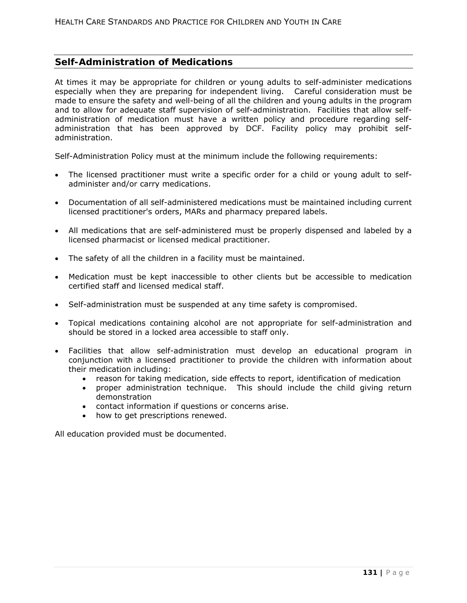## **Self-Administration of Medications**

At times it may be appropriate for children or young adults to self-administer medications especially when they are preparing for independent living. Careful consideration must be made to ensure the safety and well-being of all the children and young adults in the program and to allow for adequate staff supervision of self-administration. Facilities that allow selfadministration of medication must have a written policy and procedure regarding selfadministration that has been approved by DCF. Facility policy may prohibit selfadministration.

Self-Administration Policy must at the minimum include the following requirements:

- The licensed practitioner must write a specific order for a child or young adult to selfadminister and/or carry medications.
- Documentation of all self-administered medications must be maintained including current licensed practitioner's orders, MARs and pharmacy prepared labels.
- All medications that are self-administered must be properly dispensed and labeled by a licensed pharmacist or licensed medical practitioner.
- The safety of all the children in a facility must be maintained.
- Medication must be kept inaccessible to other clients but be accessible to medication certified staff and licensed medical staff.
- Self-administration must be suspended at any time safety is compromised.
- Topical medications containing alcohol are not appropriate for self-administration and should be stored in a locked area accessible to staff only.
- Facilities that allow self-administration must develop an educational program in conjunction with a licensed practitioner to provide the children with information about their medication including:
	- reason for taking medication, side effects to report, identification of medication
	- proper administration technique. This should include the child giving return demonstration
	- contact information if questions or concerns arise.
	- how to get prescriptions renewed.

All education provided must be documented.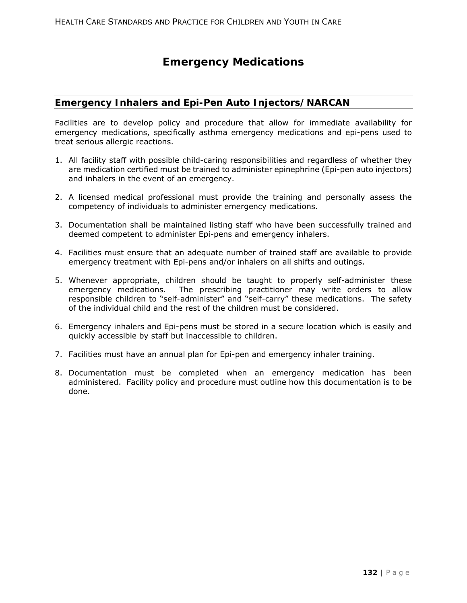# **Emergency Medications**

## **Emergency Inhalers and Epi-Pen Auto Injectors/NARCAN**

Facilities are to develop policy and procedure that allow for immediate availability for emergency medications, specifically asthma emergency medications and epi-pens used to treat serious allergic reactions.

- 1. All facility staff with possible child-caring responsibilities and regardless of whether they are medication certified must be trained to administer epinephrine (Epi-pen auto injectors) and inhalers in the event of an emergency.
- 2. A licensed medical professional must provide the training and personally assess the competency of individuals to administer emergency medications.
- 3. Documentation shall be maintained listing staff who have been successfully trained and deemed competent to administer Epi-pens and emergency inhalers.
- 4. Facilities must ensure that an adequate number of trained staff are available to provide emergency treatment with Epi-pens and/or inhalers on all shifts and outings.
- 5. Whenever appropriate, children should be taught to properly self-administer these emergency medications. The prescribing practitioner may write orders to allow responsible children to "self-administer" and "self-carry" these medications. The safety of the individual child and the rest of the children must be considered.
- 6. Emergency inhalers and Epi-pens must be stored in a secure location which is easily and quickly accessible by staff but inaccessible to children.
- 7. Facilities must have an annual plan for Epi-pen and emergency inhaler training.
- 8. Documentation must be completed when an emergency medication has been administered. Facility policy and procedure must outline how this documentation is to be done.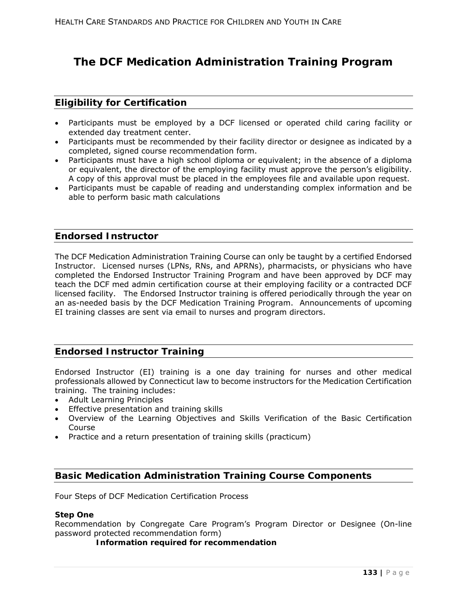# **The DCF Medication Administration Training Program**

## **Eligibility for Certification**

- Participants must be employed by a DCF licensed or operated child caring facility or extended day treatment center.
- Participants must be recommended by their facility director or designee as indicated by a completed, signed course recommendation form.
- Participants must have a high school diploma or equivalent; in the absence of a diploma or equivalent, the director of the employing facility must approve the person's eligibility. A copy of this approval must be placed in the employees file and available upon request.
- Participants must be capable of reading and understanding complex information and be able to perform basic math calculations

### **Endorsed Instructor**

The DCF Medication Administration Training Course can only be taught by a certified Endorsed Instructor. Licensed nurses (LPNs, RNs, and APRNs), pharmacists, or physicians who have completed the Endorsed Instructor Training Program and have been approved by DCF may teach the DCF med admin certification course at their employing facility or a contracted DCF licensed facility. The Endorsed Instructor training is offered periodically through the year on an as-needed basis by the DCF Medication Training Program. Announcements of upcoming EI training classes are sent via email to nurses and program directors.

## **Endorsed Instructor Training**

Endorsed Instructor (EI) training is a one day training for nurses and other medical professionals allowed by Connecticut law to become instructors for the Medication Certification training. The training includes:

- Adult Learning Principles
- **•** Effective presentation and training skills
- Overview of the Learning Objectives and Skills Verification of the Basic Certification Course
- Practice and a return presentation of training skills (practicum)

## **Basic Medication Administration Training Course Components**

Four Steps of DCF Medication Certification Process

### **Step One**

Recommendation by Congregate Care Program's Program Director or Designee (On-line *password protected* recommendation form)

**Information required for recommendation**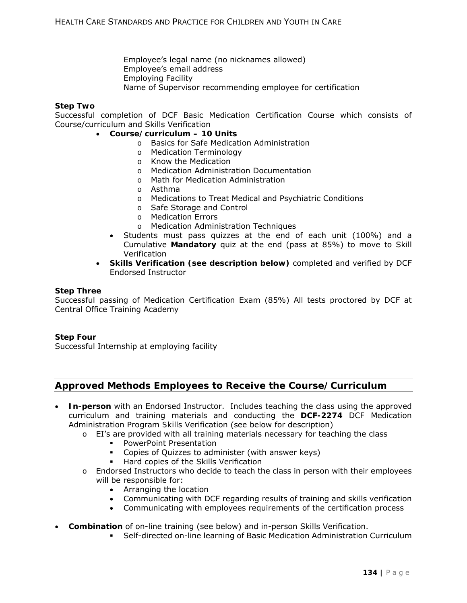Employee's legal name (no nicknames allowed) Employee's email address Employing Facility Name of Supervisor recommending employee for certification

### **Step Two**

Successful completion of DCF Basic Medication Certification Course which consists of Course/curriculum and Skills Verification

- **Course/curriculum 10 Units** 
	- o Basics for Safe Medication Administration
	- o Medication Terminology
	- o Know the Medication
	- o Medication Administration Documentation
	- o Math for Medication Administration
	- o Asthma
	- o Medications to Treat Medical and Psychiatric Conditions
	- o Safe Storage and Control
	- o Medication Errors
	- o Medication Administration Techniques
	- Students must pass quizzes at the end of each unit (100%) and a Cumulative **Mandatory** quiz at the end (pass at 85%) to move to Skill Verification
	- **Skills Verification (see description below)** completed and verified by DCF Endorsed Instructor

### **Step Three**

Successful passing of Medication Certification Exam (85%) All tests proctored by DCF at Central Office Training Academy

### **Step Four**

Successful Internship at employing facility

## **Approved Methods Employees to Receive the Course/Curriculum**

- **In-person** with an Endorsed Instructor. Includes teaching the class using the approved curriculum and training materials and conducting the **DCF-2274** *DCF Medication Administration Program Skills Verification* (see below for description)
	- $\circ$  EI's are provided with all training materials necessary for teaching the class
		- PowerPoint Presentation
		- Copies of Quizzes to administer (with answer keys)
			- Hard copies of the Skills Verification
	- $\circ$  Endorsed Instructors who decide to teach the class in person with their employees will be responsible for:
		- Arranging the location
		- Communicating with DCF regarding results of training and skills verification
		- Communicating with employees requirements of the certification process
- **Combination** of on-line training (see below) and in-person Skills Verification.
	- Self-directed on-line learning of Basic Medication Administration Curriculum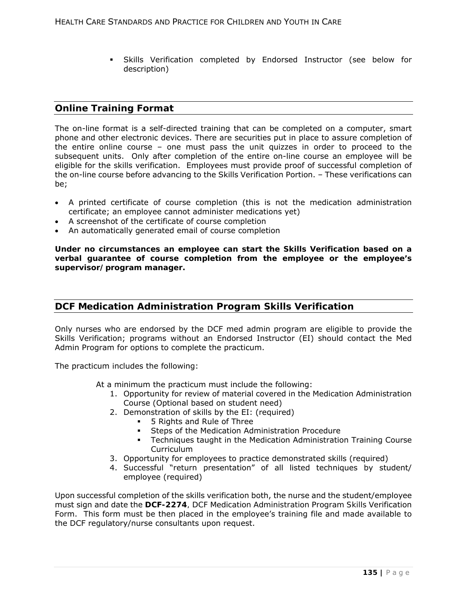Skills Verification completed by Endorsed Instructor (see below for description)

## **Online Training Format**

The on-line format is a self-directed training that can be completed on a computer, smart phone and other electronic devices. There are securities put in place to assure completion of the entire online course – one must pass the unit quizzes in order to proceed to the subsequent units. Only after completion of the entire on-line course an employee will be eligible for the skills verification. Employees must provide proof of successful completion of the on-line course before advancing to the Skills Verification Portion. – These verifications can be;

- A printed certificate of course completion (this is not the medication administration certificate; an employee cannot administer medications yet)
- A screenshot of the certificate of course completion
- An automatically generated email of course completion

**Under no circumstances an employee can start the Skills Verification based on a verbal guarantee of course completion from the employee or the employee's supervisor/program manager.** 

## **DCF Medication Administration Program Skills Verification**

Only nurses who are endorsed by the DCF med admin program are eligible to provide the Skills Verification; programs without an Endorsed Instructor (EI) should contact the Med Admin Program for options to complete the practicum.

The practicum includes the following:

At a minimum the practicum must include the following:

- 1. Opportunity for review of material covered in the Medication Administration Course (Optional based on student need)
- 2. Demonstration of skills by the EI: (required)
	- 5 Rights and Rule of Three
	- **Steps of the Medication Administration Procedure**
	- **Techniques taught in the Medication Administration Training Course Curriculum**
- 3. Opportunity for employees to practice demonstrated skills (required)
- 4. Successful "return presentation" of all listed techniques by student/ employee (required)

Upon successful completion of the skills verification both, the nurse and the student/employee must sign and date the **DCF-2274***, DCF Medication Administration Program Skills* Verification Form. This form must be then placed in the employee's training file and made available to the DCF regulatory/nurse consultants upon request.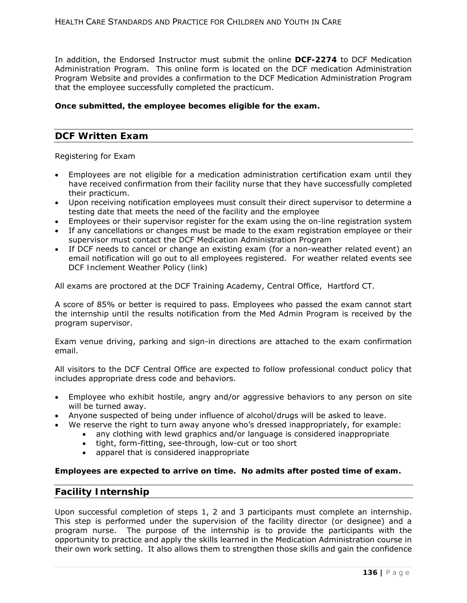In addition, the Endorsed Instructor must submit the online **DCF-2274** to DCF Medication Administration Program. This online form is located on the DCF medication Administration Program Website and provides a confirmation to the DCF Medication Administration Program that the employee successfully completed the practicum.

### **Once submitted, the employee becomes eligible for the exam.**

## **DCF Written Exam**

Registering for Exam

- Employees are not eligible for a medication administration certification exam until they have received confirmation from their facility nurse that they have successfully completed their practicum.
- Upon receiving notification employees must consult their direct supervisor to determine a testing date that meets the need of the facility and the employee
- Employees or their supervisor register for the exam using the on-line registration system If any cancellations or changes must be made to the exam registration employee or their
- supervisor must contact the DCF Medication Administration Program If DCF needs to cancel or change an existing exam (for a non-weather related event) an email notification will go out to all employees registered. For weather related events see *DCF Inclement Weather Policy (link)*

All exams are proctored at the DCF Training Academy, Central Office, Hartford CT.

A score of 85% or better is required to pass. Employees who passed the exam cannot start the internship until the results notification from the Med Admin Program is received by the program supervisor.

Exam venue driving, parking and sign-in directions are attached to the exam confirmation email.

All visitors to the DCF Central Office are expected to follow professional conduct policy that includes appropriate dress code and behaviors.

- Employee who exhibit hostile, angry and/or aggressive behaviors to any person on site will be turned away.
- Anyone suspected of being under influence of alcohol/drugs will be asked to leave.
- We reserve the right to turn away anyone who's dressed inappropriately, for example:
	- any clothing with lewd graphics and/or language is considered inappropriate
	- tight, form-fitting, see-through, low-cut or too short
	- apparel that is considered inappropriate

**Employees are expected to arrive on time. No admits after posted time of exam.** 

## **Facility Internship**

Upon successful completion of steps 1, 2 and 3 participants must complete an internship. This step is performed under the supervision of the facility director (or designee) and a program nurse. The purpose of the internship is to provide the participants with the opportunity to practice and apply the skills learned in the Medication Administration course in their own work setting. It also allows them to strengthen those skills and gain the confidence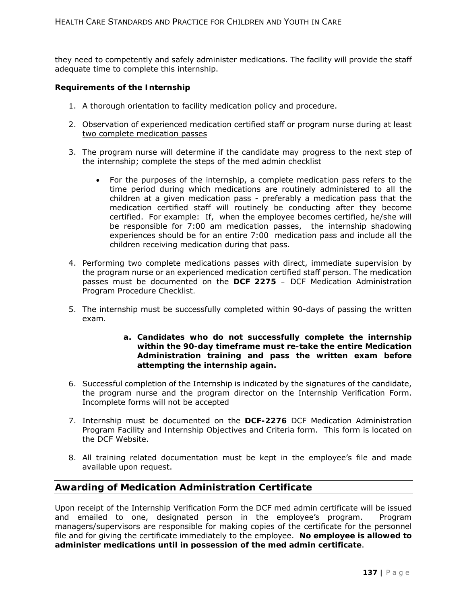they need to competently and safely administer medications. The facility will provide the staff adequate time to complete this internship.

### **Requirements of the Internship**

- 1. A thorough orientation to facility medication policy and procedure.
- 2. Observation of experienced medication certified staff or program nurse during at least two complete medication passes
- 3. The program nurse will determine if the candidate may progress to the next step of the internship; complete the steps of the med admin checklist
	- For the purposes of the internship, *a complete medication pass* refers to the time period during which medications are routinely administered to all the children at a given medication pass - preferably a medication pass that the medication certified staff will routinely be conducting after they become certified. For example: If, when the employee becomes certified, he/she will be responsible for 7:00 am medication passes, the internship shadowing experiences should be for an entire 7:00 medication pass and include all the children receiving medication during that pass.
- 4. Performing two complete medications passes with direct, immediate supervision by the program nurse or an experienced medication certified staff person. The medication passes must be documented on the **DCF 2275** *– DCF Medication Administration Program Procedure Checklist.*
- 5. The internship must be successfully completed within 90-days of passing the written exam*.* 
	- **a. Candidates who do not successfully complete the internship within the 90-day timeframe must re-take the entire Medication Administration training and pass the written exam before attempting the internship again.**
- 6. Successful completion of the Internship is indicated by the signatures of the candidate, the program nurse and the program director on the Internship Verification Form. Incomplete forms will not be accepted
- 7. Internship must be documented on the **DCF-2276** *DCF Medication Administration Program Facility and Internship Objectives and Criteria* form. This form is located on the DCF Website.
- 8. All training related documentation must be kept in the employee's file and made available upon request.

## **Awarding of Medication Administration Certificate**

Upon receipt of the Internship Verification Form the DCF med admin certificate will be issued and emailed to one, designated person in the employee's program. Program managers/supervisors are responsible for making copies of the certificate for the personnel file and for giving the certificate immediately to the employee. **No employee is allowed to administer medications until in possession of the med admin certificate**.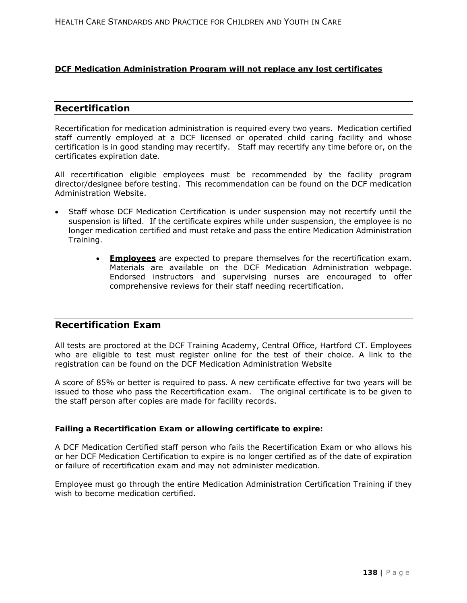### **DCF Medication Administration Program will not replace any lost certificates**

### **Recertification**

Recertification for medication administration is required every two years. Medication certified staff currently employed at a DCF licensed or operated child caring facility *and* whose certification is in good standing may recertify. Staff may recertify any time before or, on the certificates expiration date*.*

All recertification eligible employees must be recommended by the facility program director/designee before testing. This recommendation can be found on the DCF medication Administration Website.

- Staff whose DCF Medication Certification is under suspension may not recertify until the suspension is lifted. If the certificate expires while under suspension, the employee is no longer medication certified and must retake and pass the entire Medication Administration Training.
	- **Employees** are expected to prepare themselves for the recertification exam. Materials are available on the DCF Medication Administration webpage. Endorsed instructors and supervising nurses are encouraged to offer comprehensive reviews for their staff needing recertification.

## **Recertification Exam**

All tests are proctored at the DCF Training Academy, Central Office, Hartford CT. Employees who are eligible to test must register online for the test of their choice. A link to the registration can be found on the DCF Medication Administration Website

A score of 85% or better is required to pass. A new certificate effective for two years will be issued to those who pass the Recertification exam. The original certificate is to be given to the staff person after copies are made for facility records.

### **Failing a Recertification Exam or allowing certificate to expire:**

A DCF Medication Certified staff person who fails the Recertification Exam or who allows his or her DCF Medication Certification to expire is no longer certified as of the date of expiration or failure of recertification exam and may not administer medication.

Employee must go through the entire Medication Administration Certification Training if they wish to become medication certified.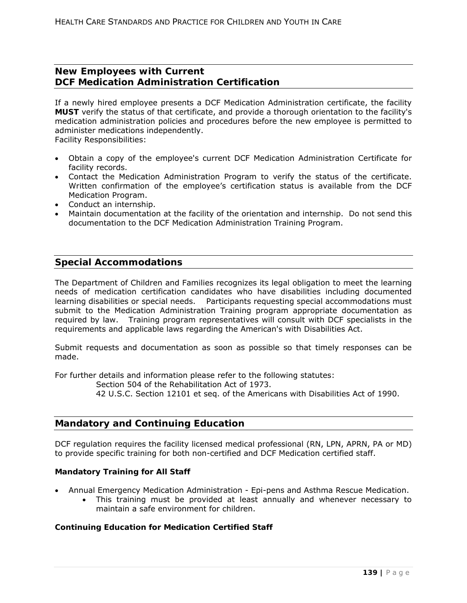## **New Employees with Current DCF Medication Administration Certification**

If a newly hired employee presents a DCF Medication Administration certificate, the facility **MUST** verify the status of that certificate, and provide a thorough orientation to the facility's medication administration policies and procedures before the new employee is permitted to administer medications independently.

Facility Responsibilities:

- Obtain a copy of the employee's current DCF Medication Administration Certificate for facility records.
- Contact the Medication Administration Program to verify the status of the certificate. Written confirmation of the employee's certification status is available from the DCF Medication Program.
- Conduct an internship.
- Maintain documentation at the facility of the orientation and internship. Do not send this documentation to the DCF Medication Administration Training Program.

## **Special Accommodations**

The Department of Children and Families recognizes its legal obligation to meet the learning needs of medication certification candidates who have disabilities including documented learning disabilities or special needs. Participants requesting special accommodations must submit to the Medication Administration Training program appropriate documentation as required by law. Training program representatives will consult with DCF specialists in the requirements and applicable laws regarding the American's with Disabilities Act.

Submit requests and documentation as soon as possible so that timely responses can be made.

For further details and information please refer to the following statutes:

Section 504 of the Rehabilitation Act of 1973.

42 U.S.C. Section 12101 et seq. of the Americans with Disabilities Act of 1990.

## **Mandatory and Continuing Education**

DCF regulation requires the facility licensed medical professional (RN, LPN, APRN, PA or MD) to provide specific training for both non-certified and DCF Medication certified staff.

### **Mandatory Training for All Staff**

- Annual Emergency Medication Administration Epi-pens and Asthma Rescue Medication.
	- This training must be provided at least annually and whenever necessary to maintain a safe environment for children.

### **Continuing Education for Medication Certified Staff**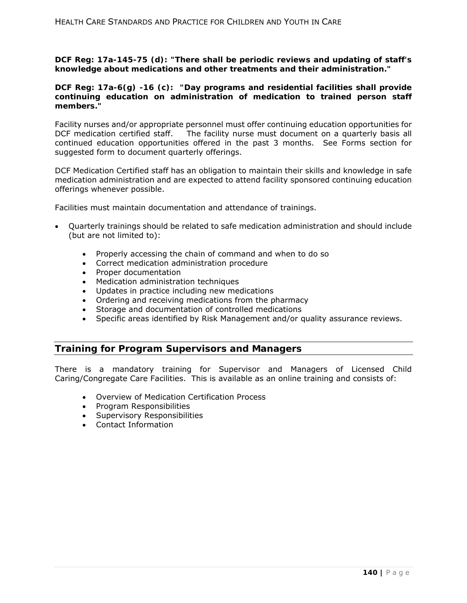*DCF Reg: 17a-145-75 (d): "There shall be periodic reviews and updating of staff's knowledge about medications and other treatments and their administration."* 

### *DCF Reg: 17a-6(g) -16 (c): "Day programs and residential facilities shall provide continuing education on administration of medication to trained person staff members."*

Facility nurses and/or appropriate personnel must offer continuing education opportunities for DCF medication certified staff. The facility nurse must document on a quarterly basis all continued education opportunities offered in the past 3 months. See Forms section for suggested form to document quarterly offerings.

DCF Medication Certified staff has an obligation to maintain their skills and knowledge in safe medication administration and are expected to attend facility sponsored continuing education offerings whenever possible.

Facilities must maintain documentation and attendance of trainings.

- Quarterly trainings should be related to safe medication administration and should include (but are not limited to):
	- Properly accessing the chain of command and when to do so
	- Correct medication administration procedure
	- Proper documentation
	- Medication administration techniques
	- Updates in practice including new medications
	- Ordering and receiving medications from the pharmacy
	- Storage and documentation of controlled medications
	- Specific areas identified by Risk Management and/or quality assurance reviews.

### **Training for Program Supervisors and Managers**

There is a mandatory training for Supervisor and Managers of Licensed Child Caring/Congregate Care Facilities. This is available as an online training and consists of:

- Overview of Medication Certification Process
- Program Responsibilities
- Supervisory Responsibilities
- Contact Information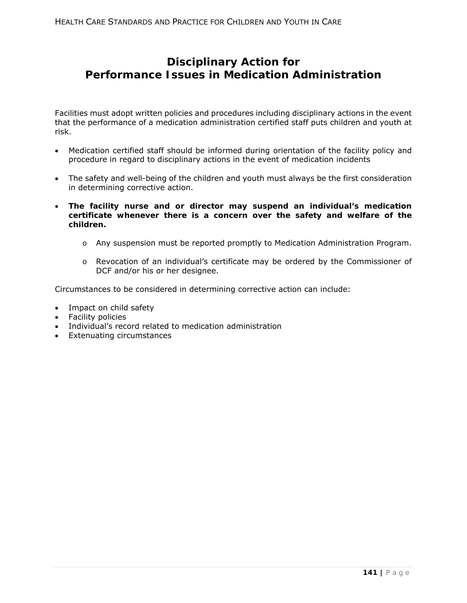# **Disciplinary Action for Performance Issues in Medication Administration**

Facilities must adopt written policies and procedures including disciplinary actions in the event that the performance of a medication administration certified staff puts children and youth at risk.

- Medication certified staff should be informed during orientation of the facility policy and procedure in regard to disciplinary actions in the event of medication incidents
- The safety and well-being of the children and youth must always be the first consideration in determining corrective action.
- **The facility nurse and or director may suspend an individual's medication certificate whenever there is a concern over the safety and welfare of the children.**
	- o Any suspension must be reported promptly to Medication Administration Program.
	- o Revocation of an individual's certificate may be ordered by the Commissioner of DCF and/or his or her designee.

Circumstances to be considered in determining corrective action can include:

- Impact on child safety
- Facility policies
- Individual's record related to medication administration
- Extenuating circumstances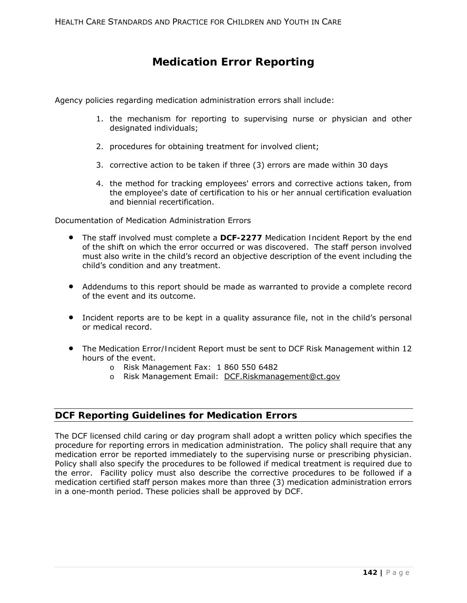# **Medication Error Reporting**

Agency policies regarding medication administration errors shall include:

- 1. the mechanism for reporting to supervising nurse or physician and other designated individuals;
- 2. procedures for obtaining treatment for involved client;
- 3. corrective action to be taken if three (3) errors are made within 30 days
- 4. the method for tracking employees' errors and corrective actions taken, from the employee's date of certification to his or her annual certification evaluation and biennial recertification.

Documentation of Medication Administration Errors

- The staff involved must complete a **DCF-2277** *Medication Incident Report* by the end of the shift on which the error occurred or was discovered. The staff person involved must also write in the child's record an objective description of the event including the child's condition and any treatment.
- Addendums to this report should be made as warranted to provide a complete record of the event and its outcome.
- Incident reports are to be kept in a quality assurance file, not in the child's personal or medical record.
- The *Medication Error/Incident Report* must be sent to DCF Risk Management within 12 hours of the event.
	- o Risk Management Fax: 1 860 550 6482
	- o Risk Management Email: DCF.Riskmanagement@ct.gov

## **DCF Reporting Guidelines for Medication Errors**

The DCF licensed child caring or day program shall adopt a written policy which specifies the procedure for reporting errors in medication administration. The policy shall require that any medication error be reported immediately to the supervising nurse or prescribing physician. Policy shall also specify the procedures to be followed if medical treatment is required due to the error. Facility policy must also describe the corrective procedures to be followed if a medication certified staff person makes more than three (3) medication administration errors in a one-month period. These policies shall be approved by DCF.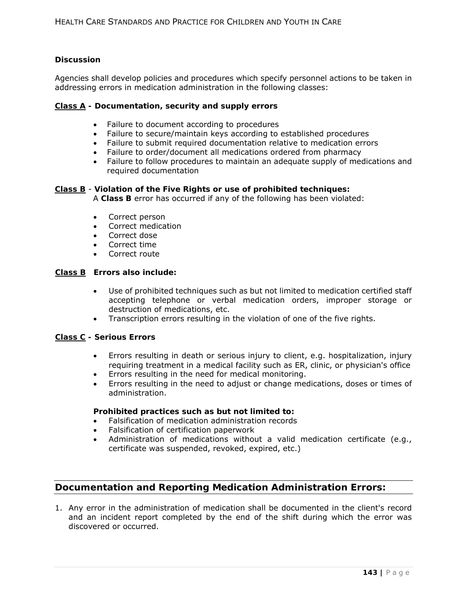### **Discussion**

Agencies shall develop policies and procedures which specify personnel actions to be taken in addressing errors in medication administration in the following classes:

### **Class A - Documentation, security and supply errors**

- Failure to document according to procedures
- Failure to secure/maintain keys according to established procedures
- Failure to submit required documentation relative to medication errors
- Failure to order/document all medications ordered from pharmacy
- Failure to follow procedures to maintain an adequate supply of medications and required documentation

### **Class B** - **Violation of the Five Rights or use of prohibited techniques:**

A **Class B** error has occurred if any of the following has been violated:

- Correct person
- Correct medication
- Correct dose
- Correct time
- Correct route

### **Class B Errors also include:**

- Use of prohibited techniques such as but not limited to medication certified staff accepting telephone or verbal medication orders, improper storage or destruction of medications, etc.
- Transcription errors resulting in the violation of one of the five rights.

### **Class C - Serious Errors**

- Errors resulting in death or serious injury to client, e.g. hospitalization, injury requiring treatment in a medical facility such as ER, clinic, or physician's office
- Errors resulting in the need for medical monitoring.
- Errors resulting in the need to adjust or change medications, doses or times of administration.

### **Prohibited practices such as but not limited to:**

- Falsification of medication administration records
- Falsification of certification paperwork
- Administration of medications without a valid medication certificate (e.g., certificate was suspended, revoked, expired, etc.)

## **Documentation and Reporting Medication Administration Errors:**

1. Any error in the administration of medication shall be documented in the client's record and an incident report completed by the end of the shift during which the error was discovered or occurred.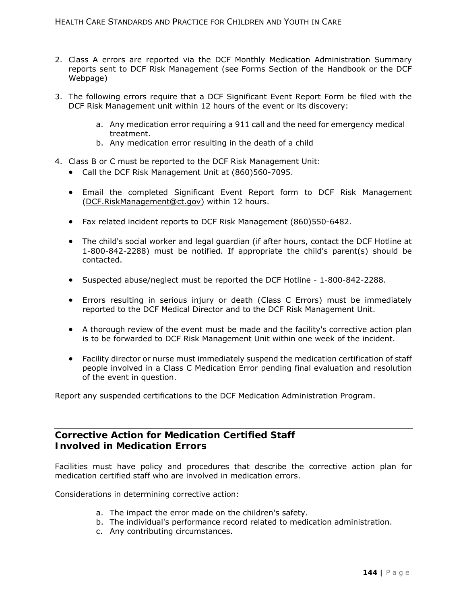- 2. Class A errors are reported via the DCF Monthly Medication Administration Summary reports sent to DCF Risk Management (see Forms Section of the Handbook or the DCF Webpage)
- 3. The following errors require that a DCF Significant Event Report Form be filed with the DCF Risk Management unit within 12 hours of the event or its discovery:
	- a. Any medication error requiring a 911 call and the need for emergency medical treatment.
	- b. Any medication error resulting in the death of a child
- 4. Class B or C must be reported to the DCF Risk Management Unit:
	- Call the DCF Risk Management Unit at (860)560-7095.
	- Email the completed Significant Event Report form to DCF Risk Management (DCF.RiskManagement@ct.gov) within 12 hours.
	- Fax related incident reports to DCF Risk Management (860)550-6482.
	- The child's social worker and legal guardian (if after hours, contact the DCF Hotline at 1-800-842-2288) must be notified. If appropriate the child's parent(s) should be contacted.
	- Suspected abuse/neglect must be reported the DCF Hotline 1-800-842-2288.
	- Errors resulting in serious injury or death (Class C Errors) must be immediately reported to the DCF Medical Director and to the DCF Risk Management Unit.
	- A thorough review of the event must be made and the facility's corrective action plan is to be forwarded to DCF Risk Management Unit within one week of the incident.
	- Facility director or nurse must immediately suspend the medication certification of staff people involved in a Class C Medication Error pending final evaluation and resolution of the event in question.

Report any suspended certifications to the DCF Medication Administration Program.

## **Corrective Action for Medication Certified Staff Involved in Medication Errors**

Facilities must have policy and procedures that describe the corrective action plan for medication certified staff who are involved in medication errors.

Considerations in determining corrective action:

- a. The impact the error made on the children's safety.
- b. The individual's performance record related to medication administration.
- c. Any contributing circumstances.